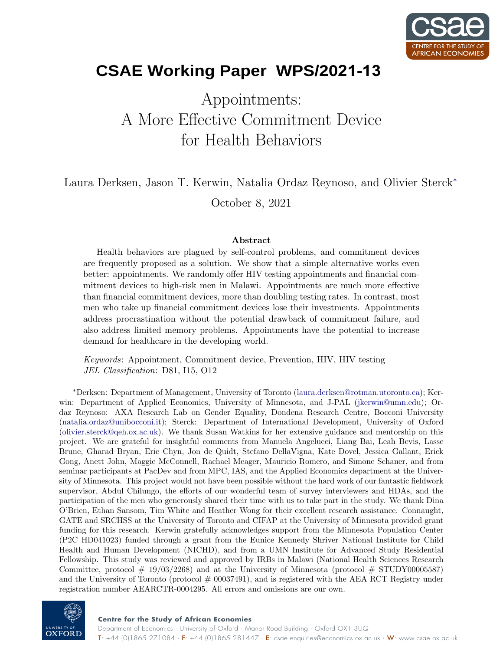

# **CSAE** Working Paper WPS/2021-13

# Appointments: A More Effective Commitment Device for Health Behaviors

Laura Derksen, Jason T. Kerwin, Natalia Ordaz Reynoso, and Olivier Sterck<sup>∗</sup>

October 8, 2021

#### Abstract

Health behaviors are plagued by self-control problems, and commitment devices are frequently proposed as a solution. We show that a simple alternative works even better: appointments. We randomly offer HIV testing appointments and financial commitment devices to high-risk men in Malawi. Appointments are much more effective than financial commitment devices, more than doubling testing rates. In contrast, most men who take up financial commitment devices lose their investments. Appointments address procrastination without the potential drawback of commitment failure, and also address limited memory problems. Appointments have the potential to increase demand for healthcare in the developing world.

Keywords: Appointment, Commitment device, Prevention, HIV, HIV testing JEL Classification: D81, I15, O12

<sup>∗</sup>Derksen: Department of Management, University of Toronto [\(laura.derksen@rotman.utoronto.ca\)](mailto:laura.derksen@rotman.utoronto.ca); Kerwin: Department of Applied Economics, University of Minnesota, and J-PAL [\(jkerwin@umn.edu\)](mailto:jkerwin@umn.edu); Ordaz Reynoso: AXA Research Lab on Gender Equality, Dondena Research Centre, Bocconi University [\(natalia.ordaz@unibocconi.it\)](mailto:natalia.ordaz@unibocconi.it); Sterck: Department of International Development, University of Oxford [\(olivier.sterck@qeh.ox.ac.uk\)](mailto:olivier.sterck@qeh.ox.ac.uk). We thank Susan Watkins for her extensive guidance and mentorship on this project. We are grateful for insightful comments from Manuela Angelucci, Liang Bai, Leah Bevis, Lasse Brune, Gharad Bryan, Eric Chyn, Jon de Quidt, Stefano DellaVigna, Kate Dovel, Jessica Gallant, Erick Gong, Anett John, Maggie McConnell, Rachael Meager, Mauricio Romero, and Simone Schaner, and from seminar participants at PacDev and from MPC, IAS, and the Applied Economics department at the University of Minnesota. This project would not have been possible without the hard work of our fantastic fieldwork supervisor, Abdul Chilungo, the efforts of our wonderful team of survey interviewers and HDAs, and the participation of the men who generously shared their time with us to take part in the study. We thank Dina O'Brien, Ethan Sansom, Tim White and Heather Wong for their excellent research assistance. Connaught, GATE and SRCHSS at the University of Toronto and CIFAP at the University of Minnesota provided grant funding for this research. Kerwin gratefully acknowledges support from the Minnesota Population Center (P2C HD041023) funded through a grant from the Eunice Kennedy Shriver National Institute for Child Health and Human Development (NICHD), and from a UMN Institute for Advanced Study Residential Fellowship. This study was reviewed and approved by IRBs in Malawi (National Health Sciences Research Committee, protocol  $\#$  19/03/2268) and at the University of Minnesota (protocol  $\#$  STUDY00005587) and the University of Toronto (protocol  $#00037491$ ), and is registered with the AEA RCT Registry under registration number AEARCTR-0004295. All errors and omissions are our own.

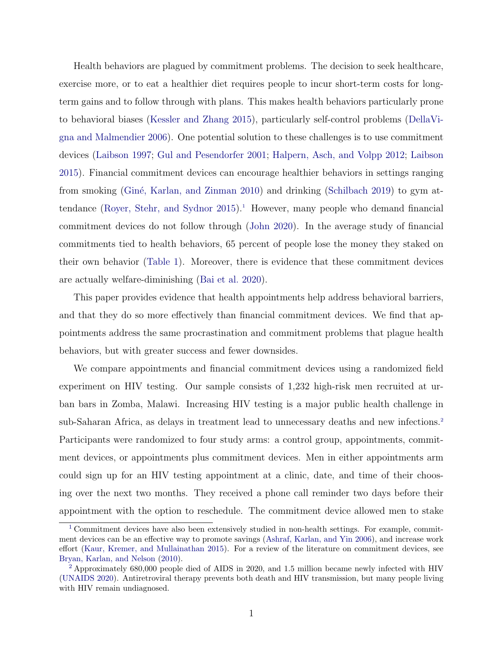Health behaviors are plagued by commitment problems. The decision to seek healthcare, exercise more, or to eat a healthier diet requires people to incur short-term costs for longterm gains and to follow through with plans. This makes health behaviors particularly prone to behavioral biases [\(Kessler and Zhang 2015\)](#page-37-0), particularly self-control problems [\(DellaVi](#page-34-0)[gna and Malmendier 2006\)](#page-34-0). One potential solution to these challenges is to use commitment devices [\(Laibson 1997;](#page-37-1) [Gul and Pesendorfer 2001;](#page-35-0) [Halpern, Asch, and Volpp 2012;](#page-36-0) [Laibson](#page-37-2) [2015\)](#page-37-2). Financial commitment devices can encourage healthier behaviors in settings ranging from smoking (Giné, Karlan, and Zinman 2010) and drinking [\(Schilbach 2019\)](#page-40-0) to gym attendance (Royer, Stehr, and Sydnor  $2015$  $2015$  $2015$ ).<sup>1</sup> However, many people who demand financial commitment devices do not follow through [\(John 2020\)](#page-36-1). In the average study of financial commitments tied to health behaviors, 65 percent of people lose the money they staked on their own behavior [\(Table 1\)](#page-48-0). Moreover, there is evidence that these commitment devices are actually welfare-diminishing [\(Bai et al. 2020\)](#page-32-0).

<span id="page-1-2"></span>This paper provides evidence that health appointments help address behavioral barriers, and that they do so more effectively than financial commitment devices. We find that appointments address the same procrastination and commitment problems that plague health behaviors, but with greater success and fewer downsides.

<span id="page-1-3"></span>We compare appointments and financial commitment devices using a randomized field experiment on HIV testing. Our sample consists of 1,232 high-risk men recruited at urban bars in Zomba, Malawi. Increasing HIV testing is a major public health challenge in sub-Saharan Africa, as delays in treatment lead to unnecessary deaths and new infections.<sup>[2](#page-1-1)</sup> Participants were randomized to four study arms: a control group, appointments, commitment devices, or appointments plus commitment devices. Men in either appointments arm could sign up for an HIV testing appointment at a clinic, date, and time of their choosing over the next two months. They received a phone call reminder two days before their appointment with the option to reschedule. The commitment device allowed men to stake

<span id="page-1-0"></span><sup>&</sup>lt;sup>[1](#page-1-2)</sup> Commitment devices have also been extensively studied in non-health settings. For example, commitment devices can be an effective way to promote savings [\(Ashraf, Karlan, and Yin 2006\)](#page-32-1), and increase work effort [\(Kaur, Kremer, and Mullainathan 2015\)](#page-37-3). For a review of the literature on commitment devices, see [Bryan, Karlan, and Nelson](#page-33-0) [\(2010\)](#page-33-0).

<span id="page-1-1"></span>[<sup>2</sup>](#page-1-3) Approximately 680,000 people died of AIDS in 2020, and 1.5 million became newly infected with HIV [\(UNAIDS 2020\)](#page-41-0). Antiretroviral therapy prevents both death and HIV transmission, but many people living with HIV remain undiagnosed.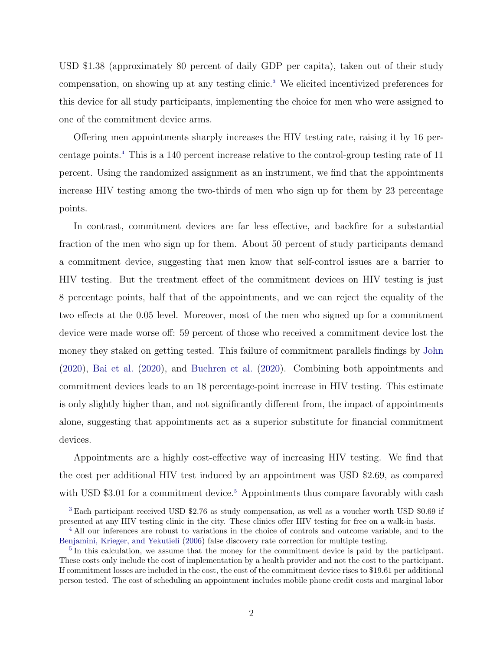<span id="page-2-3"></span>USD \$1.38 (approximately 80 percent of daily GDP per capita), taken out of their study compensation, on showing up at any testing clinic.<sup>[3](#page-2-0)</sup> We elicited incentivized preferences for this device for all study participants, implementing the choice for men who were assigned to one of the commitment device arms.

<span id="page-2-4"></span>Offering men appointments sharply increases the HIV testing rate, raising it by 16 percentage points.[4](#page-2-1) This is a 140 percent increase relative to the control-group testing rate of 11 percent. Using the randomized assignment as an instrument, we find that the appointments increase HIV testing among the two-thirds of men who sign up for them by 23 percentage points.

In contrast, commitment devices are far less effective, and backfire for a substantial fraction of the men who sign up for them. About 50 percent of study participants demand a commitment device, suggesting that men know that self-control issues are a barrier to HIV testing. But the treatment effect of the commitment devices on HIV testing is just 8 percentage points, half that of the appointments, and we can reject the equality of the two effects at the 0.05 level. Moreover, most of the men who signed up for a commitment device were made worse off: 59 percent of those who received a commitment device lost the money they staked on getting tested. This failure of commitment parallels findings by [John](#page-36-1) [\(2020\)](#page-36-1), [Bai et al.](#page-32-0) [\(2020\)](#page-32-0), and [Buehren et al.](#page-33-1) [\(2020\)](#page-33-1). Combining both appointments and commitment devices leads to an 18 percentage-point increase in HIV testing. This estimate is only slightly higher than, and not significantly different from, the impact of appointments alone, suggesting that appointments act as a superior substitute for financial commitment devices.

<span id="page-2-5"></span>Appointments are a highly cost-effective way of increasing HIV testing. We find that the cost per additional HIV test induced by an appointment was USD \$2.69, as compared with USD  $$3.01$  for a commitment device.<sup>[5](#page-2-2)</sup> Appointments thus compare favorably with cash

<span id="page-2-0"></span>[<sup>3</sup>](#page-2-3) Each participant received USD \$2.76 as study compensation, as well as a voucher worth USD \$0.69 if presented at any HIV testing clinic in the city. These clinics offer HIV testing for free on a walk-in basis.

<span id="page-2-1"></span><sup>&</sup>lt;sup>[4](#page-2-4)</sup> All our inferences are robust to variations in the choice of controls and outcome variable, and to the [Benjamini, Krieger, and Yekutieli](#page-32-2) [\(2006\)](#page-32-2) false discovery rate correction for multiple testing.

<span id="page-2-2"></span><sup>&</sup>lt;sup>[5](#page-2-5)</sup> In this calculation, we assume that the money for the commitment device is paid by the participant. These costs only include the cost of implementation by a health provider and not the cost to the participant. If commitment losses are included in the cost, the cost of the commitment device rises to \$19.61 per additional person tested. The cost of scheduling an appointment includes mobile phone credit costs and marginal labor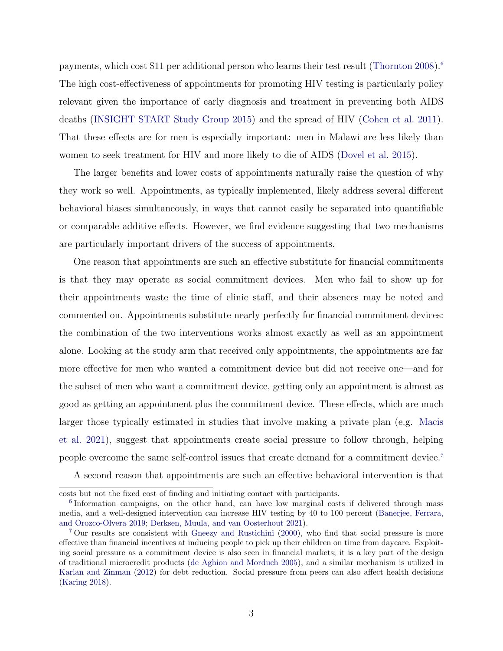<span id="page-3-2"></span>payments, which cost \$11 per additional person who learns their test result [\(Thornton 2008\)](#page-41-1).<sup>[6](#page-3-0)</sup> The high cost-effectiveness of appointments for promoting HIV testing is particularly policy relevant given the importance of early diagnosis and treatment in preventing both AIDS deaths [\(INSIGHT START Study Group 2015\)](#page-36-2) and the spread of HIV [\(Cohen et al. 2011\)](#page-33-2). That these effects are for men is especially important: men in Malawi are less likely than women to seek treatment for HIV and more likely to die of AIDS [\(Dovel et al. 2015\)](#page-34-1).

The larger benefits and lower costs of appointments naturally raise the question of why they work so well. Appointments, as typically implemented, likely address several different behavioral biases simultaneously, in ways that cannot easily be separated into quantifiable or comparable additive effects. However, we find evidence suggesting that two mechanisms are particularly important drivers of the success of appointments.

One reason that appointments are such an effective substitute for financial commitments is that they may operate as social commitment devices. Men who fail to show up for their appointments waste the time of clinic staff, and their absences may be noted and commented on. Appointments substitute nearly perfectly for financial commitment devices: the combination of the two interventions works almost exactly as well as an appointment alone. Looking at the study arm that received only appointments, the appointments are far more effective for men who wanted a commitment device but did not receive one—and for the subset of men who want a commitment device, getting only an appointment is almost as good as getting an appointment plus the commitment device. These effects, which are much larger those typically estimated in studies that involve making a private plan (e.g. [Macis](#page-37-4) [et al. 2021\)](#page-37-4), suggest that appointments create social pressure to follow through, helping people overcome the same self-control issues that create demand for a commitment device.[7](#page-3-1)

<span id="page-3-3"></span>A second reason that appointments are such an effective behavioral intervention is that

costs but not the fixed cost of finding and initiating contact with participants.

<span id="page-3-0"></span><sup>&</sup>lt;sup>[6](#page-3-2)</sup> Information campaigns, on the other hand, can have low marginal costs if delivered through mass media, and a well-designed intervention can increase HIV testing by 40 to 100 percent [\(Banerjee, Ferrara,](#page-32-3) [and Orozco-Olvera 2019;](#page-32-3) [Derksen, Muula, and van Oosterhout 2021\)](#page-34-2).

<span id="page-3-1"></span>[<sup>7</sup>](#page-3-3) Our results are consistent with [Gneezy and Rustichini](#page-35-2) [\(2000\)](#page-35-2), who find that social pressure is more effective than financial incentives at inducing people to pick up their children on time from daycare. Exploiting social pressure as a commitment device is also seen in financial markets; it is a key part of the design of traditional microcredit products [\(de Aghion and Morduch 2005\)](#page-34-3), and a similar mechanism is utilized in [Karlan and Zinman](#page-36-3) [\(2012\)](#page-36-3) for debt reduction. Social pressure from peers can also affect health decisions [\(Karing 2018\)](#page-36-4).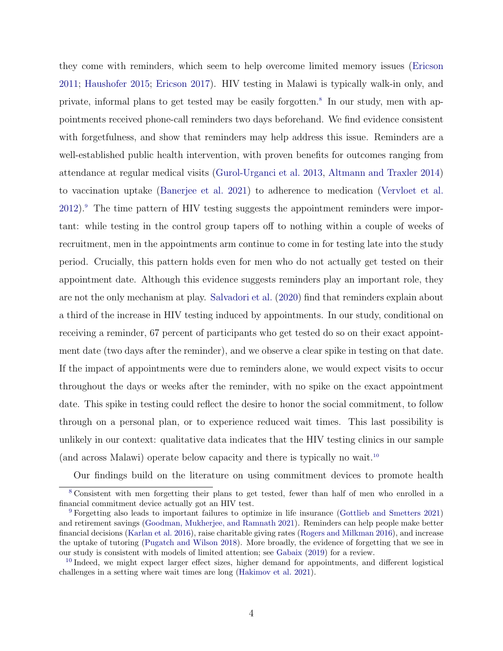<span id="page-4-4"></span><span id="page-4-3"></span>they come with reminders, which seem to help overcome limited memory issues [\(Ericson](#page-34-4) [2011;](#page-34-4) [Haushofer 2015;](#page-36-5) [Ericson 2017\)](#page-34-5). HIV testing in Malawi is typically walk-in only, and private, informal plans to get tested may be easily forgotten.[8](#page-4-0) In our study, men with appointments received phone-call reminders two days beforehand. We find evidence consistent with forgetfulness, and show that reminders may help address this issue. Reminders are a well-established public health intervention, with proven benefits for outcomes ranging from attendance at regular medical visits [\(Gurol-Urganci et al. 2013,](#page-36-6) [Altmann and Traxler 2014\)](#page-31-0) to vaccination uptake [\(Banerjee et al. 2021\)](#page-32-4) to adherence to medication [\(Vervloet et al.](#page-41-2) [2012\)](#page-41-2).[9](#page-4-1) The time pattern of HIV testing suggests the appointment reminders were important: while testing in the control group tapers off to nothing within a couple of weeks of recruitment, men in the appointments arm continue to come in for testing late into the study period. Crucially, this pattern holds even for men who do not actually get tested on their appointment date. Although this evidence suggests reminders play an important role, they are not the only mechanism at play. [Salvadori et al.](#page-40-2) [\(2020\)](#page-40-2) find that reminders explain about a third of the increase in HIV testing induced by appointments. In our study, conditional on receiving a reminder, 67 percent of participants who get tested do so on their exact appointment date (two days after the reminder), and we observe a clear spike in testing on that date. If the impact of appointments were due to reminders alone, we would expect visits to occur throughout the days or weeks after the reminder, with no spike on the exact appointment date. This spike in testing could reflect the desire to honor the social commitment, to follow through on a personal plan, or to experience reduced wait times. This last possibility is unlikely in our context: qualitative data indicates that the HIV testing clinics in our sample (and across Malawi) operate below capacity and there is typically no wait.[10](#page-4-2)

<span id="page-4-5"></span><span id="page-4-0"></span>Our findings build on the literature on using commitment devices to promote health

[<sup>8</sup>](#page-4-3) Consistent with men forgetting their plans to get tested, fewer than half of men who enrolled in a financial commitment device actually got an HIV test.

<span id="page-4-1"></span>[<sup>9</sup>](#page-4-4) Forgetting also leads to important failures to optimize in life insurance [\(Gottlieb and Smetters 2021\)](#page-35-3) and retirement savings [\(Goodman, Mukherjee, and Ramnath 2021\)](#page-35-4). Reminders can help people make better financial decisions [\(Karlan et al. 2016\)](#page-36-7), raise charitable giving rates [\(Rogers and Milkman 2016\)](#page-39-0), and increase the uptake of tutoring [\(Pugatch and Wilson 2018\)](#page-39-1). More broadly, the evidence of forgetting that we see in our study is consistent with models of limited attention; see [Gabaix](#page-35-5) [\(2019\)](#page-35-5) for a review.

<span id="page-4-2"></span><sup>&</sup>lt;sup>[10](#page-4-5)</sup> Indeed, we might expect larger effect sizes, higher demand for appointments, and different logistical challenges in a setting where wait times are long [\(Hakimov et al. 2021\)](#page-36-8).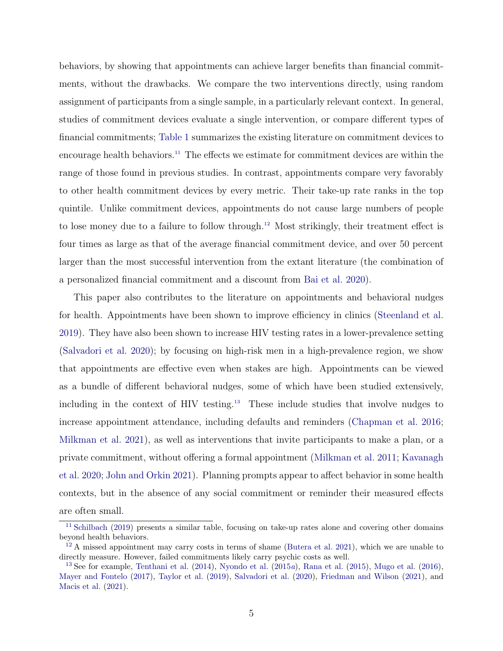<span id="page-5-3"></span>behaviors, by showing that appointments can achieve larger benefits than financial commitments, without the drawbacks. We compare the two interventions directly, using random assignment of participants from a single sample, in a particularly relevant context. In general, studies of commitment devices evaluate a single intervention, or compare different types of financial commitments; [Table 1](#page-48-0) summarizes the existing literature on commitment devices to encourage health behaviors.<sup>[11](#page-5-0)</sup> The effects we estimate for commitment devices are within the range of those found in previous studies. In contrast, appointments compare very favorably to other health commitment devices by every metric. Their take-up rate ranks in the top quintile. Unlike commitment devices, appointments do not cause large numbers of people to lose money due to a failure to follow through.[12](#page-5-1) Most strikingly, their treatment effect is four times as large as that of the average financial commitment device, and over 50 percent larger than the most successful intervention from the extant literature (the combination of a personalized financial commitment and a discount from [Bai et al. 2020\)](#page-32-0).

<span id="page-5-5"></span><span id="page-5-4"></span>This paper also contributes to the literature on appointments and behavioral nudges for health. Appointments have been shown to improve efficiency in clinics [\(Steenland et al.](#page-40-3) [2019\)](#page-40-3). They have also been shown to increase HIV testing rates in a lower-prevalence setting [\(Salvadori et al. 2020\)](#page-40-2); by focusing on high-risk men in a high-prevalence region, we show that appointments are effective even when stakes are high. Appointments can be viewed as a bundle of different behavioral nudges, some of which have been studied extensively, including in the context of HIV testing.[13](#page-5-2) These include studies that involve nudges to increase appointment attendance, including defaults and reminders [\(Chapman et al. 2016;](#page-33-3) [Milkman et al. 2021\)](#page-38-0), as well as interventions that invite participants to make a plan, or a private commitment, without offering a formal appointment [\(Milkman et al. 2011;](#page-38-1) [Kavanagh](#page-37-5) [et al. 2020;](#page-37-5) [John and Orkin 2021\)](#page-36-9). Planning prompts appear to affect behavior in some health contexts, but in the absence of any social commitment or reminder their measured effects are often small.

<span id="page-5-0"></span>[<sup>11</sup>](#page-5-3) [Schilbach](#page-40-0) [\(2019\)](#page-40-0) presents a similar table, focusing on take-up rates alone and covering other domains beyond health behaviors.

<span id="page-5-1"></span> $12$  A missed appointment may carry costs in terms of shame [\(Butera et al. 2021\)](#page-33-4), which we are unable to directly measure. However, failed commitments likely carry psychic costs as well.

<span id="page-5-2"></span><sup>&</sup>lt;sup>[13](#page-5-5)</sup> See for example, [Tenthani et al.](#page-41-3) [\(2014\)](#page-41-3), [Nyondo et al.](#page-39-2) [\(2015](#page-39-2)a), [Rana et al.](#page-39-3) [\(2015\)](#page-39-3), [Mugo et al.](#page-38-2) [\(2016\)](#page-38-2), [Mayer and Fontelo](#page-37-6) [\(2017\)](#page-37-6), [Taylor et al.](#page-40-4) [\(2019\)](#page-40-4), [Salvadori et al.](#page-40-2) [\(2020\)](#page-40-2), [Friedman and Wilson](#page-35-6) [\(2021\)](#page-35-6), and [Macis et al.](#page-37-4) [\(2021\)](#page-37-4).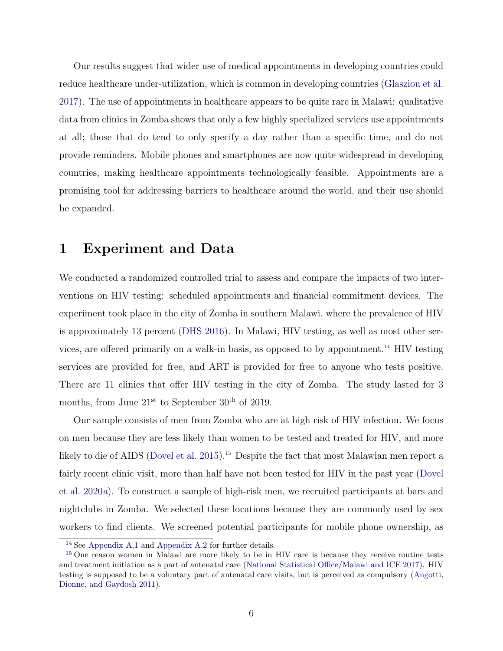Our results suggest that wider use of medical appointments in developing countries could reduce healthcare under-utilization, which is common in developing countries [\(Glasziou et al.](#page-35-7) [2017\)](#page-35-7). The use of appointments in healthcare appears to be quite rare in Malawi: qualitative data from clinics in Zomba shows that only a few highly specialized services use appointments at all; those that do tend to only specify a day rather than a specific time, and do not provide reminders. Mobile phones and smartphones are now quite widespread in developing countries, making healthcare appointments technologically feasible. Appointments are a promising tool for addressing barriers to healthcare around the world, and their use should be expanded.

# 1 Experiment and Data

<span id="page-6-2"></span>We conducted a randomized controlled trial to assess and compare the impacts of two interventions on HIV testing: scheduled appointments and financial commitment devices. The experiment took place in the city of Zomba in southern Malawi, where the prevalence of HIV is approximately 13 percent [\(DHS 2016\)](#page-34-6). In Malawi, HIV testing, as well as most other services, are offered primarily on a walk-in basis, as opposed to by appointment.[14](#page-6-0) HIV testing services are provided for free, and ART is provided for free to anyone who tests positive. There are 11 clinics that offer HIV testing in the city of Zomba. The study lasted for 3 months, from June  $21<sup>st</sup>$  to September  $30<sup>th</sup>$  of 2019.

<span id="page-6-3"></span>Our sample consists of men from Zomba who are at high risk of HIV infection. We focus on men because they are less likely than women to be tested and treated for HIV, and more likely to die of AIDS [\(Dovel et al. 2015\)](#page-34-1).<sup>[15](#page-6-1)</sup> Despite the fact that most Malawian men report a fairly recent clinic visit, more than half have not been tested for HIV in the past year [\(Dovel](#page-34-7) [et al. 2020](#page-34-7)a). To construct a sample of high-risk men, we recruited participants at bars and nightclubs in Zomba. We selected these locations because they are commonly used by sex workers to find clients. We screened potential participants for mobile phone ownership, as

<span id="page-6-1"></span><span id="page-6-0"></span>[<sup>14</sup>](#page-6-2) See [Appendix A.1](#page-53-0) and [Appendix A.2](#page-54-0) for further details.

<sup>&</sup>lt;sup>[15](#page-6-3)</sup> One reason women in Malawi are more likely to be in HIV care is because they receive routine tests and treatment initiation as a part of antenatal care [\(National Statistical Office/Malawi and ICF 2017\)](#page-39-4). HIV testing is supposed to be a voluntary part of antenatal care visits, but is perceived as compulsory [\(Angotti,](#page-32-5) [Dionne, and Gaydosh 2011\)](#page-32-5).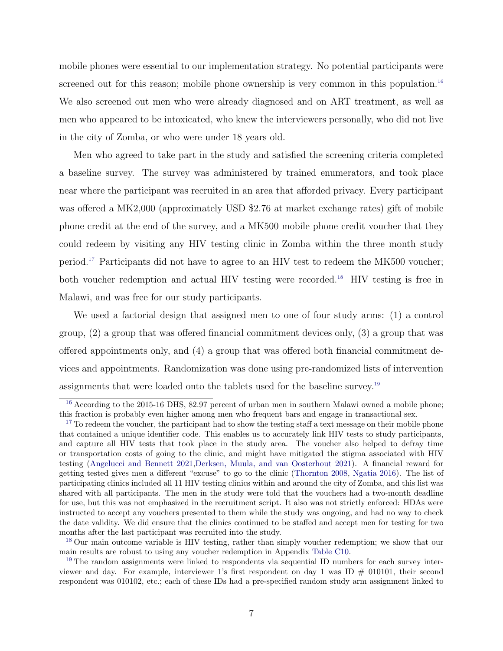<span id="page-7-4"></span>mobile phones were essential to our implementation strategy. No potential participants were screened out for this reason; mobile phone ownership is very common in this population.<sup>[16](#page-7-0)</sup> We also screened out men who were already diagnosed and on ART treatment, as well as men who appeared to be intoxicated, who knew the interviewers personally, who did not live in the city of Zomba, or who were under 18 years old.

Men who agreed to take part in the study and satisfied the screening criteria completed a baseline survey. The survey was administered by trained enumerators, and took place near where the participant was recruited in an area that afforded privacy. Every participant was offered a MK2,000 (approximately USD \$2.76 at market exchange rates) gift of mobile phone credit at the end of the survey, and a MK500 mobile phone credit voucher that they could redeem by visiting any HIV testing clinic in Zomba within the three month study period.[17](#page-7-1) Participants did not have to agree to an HIV test to redeem the MK500 voucher; both voucher redemption and actual HIV testing were recorded.<sup>[18](#page-7-2)</sup> HIV testing is free in Malawi, and was free for our study participants.

<span id="page-7-6"></span><span id="page-7-5"></span>We used a factorial design that assigned men to one of four study arms: (1) a control group, (2) a group that was offered financial commitment devices only, (3) a group that was offered appointments only, and (4) a group that was offered both financial commitment devices and appointments. Randomization was done using pre-randomized lists of intervention assignments that were loaded onto the tablets used for the baseline survey.[19](#page-7-3)

<span id="page-7-7"></span><span id="page-7-0"></span><sup>&</sup>lt;sup>[16](#page-7-4)</sup> According to the 2015-16 DHS, 82.97 percent of urban men in southern Malawi owned a mobile phone; this fraction is probably even higher among men who frequent bars and engage in transactional sex.

<span id="page-7-1"></span><sup>&</sup>lt;sup>[17](#page-7-5)</sup> To redeem the voucher, the participant had to show the testing staff a text message on their mobile phone that contained a unique identifier code. This enables us to accurately link HIV tests to study participants, and capture all HIV tests that took place in the study area. The voucher also helped to defray time or transportation costs of going to the clinic, and might have mitigated the stigma associated with HIV testing [\(Angelucci and Bennett 2021,](#page-31-1)[Derksen, Muula, and van Oosterhout 2021\)](#page-34-2). A financial reward for getting tested gives men a different "excuse" to go to the clinic [\(Thornton 2008,](#page-41-1) [Ngatia 2016\)](#page-39-5). The list of participating clinics included all 11 HIV testing clinics within and around the city of Zomba, and this list was shared with all participants. The men in the study were told that the vouchers had a two-month deadline for use, but this was not emphasized in the recruitment script. It also was not strictly enforced: HDAs were instructed to accept any vouchers presented to them while the study was ongoing, and had no way to check the date validity. We did ensure that the clinics continued to be staffed and accept men for testing for two months after the last participant was recruited into the study.

<span id="page-7-2"></span><sup>&</sup>lt;sup>[18](#page-7-6)</sup> Our main outcome variable is HIV testing, rather than simply voucher redemption; we show that our main results are robust to using any voucher redemption in Appendix [Table C10.](#page-72-0)

<span id="page-7-3"></span><sup>&</sup>lt;sup>[19](#page-7-7)</sup> The random assignments were linked to respondents via sequential ID numbers for each survey interviewer and day. For example, interviewer 1's first respondent on day 1 was ID  $\#$  010101, their second respondent was 010102, etc.; each of these IDs had a pre-specified random study arm assignment linked to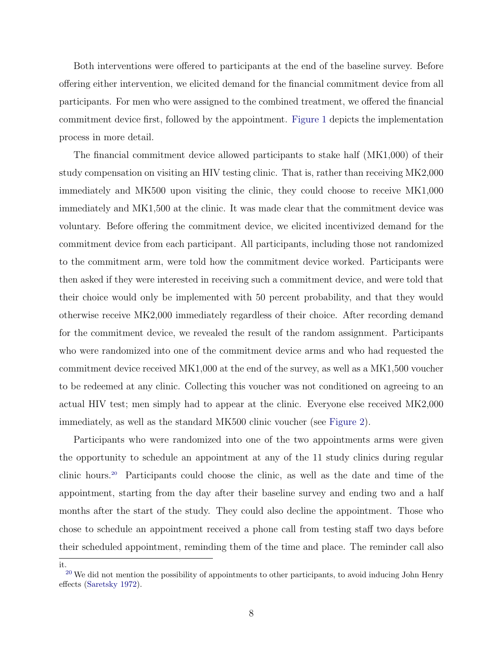Both interventions were offered to participants at the end of the baseline survey. Before offering either intervention, we elicited demand for the financial commitment device from all participants. For men who were assigned to the combined treatment, we offered the financial commitment device first, followed by the appointment. [Figure 1](#page-42-0) depicts the implementation process in more detail.

The financial commitment device allowed participants to stake half (MK1,000) of their study compensation on visiting an HIV testing clinic. That is, rather than receiving MK2,000 immediately and MK500 upon visiting the clinic, they could choose to receive MK1,000 immediately and MK1,500 at the clinic. It was made clear that the commitment device was voluntary. Before offering the commitment device, we elicited incentivized demand for the commitment device from each participant. All participants, including those not randomized to the commitment arm, were told how the commitment device worked. Participants were then asked if they were interested in receiving such a commitment device, and were told that their choice would only be implemented with 50 percent probability, and that they would otherwise receive MK2,000 immediately regardless of their choice. After recording demand for the commitment device, we revealed the result of the random assignment. Participants who were randomized into one of the commitment device arms and who had requested the commitment device received MK1,000 at the end of the survey, as well as a MK1,500 voucher to be redeemed at any clinic. Collecting this voucher was not conditioned on agreeing to an actual HIV test; men simply had to appear at the clinic. Everyone else received MK2,000 immediately, as well as the standard MK500 clinic voucher (see [Figure 2\)](#page-42-1).

<span id="page-8-1"></span>Participants who were randomized into one of the two appointments arms were given the opportunity to schedule an appointment at any of the 11 study clinics during regular clinic hours.[20](#page-8-0) Participants could choose the clinic, as well as the date and time of the appointment, starting from the day after their baseline survey and ending two and a half months after the start of the study. They could also decline the appointment. Those who chose to schedule an appointment received a phone call from testing staff two days before their scheduled appointment, reminding them of the time and place. The reminder call also

it.

<span id="page-8-0"></span> $20$  We did not mention the possibility of appointments to other participants, to avoid inducing John Henry effects [\(Saretsky 1972\)](#page-40-5).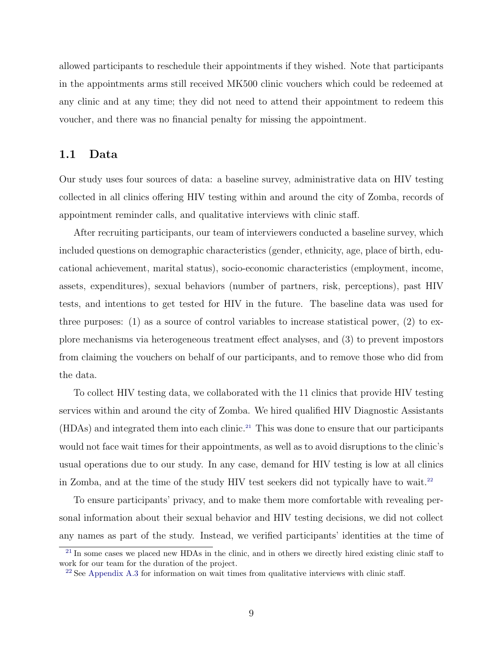allowed participants to reschedule their appointments if they wished. Note that participants in the appointments arms still received MK500 clinic vouchers which could be redeemed at any clinic and at any time; they did not need to attend their appointment to redeem this voucher, and there was no financial penalty for missing the appointment.

## <span id="page-9-4"></span>1.1 Data

Our study uses four sources of data: a baseline survey, administrative data on HIV testing collected in all clinics offering HIV testing within and around the city of Zomba, records of appointment reminder calls, and qualitative interviews with clinic staff.

After recruiting participants, our team of interviewers conducted a baseline survey, which included questions on demographic characteristics (gender, ethnicity, age, place of birth, educational achievement, marital status), socio-economic characteristics (employment, income, assets, expenditures), sexual behaviors (number of partners, risk, perceptions), past HIV tests, and intentions to get tested for HIV in the future. The baseline data was used for three purposes: (1) as a source of control variables to increase statistical power, (2) to explore mechanisms via heterogeneous treatment effect analyses, and (3) to prevent impostors from claiming the vouchers on behalf of our participants, and to remove those who did from the data.

<span id="page-9-2"></span>To collect HIV testing data, we collaborated with the 11 clinics that provide HIV testing services within and around the city of Zomba. We hired qualified HIV Diagnostic Assistants (HDAs) and integrated them into each clinic.[21](#page-9-0) This was done to ensure that our participants would not face wait times for their appointments, as well as to avoid disruptions to the clinic's usual operations due to our study. In any case, demand for HIV testing is low at all clinics in Zomba, and at the time of the study HIV test seekers did not typically have to wait.<sup>[22](#page-9-1)</sup>

<span id="page-9-3"></span>To ensure participants' privacy, and to make them more comfortable with revealing personal information about their sexual behavior and HIV testing decisions, we did not collect any names as part of the study. Instead, we verified participants' identities at the time of

<span id="page-9-0"></span> $^{21}$  $^{21}$  $^{21}$  In some cases we placed new HDAs in the clinic, and in others we directly hired existing clinic staff to work for our team for the duration of the project.

<span id="page-9-1"></span> $^{22}$  $^{22}$  $^{22}$  See [Appendix A.3](#page-55-0) for information on wait times from qualitative interviews with clinic staff.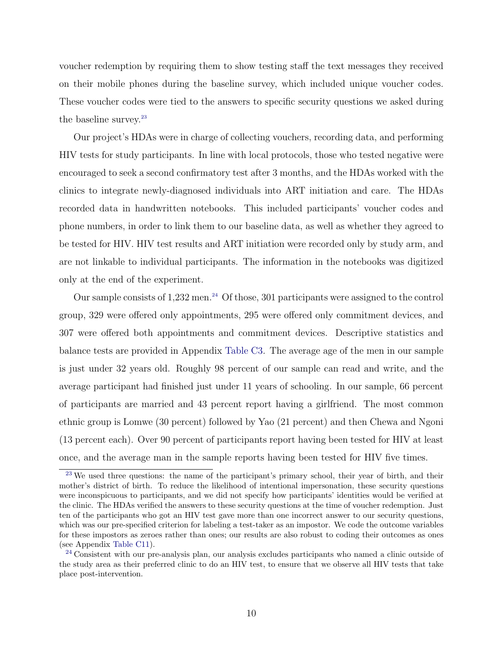voucher redemption by requiring them to show testing staff the text messages they received on their mobile phones during the baseline survey, which included unique voucher codes. These voucher codes were tied to the answers to specific security questions we asked during the baseline survey.<sup>[23](#page-10-0)</sup>

<span id="page-10-2"></span>Our project's HDAs were in charge of collecting vouchers, recording data, and performing HIV tests for study participants. In line with local protocols, those who tested negative were encouraged to seek a second confirmatory test after 3 months, and the HDAs worked with the clinics to integrate newly-diagnosed individuals into ART initiation and care. The HDAs recorded data in handwritten notebooks. This included participants' voucher codes and phone numbers, in order to link them to our baseline data, as well as whether they agreed to be tested for HIV. HIV test results and ART initiation were recorded only by study arm, and are not linkable to individual participants. The information in the notebooks was digitized only at the end of the experiment.

<span id="page-10-3"></span>Our sample consists of  $1,232$  men.<sup>[24](#page-10-1)</sup> Of those, 301 participants were assigned to the control group, 329 were offered only appointments, 295 were offered only commitment devices, and 307 were offered both appointments and commitment devices. Descriptive statistics and balance tests are provided in Appendix [Table C3.](#page-64-0) The average age of the men in our sample is just under 32 years old. Roughly 98 percent of our sample can read and write, and the average participant had finished just under 11 years of schooling. In our sample, 66 percent of participants are married and 43 percent report having a girlfriend. The most common ethnic group is Lomwe (30 percent) followed by Yao (21 percent) and then Chewa and Ngoni (13 percent each). Over 90 percent of participants report having been tested for HIV at least once, and the average man in the sample reports having been tested for HIV five times.

<span id="page-10-0"></span><sup>&</sup>lt;sup>[23](#page-10-2)</sup> We used three questions: the name of the participant's primary school, their year of birth, and their mother's district of birth. To reduce the likelihood of intentional impersonation, these security questions were inconspicuous to participants, and we did not specify how participants' identities would be verified at the clinic. The HDAs verified the answers to these security questions at the time of voucher redemption. Just ten of the participants who got an HIV test gave more than one incorrect answer to our security questions, which was our pre-specified criterion for labeling a test-taker as an impostor. We code the outcome variables for these impostors as zeroes rather than ones; our results are also robust to coding their outcomes as ones (see Appendix [Table C11\)](#page-73-0).

<span id="page-10-1"></span><sup>&</sup>lt;sup>[24](#page-10-3)</sup> Consistent with our pre-analysis plan, our analysis excludes participants who named a clinic outside of the study area as their preferred clinic to do an HIV test, to ensure that we observe all HIV tests that take place post-intervention.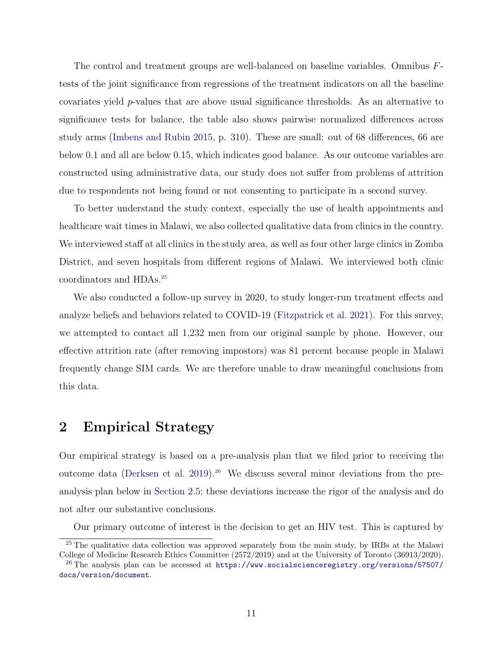The control and treatment groups are well-balanced on baseline variables. Omnibus Ftests of the joint significance from regressions of the treatment indicators on all the baseline covariates yield p-values that are above usual significance thresholds. As an alternative to significance tests for balance, the table also shows pairwise normalized differences across study arms [\(Imbens and Rubin 2015,](#page-36-10) p. 310). These are small: out of 68 differences, 66 are below 0.1 and all are below 0.15, which indicates good balance. As our outcome variables are constructed using administrative data, our study does not suffer from problems of attrition due to respondents not being found or not consenting to participate in a second survey.

To better understand the study context, especially the use of health appointments and healthcare wait times in Malawi, we also collected qualitative data from clinics in the country. We interviewed staff at all clinics in the study area, as well as four other large clinics in Zomba District, and seven hospitals from different regions of Malawi. We interviewed both clinic coordinators and HDAs.[25](#page-11-0)

<span id="page-11-2"></span>We also conducted a follow-up survey in 2020, to study longer-run treatment effects and analyze beliefs and behaviors related to COVID-19 [\(Fitzpatrick et al. 2021\)](#page-35-8). For this survey, we attempted to contact all 1,232 men from our original sample by phone. However, our effective attrition rate (after removing impostors) was 81 percent because people in Malawi frequently change SIM cards. We are therefore unable to draw meaningful conclusions from this data.

# 2 Empirical Strategy

Our empirical strategy is based on a pre-analysis plan that we filed prior to receiving the outcome data [\(Derksen et al. 2019\)](#page-34-8).<sup>[26](#page-11-1)</sup> We discuss several minor deviations from the preanalysis plan below in [Section 2.5;](#page-16-0) these deviations increase the rigor of the analysis and do not alter our substantive conclusions.

<span id="page-11-3"></span>Our primary outcome of interest is the decision to get an HIV test. This is captured by

<span id="page-11-0"></span><sup>&</sup>lt;sup>[25](#page-11-2)</sup> The qualitative data collection was approved separately from the main study, by IRBs at the Malawi College of Medicine Research Ethics Committee (2572/2019) and at the University of Toronto (36913/2020).

<span id="page-11-1"></span> $^{26}$  $^{26}$  $^{26}$  The analysis plan can be accessed at [https://www.socialscienceregistry.org/versions/57507/](https://www.socialscienceregistry.org/versions/57507/docs/version/document) [docs/version/document](https://www.socialscienceregistry.org/versions/57507/docs/version/document).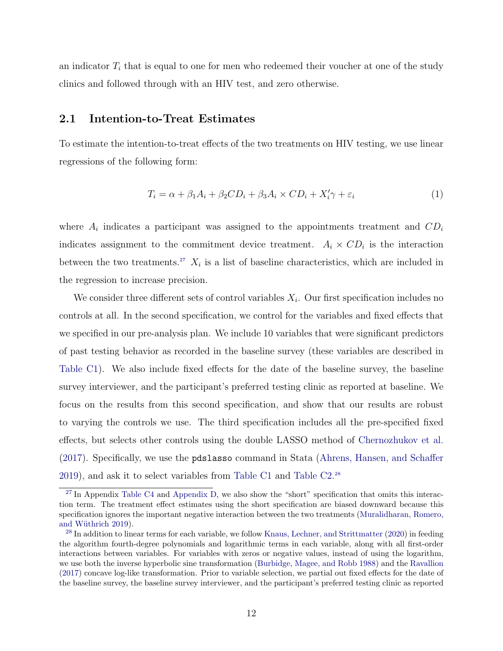an indicator  $T_i$  that is equal to one for men who redeemed their voucher at one of the study clinics and followed through with an HIV test, and zero otherwise.

## 2.1 Intention-to-Treat Estimates

To estimate the intention-to-treat effects of the two treatments on HIV testing, we use linear regressions of the following form:

<span id="page-12-4"></span><span id="page-12-2"></span>
$$
T_i = \alpha + \beta_1 A_i + \beta_2 CD_i + \beta_3 A_i \times CD_i + X_i' \gamma + \varepsilon_i \tag{1}
$$

where  $A_i$  indicates a participant was assigned to the appointments treatment and  $CD_i$ indicates assignment to the commitment device treatment.  $A_i \times CD_i$  is the interaction between the two treatments.<sup>[27](#page-12-0)</sup>  $X_i$  is a list of baseline characteristics, which are included in the regression to increase precision.

We consider three different sets of control variables  $X_i$ . Our first specification includes no controls at all. In the second specification, we control for the variables and fixed effects that we specified in our pre-analysis plan. We include 10 variables that were significant predictors of past testing behavior as recorded in the baseline survey (these variables are described in [Table C1\)](#page-62-0). We also include fixed effects for the date of the baseline survey, the baseline survey interviewer, and the participant's preferred testing clinic as reported at baseline. We focus on the results from this second specification, and show that our results are robust to varying the controls we use. The third specification includes all the pre-specified fixed effects, but selects other controls using the double LASSO method of [Chernozhukov et al.](#page-33-5) [\(2017\)](#page-33-5). Specifically, we use the pdslasso command in Stata [\(Ahrens, Hansen, and Schaffer](#page-31-2) [2019\)](#page-31-2), and ask it to select variables from [Table C1](#page-62-0) and [Table C2.](#page-63-0) [28](#page-12-1)

<span id="page-12-3"></span><span id="page-12-0"></span> $27$  In Appendix [Table C4](#page-66-0) and [Appendix D,](#page-74-0) we also show the "short" specification that omits this interaction term. The treatment effect estimates using the short specification are biased downward because this specification ignores the important negative interaction between the two treatments [\(Muralidharan, Romero,](#page-38-3) and Wüthrich 2019).

<span id="page-12-1"></span><sup>&</sup>lt;sup>[28](#page-12-3)</sup> In addition to linear terms for each variable, we follow [Knaus, Lechner, and Strittmatter](#page-37-7) [\(2020\)](#page-37-7) in feeding the algorithm fourth-degree polynomials and logarithmic terms in each variable, along with all first-order interactions between variables. For variables with zeros or negative values, instead of using the logarithm, we use both the inverse hyperbolic sine transformation [\(Burbidge, Magee, and Robb 1988\)](#page-33-6) and the [Ravallion](#page-39-6) [\(2017\)](#page-39-6) concave log-like transformation. Prior to variable selection, we partial out fixed effects for the date of the baseline survey, the baseline survey interviewer, and the participant's preferred testing clinic as reported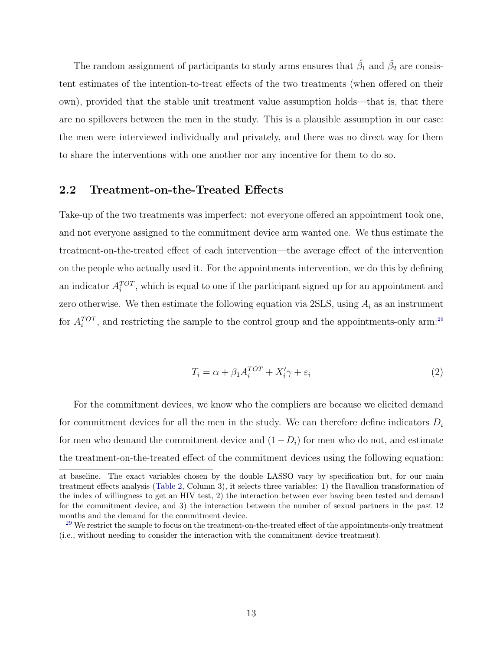The random assignment of participants to study arms ensures that  $\hat{\beta}_1$  and  $\hat{\beta}_2$  are consistent estimates of the intention-to-treat effects of the two treatments (when offered on their own), provided that the stable unit treatment value assumption holds—that is, that there are no spillovers between the men in the study. This is a plausible assumption in our case: the men were interviewed individually and privately, and there was no direct way for them to share the interventions with one another nor any incentive for them to do so.

## 2.2 Treatment-on-the-Treated Effects

Take-up of the two treatments was imperfect: not everyone offered an appointment took one, and not everyone assigned to the commitment device arm wanted one. We thus estimate the treatment-on-the-treated effect of each intervention—the average effect of the intervention on the people who actually used it. For the appointments intervention, we do this by defining an indicator  $A_i^{TOT}$ , which is equal to one if the participant signed up for an appointment and zero otherwise. We then estimate the following equation via  $2SLS$ , using  $A_i$  as an instrument for  $A_i^{TOT}$ , and restricting the sample to the control group and the appointments-only arm:<sup>[29](#page-13-0)</sup>

<span id="page-13-1"></span>
$$
T_i = \alpha + \beta_1 A_i^{TOT} + X_i' \gamma + \varepsilon_i \tag{2}
$$

For the commitment devices, we know who the compliers are because we elicited demand for commitment devices for all the men in the study. We can therefore define indicators  $D_i$ for men who demand the commitment device and  $(1-D_i)$  for men who do not, and estimate the treatment-on-the-treated effect of the commitment devices using the following equation:

at baseline. The exact variables chosen by the double LASSO vary by specification but, for our main treatment effects analysis [\(Table 2,](#page-49-0) Column 3), it selects three variables: 1) the Ravallion transformation of the index of willingness to get an HIV test, 2) the interaction between ever having been tested and demand for the commitment device, and 3) the interaction between the number of sexual partners in the past 12 months and the demand for the commitment device.

<span id="page-13-0"></span><sup>&</sup>lt;sup>[29](#page-13-1)</sup> We restrict the sample to focus on the treatment-on-the-treated effect of the appointments-only treatment (i.e., without needing to consider the interaction with the commitment device treatment).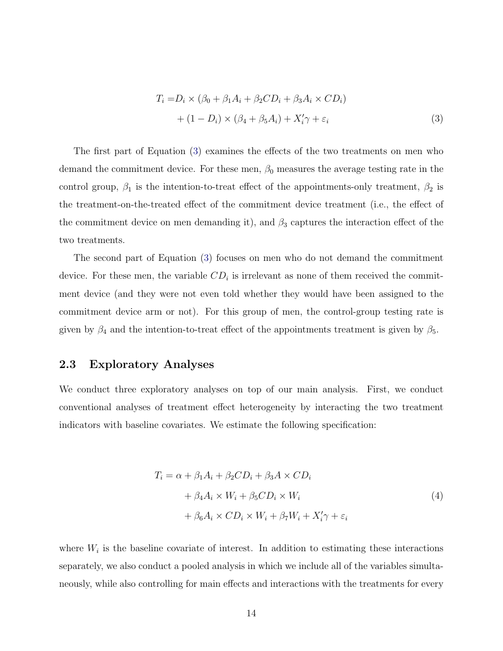<span id="page-14-0"></span>
$$
T_i = D_i \times (\beta_0 + \beta_1 A_i + \beta_2 CD_i + \beta_3 A_i \times CD_i)
$$
  
+ 
$$
(1 - D_i) \times (\beta_4 + \beta_5 A_i) + X'_i \gamma + \varepsilon_i
$$
 (3)

The first part of Equation [\(3\)](#page-14-0) examines the effects of the two treatments on men who demand the commitment device. For these men,  $\beta_0$  measures the average testing rate in the control group,  $\beta_1$  is the intention-to-treat effect of the appointments-only treatment,  $\beta_2$  is the treatment-on-the-treated effect of the commitment device treatment (i.e., the effect of the commitment device on men demanding it), and  $\beta_3$  captures the interaction effect of the two treatments.

The second part of Equation [\(3\)](#page-14-0) focuses on men who do not demand the commitment device. For these men, the variable  $CD<sub>i</sub>$  is irrelevant as none of them received the commitment device (and they were not even told whether they would have been assigned to the commitment device arm or not). For this group of men, the control-group testing rate is given by  $\beta_4$  and the intention-to-treat effect of the appointments treatment is given by  $\beta_5$ .

### 2.3 Exploratory Analyses

We conduct three exploratory analyses on top of our main analysis. First, we conduct conventional analyses of treatment effect heterogeneity by interacting the two treatment indicators with baseline covariates. We estimate the following specification:

$$
T_i = \alpha + \beta_1 A_i + \beta_2 CD_i + \beta_3 A \times CD_i
$$
  
+  $\beta_4 A_i \times W_i + \beta_5 CD_i \times W_i$   
+  $\beta_6 A_i \times CD_i \times W_i + \beta_7 W_i + X'_i \gamma + \varepsilon_i$  (4)

where  $W_i$  is the baseline covariate of interest. In addition to estimating these interactions separately, we also conduct a pooled analysis in which we include all of the variables simultaneously, while also controlling for main effects and interactions with the treatments for every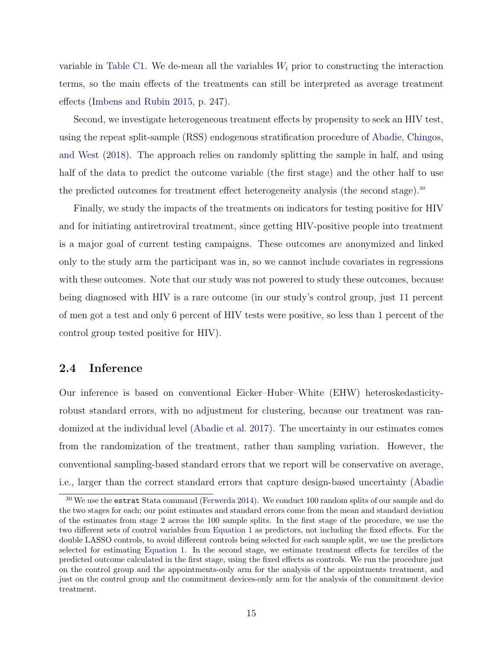variable in [Table C1.](#page-62-0) We de-mean all the variables  $W_i$  prior to constructing the interaction terms, so the main effects of the treatments can still be interpreted as average treatment effects [\(Imbens and Rubin 2015,](#page-36-10) p. 247).

Second, we investigate heterogeneous treatment effects by propensity to seek an HIV test, using the repeat split-sample (RSS) endogenous stratification procedure of [Abadie, Chingos,](#page-31-3) [and West](#page-31-3) [\(2018\)](#page-31-3). The approach relies on randomly splitting the sample in half, and using half of the data to predict the outcome variable (the first stage) and the other half to use the predicted outcomes for treatment effect heterogeneity analysis (the second stage).<sup>[30](#page-15-0)</sup>

<span id="page-15-1"></span>Finally, we study the impacts of the treatments on indicators for testing positive for HIV and for initiating antiretroviral treatment, since getting HIV-positive people into treatment is a major goal of current testing campaigns. These outcomes are anonymized and linked only to the study arm the participant was in, so we cannot include covariates in regressions with these outcomes. Note that our study was not powered to study these outcomes, because being diagnosed with HIV is a rare outcome (in our study's control group, just 11 percent of men got a test and only 6 percent of HIV tests were positive, so less than 1 percent of the control group tested positive for HIV).

## 2.4 Inference

Our inference is based on conventional Eicker–Huber–White (EHW) heteroskedasticityrobust standard errors, with no adjustment for clustering, because our treatment was randomized at the individual level [\(Abadie et al. 2017\)](#page-31-4). The uncertainty in our estimates comes from the randomization of the treatment, rather than sampling variation. However, the conventional sampling-based standard errors that we report will be conservative on average, i.e., larger than the correct standard errors that capture design-based uncertainty [\(Abadie](#page-31-5)

<span id="page-15-0"></span><sup>&</sup>lt;sup>[30](#page-15-1)</sup> We use the estrat [Stata command \(Ferwerda 2014\). We conduct 100 random splits of our sample and do](#page-31-5) [the two stages for each; our point estimates and standard errors come from the mean and standard deviation](#page-31-5) [of the estimates from stage 2 across the 100 sample splits. In the first stage of the procedure, we use the](#page-31-5) two different sets of control variables from [Equation 1](#page-12-4) [as predictors, not including the fixed effects. For the](#page-31-5) [double LASSO controls, to avoid different controls being selected for each sample split, we use the predictors](#page-31-5) selected for estimating [Equation 1. In the second stage, we estimate treatment effects for terciles of the](#page-31-5) [predicted outcome calculated in the first stage, using the fixed effects as controls. We run the procedure just](#page-31-5) [on the control group and the appointments-only arm for the analysis of the appointments treatment, and](#page-31-5) [just on the control group and the commitment devices-only arm for the analysis of the commitment device](#page-31-5) [treatment.](#page-31-5)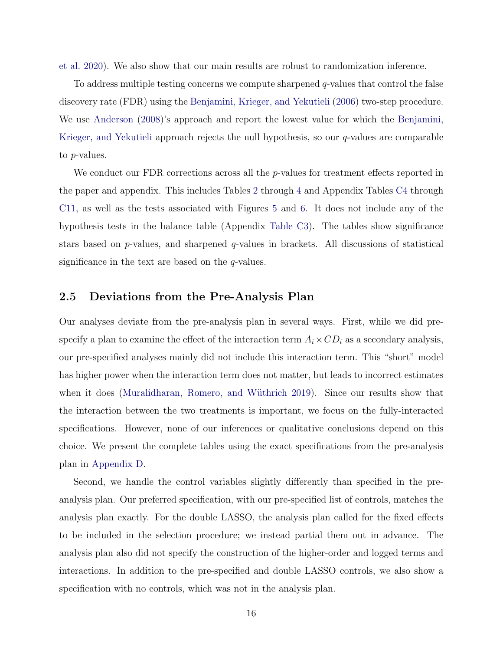[et al. 2020\)](#page-31-5). We also show that our main results are robust to randomization inference.

To address multiple testing concerns we compute sharpened  $q$ -values that control the false discovery rate (FDR) using the [Benjamini, Krieger, and Yekutieli](#page-32-2) [\(2006\)](#page-32-2) two-step procedure. We use [Anderson](#page-31-6) [\(2008\)](#page-31-6)'s approach and report the lowest value for which the [Benjamini,](#page-32-2) [Krieger, and Yekutieli](#page-32-2) approach rejects the null hypothesis, so our  $q$ -values are comparable to p-values.

We conduct our FDR corrections across all the  $p$ -values for treatment effects reported in the paper and appendix. This includes Tables [2](#page-49-0) through [4](#page-51-0) and Appendix Tables [C4](#page-66-0) through [C11,](#page-73-0) as well as the tests associated with Figures [5](#page-45-0) and [6.](#page-46-0) It does not include any of the hypothesis tests in the balance table (Appendix [Table C3\)](#page-64-0). The tables show significance stars based on  $p$ -values, and sharpened  $q$ -values in brackets. All discussions of statistical significance in the text are based on the  $q$ -values.

#### <span id="page-16-0"></span>2.5 Deviations from the Pre-Analysis Plan

Our analyses deviate from the pre-analysis plan in several ways. First, while we did prespecify a plan to examine the effect of the interaction term  $A_i \times CD_i$  as a secondary analysis, our pre-specified analyses mainly did not include this interaction term. This "short" model has higher power when the interaction term does not matter, but leads to incorrect estimates when it does (Muralidharan, Romero, and Wüthrich 2019). Since our results show that the interaction between the two treatments is important, we focus on the fully-interacted specifications. However, none of our inferences or qualitative conclusions depend on this choice. We present the complete tables using the exact specifications from the pre-analysis plan in [Appendix D.](#page-74-0)

Second, we handle the control variables slightly differently than specified in the preanalysis plan. Our preferred specification, with our pre-specified list of controls, matches the analysis plan exactly. For the double LASSO, the analysis plan called for the fixed effects to be included in the selection procedure; we instead partial them out in advance. The analysis plan also did not specify the construction of the higher-order and logged terms and interactions. In addition to the pre-specified and double LASSO controls, we also show a specification with no controls, which was not in the analysis plan.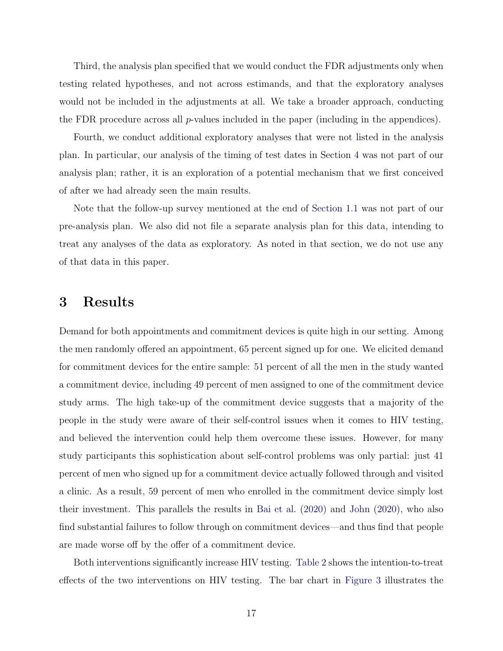Third, the analysis plan specified that we would conduct the FDR adjustments only when testing related hypotheses, and not across estimands, and that the exploratory analyses would not be included in the adjustments at all. We take a broader approach, conducting the FDR procedure across all  $p$ -values included in the paper (including in the appendices).

Fourth, we conduct additional exploratory analyses that were not listed in the analysis plan. In particular, our analysis of the timing of test dates in Section [4](#page-22-0) was not part of our analysis plan; rather, it is an exploration of a potential mechanism that we first conceived of after we had already seen the main results.

Note that the follow-up survey mentioned at the end of [Section 1.1](#page-9-4) was not part of our pre-analysis plan. We also did not file a separate analysis plan for this data, intending to treat any analyses of the data as exploratory. As noted in that section, we do not use any of that data in this paper.

# 3 Results

Demand for both appointments and commitment devices is quite high in our setting. Among the men randomly offered an appointment, 65 percent signed up for one. We elicited demand for commitment devices for the entire sample: 51 percent of all the men in the study wanted a commitment device, including 49 percent of men assigned to one of the commitment device study arms. The high take-up of the commitment device suggests that a majority of the people in the study were aware of their self-control issues when it comes to HIV testing, and believed the intervention could help them overcome these issues. However, for many study participants this sophistication about self-control problems was only partial: just 41 percent of men who signed up for a commitment device actually followed through and visited a clinic. As a result, 59 percent of men who enrolled in the commitment device simply lost their investment. This parallels the results in [Bai et al.](#page-32-0) [\(2020\)](#page-32-0) and [John](#page-36-1) [\(2020\)](#page-36-1), who also find substantial failures to follow through on commitment devices—and thus find that people are made worse off by the offer of a commitment device.

Both interventions significantly increase HIV testing. [Table 2](#page-49-0) shows the intention-to-treat effects of the two interventions on HIV testing. The bar chart in [Figure 3](#page-43-0) illustrates the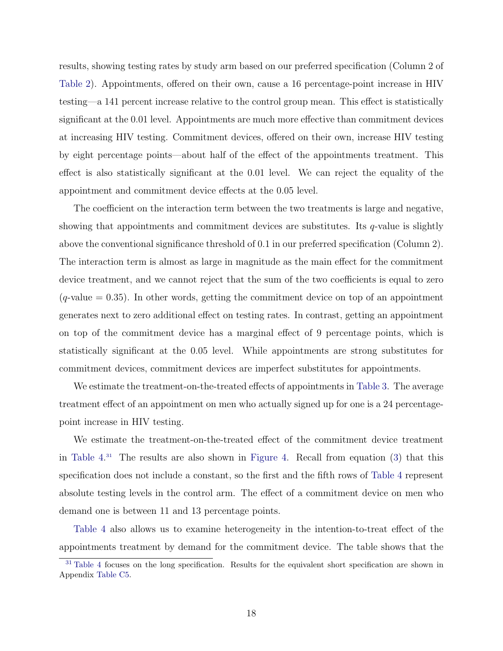results, showing testing rates by study arm based on our preferred specification (Column 2 of [Table 2\)](#page-49-0). Appointments, offered on their own, cause a 16 percentage-point increase in HIV testing—a 141 percent increase relative to the control group mean. This effect is statistically significant at the 0.01 level. Appointments are much more effective than commitment devices at increasing HIV testing. Commitment devices, offered on their own, increase HIV testing by eight percentage points—about half of the effect of the appointments treatment. This effect is also statistically significant at the 0.01 level. We can reject the equality of the appointment and commitment device effects at the 0.05 level.

The coefficient on the interaction term between the two treatments is large and negative, showing that appointments and commitment devices are substitutes. Its  $q$ -value is slightly above the conventional significance threshold of 0.1 in our preferred specification (Column 2). The interaction term is almost as large in magnitude as the main effect for the commitment device treatment, and we cannot reject that the sum of the two coefficients is equal to zero  $(q$ -value  $= 0.35$ ). In other words, getting the commitment device on top of an appointment generates next to zero additional effect on testing rates. In contrast, getting an appointment on top of the commitment device has a marginal effect of 9 percentage points, which is statistically significant at the 0.05 level. While appointments are strong substitutes for commitment devices, commitment devices are imperfect substitutes for appointments.

We estimate the treatment-on-the-treated effects of appointments in [Table 3.](#page-50-0) The average treatment effect of an appointment on men who actually signed up for one is a 24 percentagepoint increase in HIV testing.

<span id="page-18-1"></span>We estimate the treatment-on-the-treated effect of the commitment device treatment in [Table 4.](#page-51-0) [31](#page-18-0) The results are also shown in [Figure 4.](#page-44-0) Recall from equation [\(3\)](#page-14-0) that this specification does not include a constant, so the first and the fifth rows of [Table 4](#page-51-0) represent absolute testing levels in the control arm. The effect of a commitment device on men who demand one is between 11 and 13 percentage points.

[Table 4](#page-51-0) also allows us to examine heterogeneity in the intention-to-treat effect of the appointments treatment by demand for the commitment device. The table shows that the

<span id="page-18-0"></span><sup>&</sup>lt;sup>[31](#page-18-1)</sup> [Table 4](#page-51-0) focuses on the long specification. Results for the equivalent short specification are shown in Appendix [Table C5.](#page-67-0)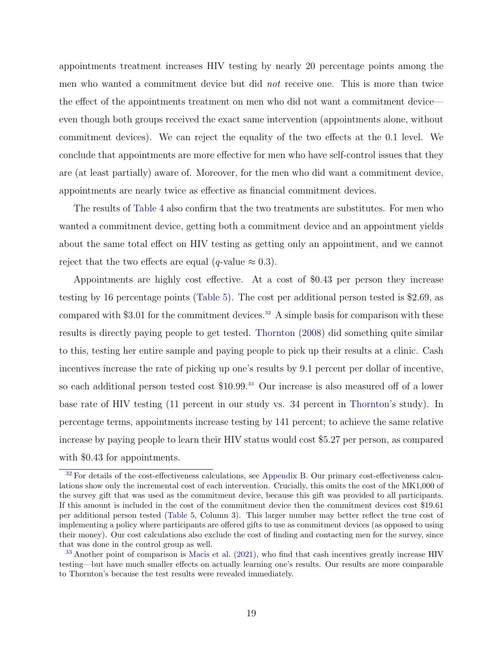appointments treatment increases HIV testing by nearly 20 percentage points among the men who wanted a commitment device but did not receive one. This is more than twice the effect of the appointments treatment on men who did not want a commitment device even though both groups received the exact same intervention (appointments alone, without commitment devices). We can reject the equality of the two effects at the 0.1 level. We conclude that appointments are more effective for men who have self-control issues that they are (at least partially) aware of. Moreover, for the men who did want a commitment device, appointments are nearly twice as effective as financial commitment devices.

The results of [Table 4](#page-51-0) also confirm that the two treatments are substitutes. For men who wanted a commitment device, getting both a commitment device and an appointment yields about the same total effect on HIV testing as getting only an appointment, and we cannot reject that the two effects are equal (q-value  $\approx 0.3$ ).

<span id="page-19-3"></span><span id="page-19-2"></span>Appointments are highly cost effective. At a cost of \$0.43 per person they increase testing by 16 percentage points [\(Table 5\)](#page-52-0). The cost per additional person tested is \$2.69, as compared with \$3.01 for the commitment devices.<sup>[32](#page-19-0)</sup> A simple basis for comparison with these results is directly paying people to get tested. [Thornton](#page-41-1) [\(2008\)](#page-41-1) did something quite similar to this, testing her entire sample and paying people to pick up their results at a clinic. Cash incentives increase the rate of picking up one's results by 9.1 percent per dollar of incentive, so each additional person tested cost \$10.99.<sup>[33](#page-19-1)</sup> Our increase is also measured off of a lower base rate of HIV testing (11 percent in our study vs. 34 percent in [Thornton'](#page-41-1)s study). In percentage terms, appointments increase testing by 141 percent; to achieve the same relative increase by paying people to learn their HIV status would cost \$5.27 per person, as compared with \$0.43 for appointments.

<span id="page-19-0"></span>[<sup>32</sup>](#page-19-2) For details of the cost-effectiveness calculations, see [Appendix B.](#page-57-0) Our primary cost-effectiveness calculations show only the incremental cost of each intervention. Crucially, this omits the cost of the MK1,000 of the survey gift that was used as the commitment device, because this gift was provided to all participants. If this amount is included in the cost of the commitment device then the commitment devices cost \$19.61 per additional person tested [\(Table 5,](#page-52-0) Column 3). This larger number may better reflect the true cost of implementing a policy where participants are offered gifts to use as commitment devices (as opposed to using their money). Our cost calculations also exclude the cost of finding and contacting men for the survey, since that was done in the control group as well.

<span id="page-19-1"></span><sup>&</sup>lt;sup>[33](#page-19-3)</sup> Another point of comparison is [Macis et al.](#page-37-4) [\(2021\)](#page-37-4), who find that cash incentives greatly increase HIV testing—but have much smaller effects on actually learning one's results. Our results are more comparable to Thornton's because the test results were revealed immediately.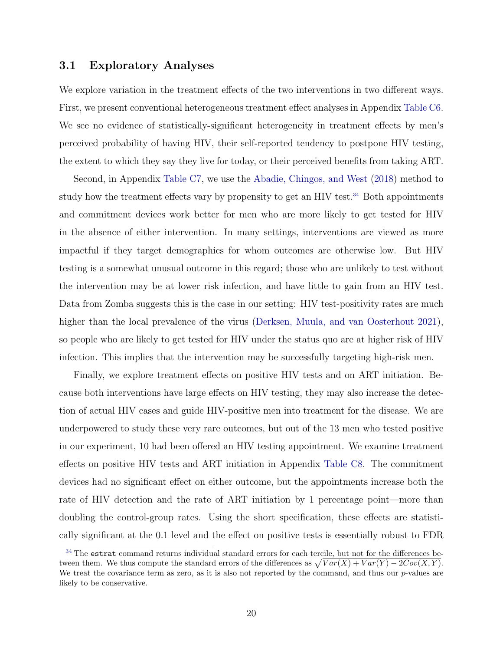## 3.1 Exploratory Analyses

We explore variation in the treatment effects of the two interventions in two different ways. First, we present conventional heterogeneous treatment effect analyses in Appendix [Table C6.](#page-68-0) We see no evidence of statistically-significant heterogeneity in treatment effects by men's perceived probability of having HIV, their self-reported tendency to postpone HIV testing, the extent to which they say they live for today, or their perceived benefits from taking ART.

<span id="page-20-1"></span>Second, in Appendix [Table C7,](#page-69-0) we use the [Abadie, Chingos, and West](#page-31-3) [\(2018\)](#page-31-3) method to study how the treatment effects vary by propensity to get an HIV test.<sup>[34](#page-20-0)</sup> Both appointments and commitment devices work better for men who are more likely to get tested for HIV in the absence of either intervention. In many settings, interventions are viewed as more impactful if they target demographics for whom outcomes are otherwise low. But HIV testing is a somewhat unusual outcome in this regard; those who are unlikely to test without the intervention may be at lower risk infection, and have little to gain from an HIV test. Data from Zomba suggests this is the case in our setting: HIV test-positivity rates are much higher than the local prevalence of the virus [\(Derksen, Muula, and van Oosterhout 2021\)](#page-34-2), so people who are likely to get tested for HIV under the status quo are at higher risk of HIV infection. This implies that the intervention may be successfully targeting high-risk men.

Finally, we explore treatment effects on positive HIV tests and on ART initiation. Because both interventions have large effects on HIV testing, they may also increase the detection of actual HIV cases and guide HIV-positive men into treatment for the disease. We are underpowered to study these very rare outcomes, but out of the 13 men who tested positive in our experiment, 10 had been offered an HIV testing appointment. We examine treatment effects on positive HIV tests and ART initiation in Appendix [Table C8.](#page-70-0) The commitment devices had no significant effect on either outcome, but the appointments increase both the rate of HIV detection and the rate of ART initiation by 1 percentage point—more than doubling the control-group rates. Using the short specification, these effects are statistically significant at the 0.1 level and the effect on positive tests is essentially robust to FDR

<span id="page-20-0"></span><sup>&</sup>lt;sup>[34](#page-20-1)</sup> The estrat command returns individual standard errors for each tercile, but not for the differences between them. We thus compute the standard errors of the differences as  $\sqrt{Var(X) + Var(Y) - 2Cov(X, Y)}$ . We treat the covariance term as zero, as it is also not reported by the command, and thus our  $p$ -values are likely to be conservative.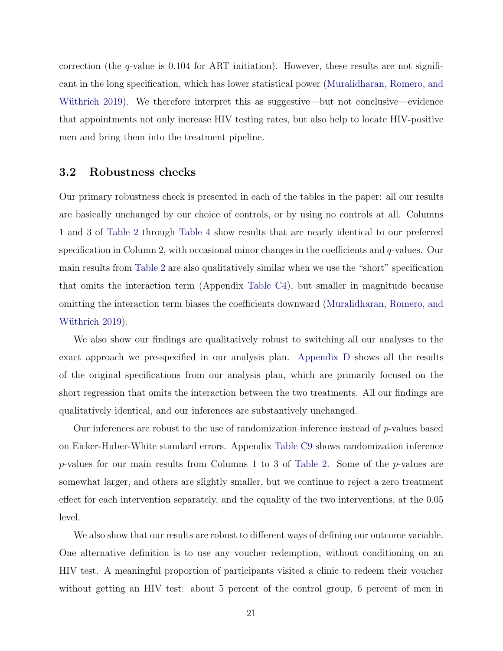correction (the  $q$ -value is 0.104 for ART initiation). However, these results are not significant in the long specification, which has lower statistical power [\(Muralidharan, Romero, and](#page-38-3) Wüthrich 2019). We therefore interpret this as suggestive—but not conclusive—evidence that appointments not only increase HIV testing rates, but also help to locate HIV-positive men and bring them into the treatment pipeline.

#### 3.2 Robustness checks

Our primary robustness check is presented in each of the tables in the paper: all our results are basically unchanged by our choice of controls, or by using no controls at all. Columns 1 and 3 of [Table 2](#page-49-0) through [Table 4](#page-51-0) show results that are nearly identical to our preferred specification in Column 2, with occasional minor changes in the coefficients and  $q$ -values. Our main results from [Table 2](#page-49-0) are also qualitatively similar when we use the "short" specification that omits the interaction term (Appendix [Table C4\)](#page-66-0), but smaller in magnitude because omitting the interaction term biases the coefficients downward [\(Muralidharan, Romero, and](#page-38-3) Wüthrich 2019).

We also show our findings are qualitatively robust to switching all our analyses to the exact approach we pre-specified in our analysis plan. [Appendix D](#page-74-0) shows all the results of the original specifications from our analysis plan, which are primarily focused on the short regression that omits the interaction between the two treatments. All our findings are qualitatively identical, and our inferences are substantively unchanged.

Our inferences are robust to the use of randomization inference instead of  $p$ -values based on Eicker-Huber-White standard errors. Appendix [Table C9](#page-71-0) shows randomization inference p-values for our main results from Columns 1 to 3 of [Table 2.](#page-49-0) Some of the p-values are somewhat larger, and others are slightly smaller, but we continue to reject a zero treatment effect for each intervention separately, and the equality of the two interventions, at the 0.05 level.

We also show that our results are robust to different ways of defining our outcome variable. One alternative definition is to use any voucher redemption, without conditioning on an HIV test. A meaningful proportion of participants visited a clinic to redeem their voucher without getting an HIV test: about 5 percent of the control group, 6 percent of men in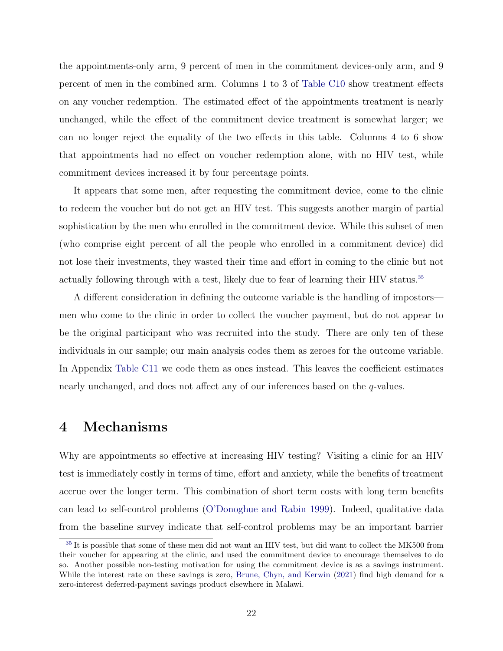the appointments-only arm, 9 percent of men in the commitment devices-only arm, and 9 percent of men in the combined arm. Columns 1 to 3 of [Table C10](#page-72-0) show treatment effects on any voucher redemption. The estimated effect of the appointments treatment is nearly unchanged, while the effect of the commitment device treatment is somewhat larger; we can no longer reject the equality of the two effects in this table. Columns 4 to 6 show that appointments had no effect on voucher redemption alone, with no HIV test, while commitment devices increased it by four percentage points.

It appears that some men, after requesting the commitment device, come to the clinic to redeem the voucher but do not get an HIV test. This suggests another margin of partial sophistication by the men who enrolled in the commitment device. While this subset of men (who comprise eight percent of all the people who enrolled in a commitment device) did not lose their investments, they wasted their time and effort in coming to the clinic but not actually following through with a test, likely due to fear of learning their HIV status.<sup>[35](#page-22-1)</sup>

<span id="page-22-2"></span>A different consideration in defining the outcome variable is the handling of impostors men who come to the clinic in order to collect the voucher payment, but do not appear to be the original participant who was recruited into the study. There are only ten of these individuals in our sample; our main analysis codes them as zeroes for the outcome variable. In Appendix [Table C11](#page-73-0) we code them as ones instead. This leaves the coefficient estimates nearly unchanged, and does not affect any of our inferences based on the q-values.

# <span id="page-22-0"></span>4 Mechanisms

Why are appointments so effective at increasing HIV testing? Visiting a clinic for an HIV test is immediately costly in terms of time, effort and anxiety, while the benefits of treatment accrue over the longer term. This combination of short term costs with long term benefits can lead to self-control problems [\(O'Donoghue and Rabin 1999\)](#page-39-7). Indeed, qualitative data from the baseline survey indicate that self-control problems may be an important barrier

<span id="page-22-1"></span><sup>&</sup>lt;sup>[35](#page-22-2)</sup> It is possible that some of these men did not want an HIV test, but did want to collect the MK500 from their voucher for appearing at the clinic, and used the commitment device to encourage themselves to do so. Another possible non-testing motivation for using the commitment device is as a savings instrument. While the interest rate on these savings is zero, [Brune, Chyn, and Kerwin](#page-33-7) [\(2021\)](#page-33-7) find high demand for a zero-interest deferred-payment savings product elsewhere in Malawi.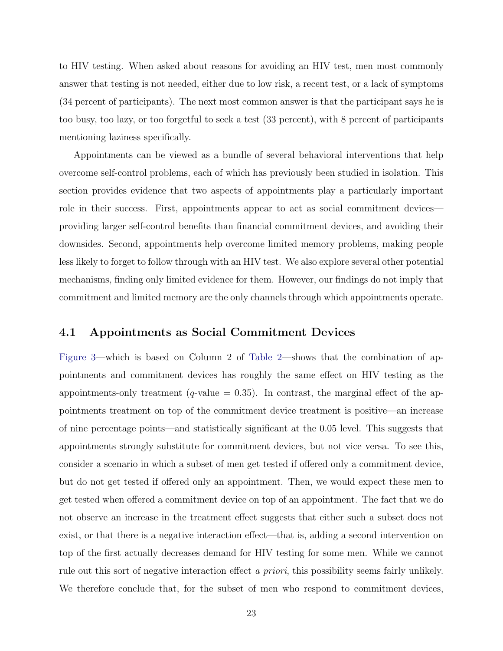to HIV testing. When asked about reasons for avoiding an HIV test, men most commonly answer that testing is not needed, either due to low risk, a recent test, or a lack of symptoms (34 percent of participants). The next most common answer is that the participant says he is too busy, too lazy, or too forgetful to seek a test (33 percent), with 8 percent of participants mentioning laziness specifically.

Appointments can be viewed as a bundle of several behavioral interventions that help overcome self-control problems, each of which has previously been studied in isolation. This section provides evidence that two aspects of appointments play a particularly important role in their success. First, appointments appear to act as social commitment devices providing larger self-control benefits than financial commitment devices, and avoiding their downsides. Second, appointments help overcome limited memory problems, making people less likely to forget to follow through with an HIV test. We also explore several other potential mechanisms, finding only limited evidence for them. However, our findings do not imply that commitment and limited memory are the only channels through which appointments operate.

## <span id="page-23-0"></span>4.1 Appointments as Social Commitment Devices

[Figure 3—](#page-43-0)which is based on Column 2 of [Table 2—](#page-49-0)shows that the combination of appointments and commitment devices has roughly the same effect on HIV testing as the appointments-only treatment (q-value  $= 0.35$ ). In contrast, the marginal effect of the appointments treatment on top of the commitment device treatment is positive—an increase of nine percentage points—and statistically significant at the 0.05 level. This suggests that appointments strongly substitute for commitment devices, but not vice versa. To see this, consider a scenario in which a subset of men get tested if offered only a commitment device, but do not get tested if offered only an appointment. Then, we would expect these men to get tested when offered a commitment device on top of an appointment. The fact that we do not observe an increase in the treatment effect suggests that either such a subset does not exist, or that there is a negative interaction effect—that is, adding a second intervention on top of the first actually decreases demand for HIV testing for some men. While we cannot rule out this sort of negative interaction effect a priori, this possibility seems fairly unlikely. We therefore conclude that, for the subset of men who respond to commitment devices,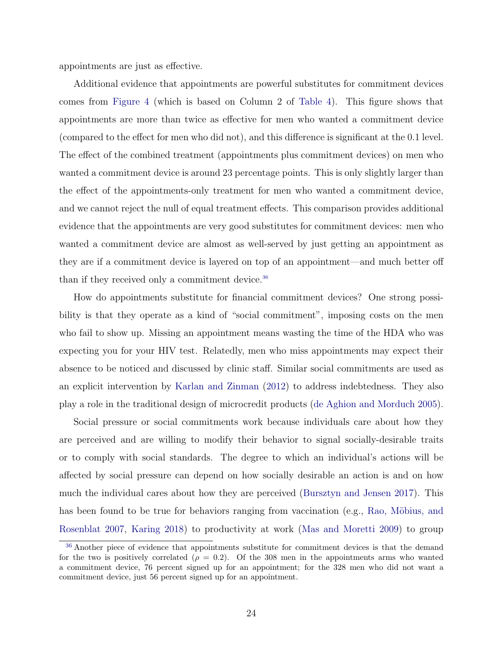appointments are just as effective.

Additional evidence that appointments are powerful substitutes for commitment devices comes from [Figure 4](#page-44-0) (which is based on Column 2 of [Table 4\)](#page-51-0). This figure shows that appointments are more than twice as effective for men who wanted a commitment device (compared to the effect for men who did not), and this difference is significant at the 0.1 level. The effect of the combined treatment (appointments plus commitment devices) on men who wanted a commitment device is around 23 percentage points. This is only slightly larger than the effect of the appointments-only treatment for men who wanted a commitment device, and we cannot reject the null of equal treatment effects. This comparison provides additional evidence that the appointments are very good substitutes for commitment devices: men who wanted a commitment device are almost as well-served by just getting an appointment as they are if a commitment device is layered on top of an appointment—and much better off than if they received only a commitment device.<sup>[36](#page-24-0)</sup>

<span id="page-24-1"></span>How do appointments substitute for financial commitment devices? One strong possibility is that they operate as a kind of "social commitment", imposing costs on the men who fail to show up. Missing an appointment means wasting the time of the HDA who was expecting you for your HIV test. Relatedly, men who miss appointments may expect their absence to be noticed and discussed by clinic staff. Similar social commitments are used as an explicit intervention by [Karlan and Zinman](#page-36-3) [\(2012\)](#page-36-3) to address indebtedness. They also play a role in the traditional design of microcredit products [\(de Aghion and Morduch 2005\)](#page-34-3).

Social pressure or social commitments work because individuals care about how they are perceived and are willing to modify their behavior to signal socially-desirable traits or to comply with social standards. The degree to which an individual's actions will be affected by social pressure can depend on how socially desirable an action is and on how much the individual cares about how they are perceived [\(Bursztyn and Jensen 2017\)](#page-33-8). This has been found to be true for behaviors ranging from vaccination (e.g., Rao, Möbius, and [Rosenblat 2007,](#page-39-8) [Karing 2018\)](#page-36-4) to productivity at work [\(Mas and Moretti 2009\)](#page-37-8) to group

<span id="page-24-0"></span><sup>&</sup>lt;sup>[36](#page-24-1)</sup> Another piece of evidence that appointments substitute for commitment devices is that the demand for the two is positively correlated ( $\rho = 0.2$ ). Of the 308 men in the appointments arms who wanted a commitment device, 76 percent signed up for an appointment; for the 328 men who did not want a commitment device, just 56 percent signed up for an appointment.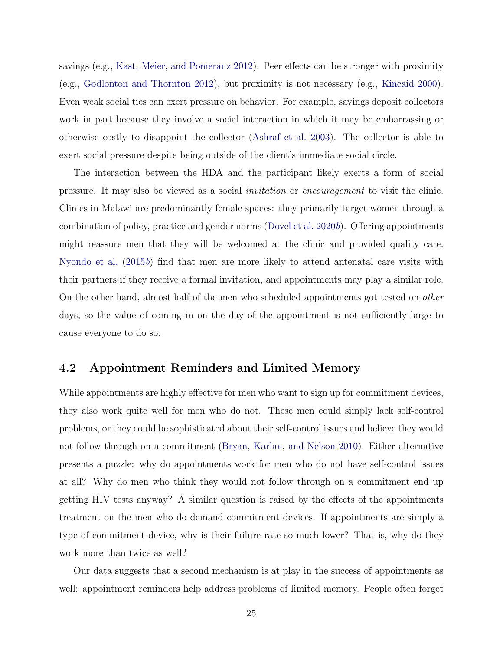savings (e.g., [Kast, Meier, and Pomeranz 2012\)](#page-37-9). Peer effects can be stronger with proximity (e.g., [Godlonton and Thornton 2012\)](#page-35-10), but proximity is not necessary (e.g., [Kincaid 2000\)](#page-37-10). Even weak social ties can exert pressure on behavior. For example, savings deposit collectors work in part because they involve a social interaction in which it may be embarrassing or otherwise costly to disappoint the collector [\(Ashraf et al. 2003\)](#page-32-6). The collector is able to exert social pressure despite being outside of the client's immediate social circle.

The interaction between the HDA and the participant likely exerts a form of social pressure. It may also be viewed as a social invitation or encouragement to visit the clinic. Clinics in Malawi are predominantly female spaces: they primarily target women through a combination of policy, practice and gender norms (Dovel et al.  $2020b$ ). Offering appointments might reassure men that they will be welcomed at the clinic and provided quality care. [Nyondo et al.](#page-39-9)  $(2015b)$  $(2015b)$  find that men are more likely to attend antenatal care visits with their partners if they receive a formal invitation, and appointments may play a similar role. On the other hand, almost half of the men who scheduled appointments got tested on other days, so the value of coming in on the day of the appointment is not sufficiently large to cause everyone to do so.

## <span id="page-25-0"></span>4.2 Appointment Reminders and Limited Memory

While appointments are highly effective for men who want to sign up for commitment devices, they also work quite well for men who do not. These men could simply lack self-control problems, or they could be sophisticated about their self-control issues and believe they would not follow through on a commitment [\(Bryan, Karlan, and Nelson 2010\)](#page-33-0). Either alternative presents a puzzle: why do appointments work for men who do not have self-control issues at all? Why do men who think they would not follow through on a commitment end up getting HIV tests anyway? A similar question is raised by the effects of the appointments treatment on the men who do demand commitment devices. If appointments are simply a type of commitment device, why is their failure rate so much lower? That is, why do they work more than twice as well?

Our data suggests that a second mechanism is at play in the success of appointments as well: appointment reminders help address problems of limited memory. People often forget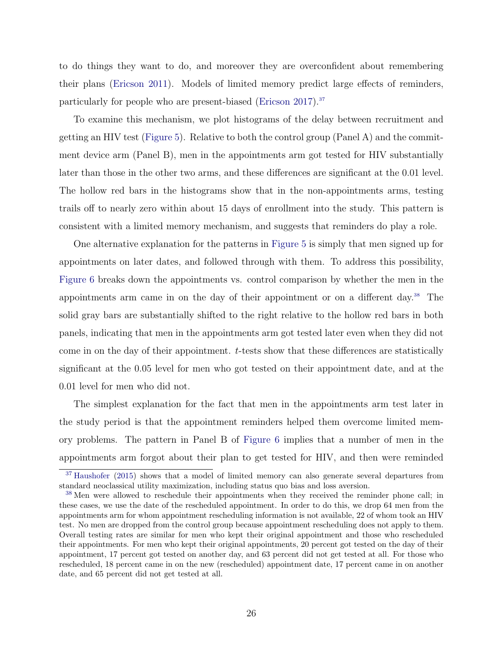<span id="page-26-2"></span>to do things they want to do, and moreover they are overconfident about remembering their plans [\(Ericson 2011\)](#page-34-4). Models of limited memory predict large effects of reminders, particularly for people who are present-biased [\(Ericson 2017\)](#page-34-5).[37](#page-26-0)

To examine this mechanism, we plot histograms of the delay between recruitment and getting an HIV test [\(Figure 5\)](#page-45-0). Relative to both the control group (Panel A) and the commitment device arm (Panel B), men in the appointments arm got tested for HIV substantially later than those in the other two arms, and these differences are significant at the 0.01 level. The hollow red bars in the histograms show that in the non-appointments arms, testing trails off to nearly zero within about 15 days of enrollment into the study. This pattern is consistent with a limited memory mechanism, and suggests that reminders do play a role.

<span id="page-26-3"></span>One alternative explanation for the patterns in [Figure 5](#page-45-0) is simply that men signed up for appointments on later dates, and followed through with them. To address this possibility, [Figure 6](#page-46-0) breaks down the appointments vs. control comparison by whether the men in the appointments arm came in on the day of their appointment or on a different day.[38](#page-26-1) The solid gray bars are substantially shifted to the right relative to the hollow red bars in both panels, indicating that men in the appointments arm got tested later even when they did not come in on the day of their appointment. t-tests show that these differences are statistically significant at the 0.05 level for men who got tested on their appointment date, and at the 0.01 level for men who did not.

The simplest explanation for the fact that men in the appointments arm test later in the study period is that the appointment reminders helped them overcome limited memory problems. The pattern in Panel B of [Figure 6](#page-46-0) implies that a number of men in the appointments arm forgot about their plan to get tested for HIV, and then were reminded

<span id="page-26-0"></span><sup>&</sup>lt;sup>[37](#page-26-2)</sup> [Haushofer](#page-36-5) [\(2015\)](#page-36-5) shows that a model of limited memory can also generate several departures from standard neoclassical utility maximization, including status quo bias and loss aversion.

<span id="page-26-1"></span><sup>&</sup>lt;sup>[38](#page-26-3)</sup> Men were allowed to reschedule their appointments when they received the reminder phone call; in these cases, we use the date of the rescheduled appointment. In order to do this, we drop 64 men from the appointments arm for whom appointment rescheduling information is not available, 22 of whom took an HIV test. No men are dropped from the control group because appointment rescheduling does not apply to them. Overall testing rates are similar for men who kept their original appointment and those who rescheduled their appointments. For men who kept their original appointments, 20 percent got tested on the day of their appointment, 17 percent got tested on another day, and 63 percent did not get tested at all. For those who rescheduled, 18 percent came in on the new (rescheduled) appointment date, 17 percent came in on another date, and 65 percent did not get tested at all.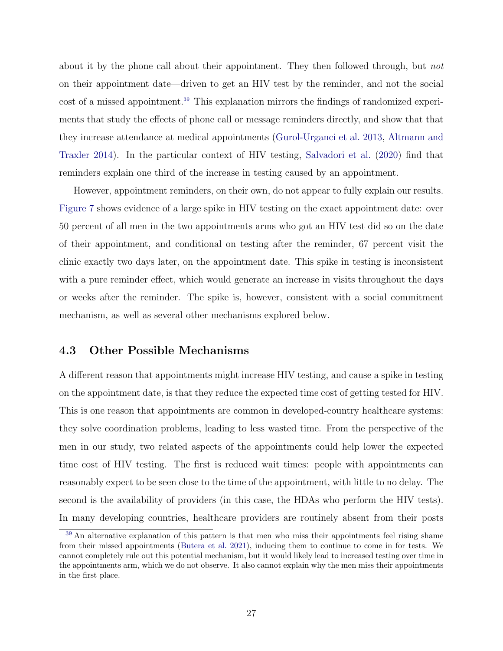<span id="page-27-1"></span>about it by the phone call about their appointment. They then followed through, but not on their appointment date—driven to get an HIV test by the reminder, and not the social cost of a missed appointment.<sup>[39](#page-27-0)</sup> This explanation mirrors the findings of randomized experiments that study the effects of phone call or message reminders directly, and show that that they increase attendance at medical appointments [\(Gurol-Urganci et al. 2013,](#page-36-6) [Altmann and](#page-31-0) [Traxler 2014\)](#page-31-0). In the particular context of HIV testing, [Salvadori et al.](#page-40-2) [\(2020\)](#page-40-2) find that reminders explain one third of the increase in testing caused by an appointment.

However, appointment reminders, on their own, do not appear to fully explain our results. [Figure 7](#page-47-0) shows evidence of a large spike in HIV testing on the exact appointment date: over 50 percent of all men in the two appointments arms who got an HIV test did so on the date of their appointment, and conditional on testing after the reminder, 67 percent visit the clinic exactly two days later, on the appointment date. This spike in testing is inconsistent with a pure reminder effect, which would generate an increase in visits throughout the days or weeks after the reminder. The spike is, however, consistent with a social commitment mechanism, as well as several other mechanisms explored below.

#### 4.3 Other Possible Mechanisms

A different reason that appointments might increase HIV testing, and cause a spike in testing on the appointment date, is that they reduce the expected time cost of getting tested for HIV. This is one reason that appointments are common in developed-country healthcare systems: they solve coordination problems, leading to less wasted time. From the perspective of the men in our study, two related aspects of the appointments could help lower the expected time cost of HIV testing. The first is reduced wait times: people with appointments can reasonably expect to be seen close to the time of the appointment, with little to no delay. The second is the availability of providers (in this case, the HDAs who perform the HIV tests). In many developing countries, healthcare providers are routinely absent from their posts

<span id="page-27-0"></span>[<sup>39</sup>](#page-27-1) An alternative explanation of this pattern is that men who miss their appointments feel rising shame from their missed appointments [\(Butera et al. 2021\)](#page-33-4), inducing them to continue to come in for tests. We cannot completely rule out this potential mechanism, but it would likely lead to increased testing over time in the appointments arm, which we do not observe. It also cannot explain why the men miss their appointments in the first place.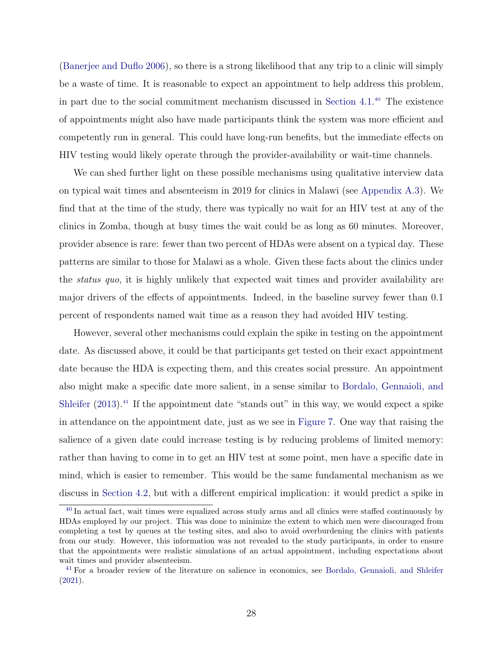<span id="page-28-2"></span>[\(Banerjee and Duflo 2006\)](#page-32-7), so there is a strong likelihood that any trip to a clinic will simply be a waste of time. It is reasonable to expect an appointment to help address this problem, in part due to the social commitment mechanism discussed in [Section 4.1.](#page-23-0) [40](#page-28-0) The existence of appointments might also have made participants think the system was more efficient and competently run in general. This could have long-run benefits, but the immediate effects on HIV testing would likely operate through the provider-availability or wait-time channels.

We can shed further light on these possible mechanisms using qualitative interview data on typical wait times and absenteeism in 2019 for clinics in Malawi (see [Appendix A.3\)](#page-55-0). We find that at the time of the study, there was typically no wait for an HIV test at any of the clinics in Zomba, though at busy times the wait could be as long as 60 minutes. Moreover, provider absence is rare: fewer than two percent of HDAs were absent on a typical day. These patterns are similar to those for Malawi as a whole. Given these facts about the clinics under the status quo, it is highly unlikely that expected wait times and provider availability are major drivers of the effects of appointments. Indeed, in the baseline survey fewer than 0.1 percent of respondents named wait time as a reason they had avoided HIV testing.

<span id="page-28-3"></span>However, several other mechanisms could explain the spike in testing on the appointment date. As discussed above, it could be that participants get tested on their exact appointment date because the HDA is expecting them, and this creates social pressure. An appointment also might make a specific date more salient, in a sense similar to [Bordalo, Gennaioli, and](#page-32-8) [Shleifer](#page-32-8)  $(2013).<sup>41</sup>$  $(2013).<sup>41</sup>$  $(2013).<sup>41</sup>$  $(2013).<sup>41</sup>$  If the appointment date "stands out" in this way, we would expect a spike in attendance on the appointment date, just as we see in [Figure 7.](#page-47-0) One way that raising the salience of a given date could increase testing is by reducing problems of limited memory: rather than having to come in to get an HIV test at some point, men have a specific date in mind, which is easier to remember. This would be the same fundamental mechanism as we discuss in [Section 4.2,](#page-25-0) but with a different empirical implication: it would predict a spike in

<span id="page-28-0"></span><sup>&</sup>lt;sup>[40](#page-28-2)</sup> In actual fact, wait times were equalized across study arms and all clinics were staffed continuously by HDAs employed by our project. This was done to minimize the extent to which men were discouraged from completing a test by queues at the testing sites, and also to avoid overburdening the clinics with patients from our study. However, this information was not revealed to the study participants, in order to ensure that the appointments were realistic simulations of an actual appointment, including expectations about wait times and provider absenteeism.

<span id="page-28-1"></span><sup>&</sup>lt;sup>[41](#page-28-3)</sup> For a broader review of the literature on salience in economics, see [Bordalo, Gennaioli, and Shleifer](#page-32-9) [\(2021\)](#page-32-9).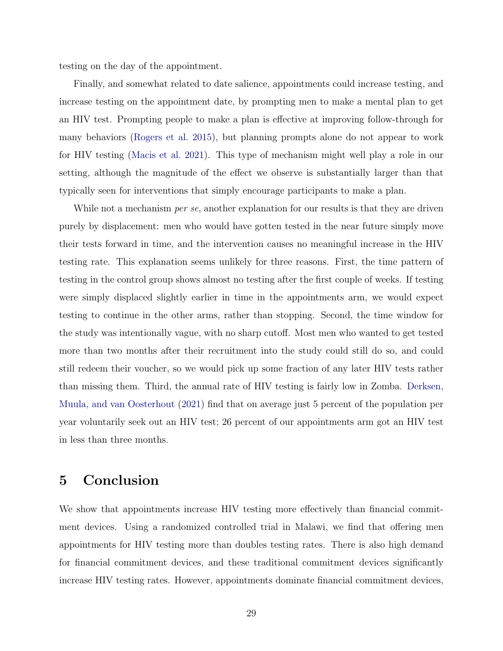testing on the day of the appointment.

Finally, and somewhat related to date salience, appointments could increase testing, and increase testing on the appointment date, by prompting men to make a mental plan to get an HIV test. Prompting people to make a plan is effective at improving follow-through for many behaviors [\(Rogers et al. 2015\)](#page-39-10), but planning prompts alone do not appear to work for HIV testing [\(Macis et al. 2021\)](#page-37-4). This type of mechanism might well play a role in our setting, although the magnitude of the effect we observe is substantially larger than that typically seen for interventions that simply encourage participants to make a plan.

While not a mechanism *per se*, another explanation for our results is that they are driven purely by displacement: men who would have gotten tested in the near future simply move their tests forward in time, and the intervention causes no meaningful increase in the HIV testing rate. This explanation seems unlikely for three reasons. First, the time pattern of testing in the control group shows almost no testing after the first couple of weeks. If testing were simply displaced slightly earlier in time in the appointments arm, we would expect testing to continue in the other arms, rather than stopping. Second, the time window for the study was intentionally vague, with no sharp cutoff. Most men who wanted to get tested more than two months after their recruitment into the study could still do so, and could still redeem their voucher, so we would pick up some fraction of any later HIV tests rather than missing them. Third, the annual rate of HIV testing is fairly low in Zomba. [Derksen,](#page-34-2) [Muula, and van Oosterhout](#page-34-2) [\(2021\)](#page-34-2) find that on average just 5 percent of the population per year voluntarily seek out an HIV test; 26 percent of our appointments arm got an HIV test in less than three months.

# 5 Conclusion

We show that appointments increase HIV testing more effectively than financial commitment devices. Using a randomized controlled trial in Malawi, we find that offering men appointments for HIV testing more than doubles testing rates. There is also high demand for financial commitment devices, and these traditional commitment devices significantly increase HIV testing rates. However, appointments dominate financial commitment devices,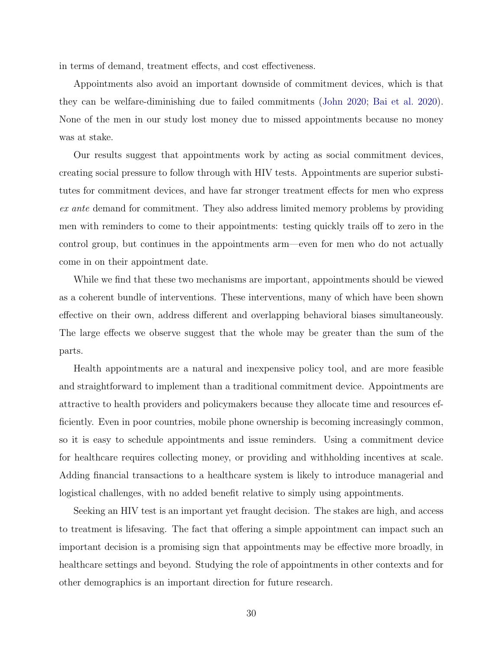in terms of demand, treatment effects, and cost effectiveness.

Appointments also avoid an important downside of commitment devices, which is that they can be welfare-diminishing due to failed commitments [\(John 2020;](#page-36-1) [Bai et al. 2020\)](#page-32-0). None of the men in our study lost money due to missed appointments because no money was at stake.

Our results suggest that appointments work by acting as social commitment devices, creating social pressure to follow through with HIV tests. Appointments are superior substitutes for commitment devices, and have far stronger treatment effects for men who express ex ante demand for commitment. They also address limited memory problems by providing men with reminders to come to their appointments: testing quickly trails off to zero in the control group, but continues in the appointments arm—even for men who do not actually come in on their appointment date.

While we find that these two mechanisms are important, appointments should be viewed as a coherent bundle of interventions. These interventions, many of which have been shown effective on their own, address different and overlapping behavioral biases simultaneously. The large effects we observe suggest that the whole may be greater than the sum of the parts.

Health appointments are a natural and inexpensive policy tool, and are more feasible and straightforward to implement than a traditional commitment device. Appointments are attractive to health providers and policymakers because they allocate time and resources efficiently. Even in poor countries, mobile phone ownership is becoming increasingly common, so it is easy to schedule appointments and issue reminders. Using a commitment device for healthcare requires collecting money, or providing and withholding incentives at scale. Adding financial transactions to a healthcare system is likely to introduce managerial and logistical challenges, with no added benefit relative to simply using appointments.

Seeking an HIV test is an important yet fraught decision. The stakes are high, and access to treatment is lifesaving. The fact that offering a simple appointment can impact such an important decision is a promising sign that appointments may be effective more broadly, in healthcare settings and beyond. Studying the role of appointments in other contexts and for other demographics is an important direction for future research.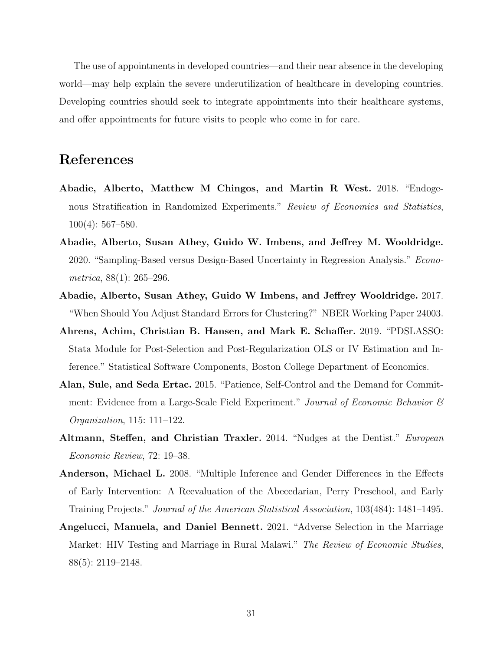The use of appointments in developed countries—and their near absence in the developing world—may help explain the severe underutilization of healthcare in developing countries. Developing countries should seek to integrate appointments into their healthcare systems, and offer appointments for future visits to people who come in for care.

# References

- <span id="page-31-3"></span>Abadie, Alberto, Matthew M Chingos, and Martin R West. 2018. "Endogenous Stratification in Randomized Experiments." Review of Economics and Statistics, 100(4): 567–580.
- <span id="page-31-5"></span>Abadie, Alberto, Susan Athey, Guido W. Imbens, and Jeffrey M. Wooldridge. 2020. "Sampling-Based versus Design-Based Uncertainty in Regression Analysis." *Econo*metrica, 88(1): 265–296.
- <span id="page-31-4"></span>Abadie, Alberto, Susan Athey, Guido W Imbens, and Jeffrey Wooldridge. 2017. "When Should You Adjust Standard Errors for Clustering?" NBER Working Paper 24003.
- <span id="page-31-2"></span>Ahrens, Achim, Christian B. Hansen, and Mark E. Schaffer. 2019. "PDSLASSO: Stata Module for Post-Selection and Post-Regularization OLS or IV Estimation and Inference." Statistical Software Components, Boston College Department of Economics.
- Alan, Sule, and Seda Ertac. 2015. "Patience, Self-Control and the Demand for Commitment: Evidence from a Large-Scale Field Experiment." Journal of Economic Behavior  $\mathcal{C}$ Organization, 115: 111–122.
- <span id="page-31-0"></span>Altmann, Steffen, and Christian Traxler. 2014. "Nudges at the Dentist." *European* Economic Review, 72: 19–38.
- <span id="page-31-6"></span>Anderson, Michael L. 2008. "Multiple Inference and Gender Differences in the Effects of Early Intervention: A Reevaluation of the Abecedarian, Perry Preschool, and Early Training Projects." Journal of the American Statistical Association, 103(484): 1481–1495.
- <span id="page-31-1"></span>Angelucci, Manuela, and Daniel Bennett. 2021. "Adverse Selection in the Marriage Market: HIV Testing and Marriage in Rural Malawi." The Review of Economic Studies, 88(5): 2119–2148.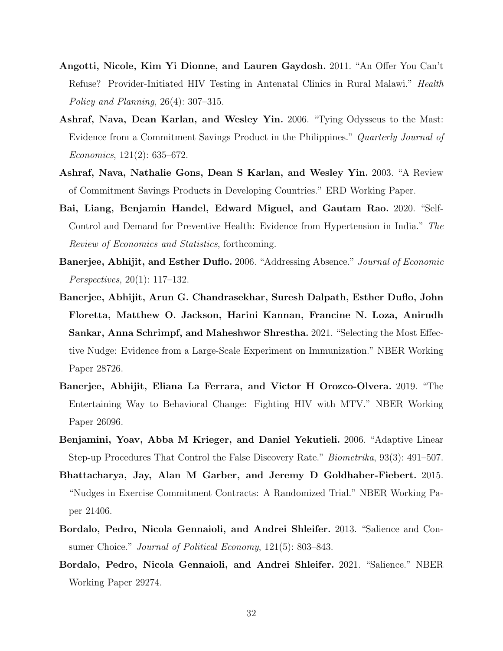- <span id="page-32-5"></span>Angotti, Nicole, Kim Yi Dionne, and Lauren Gaydosh. 2011. "An Offer You Can't Refuse? Provider-Initiated HIV Testing in Antenatal Clinics in Rural Malawi." Health Policy and Planning, 26(4): 307–315.
- <span id="page-32-1"></span>Ashraf, Nava, Dean Karlan, and Wesley Yin. 2006. "Tying Odysseus to the Mast: Evidence from a Commitment Savings Product in the Philippines." *Quarterly Journal of* Economics, 121(2): 635–672.
- <span id="page-32-6"></span>Ashraf, Nava, Nathalie Gons, Dean S Karlan, and Wesley Yin. 2003. "A Review of Commitment Savings Products in Developing Countries." ERD Working Paper.
- <span id="page-32-0"></span>Bai, Liang, Benjamin Handel, Edward Miguel, and Gautam Rao. 2020. "Self-Control and Demand for Preventive Health: Evidence from Hypertension in India." The Review of Economics and Statistics, forthcoming.
- <span id="page-32-7"></span>Banerjee, Abhijit, and Esther Duflo. 2006. "Addressing Absence." Journal of Economic Perspectives, 20(1): 117–132.
- <span id="page-32-4"></span>Banerjee, Abhijit, Arun G. Chandrasekhar, Suresh Dalpath, Esther Duflo, John Floretta, Matthew O. Jackson, Harini Kannan, Francine N. Loza, Anirudh Sankar, Anna Schrimpf, and Maheshwor Shrestha. 2021. "Selecting the Most Effective Nudge: Evidence from a Large-Scale Experiment on Immunization." NBER Working Paper 28726.
- <span id="page-32-3"></span>Banerjee, Abhijit, Eliana La Ferrara, and Victor H Orozco-Olvera. 2019. "The Entertaining Way to Behavioral Change: Fighting HIV with MTV." NBER Working Paper 26096.
- <span id="page-32-2"></span>Benjamini, Yoav, Abba M Krieger, and Daniel Yekutieli. 2006. "Adaptive Linear Step-up Procedures That Control the False Discovery Rate." Biometrika, 93(3): 491–507.
- Bhattacharya, Jay, Alan M Garber, and Jeremy D Goldhaber-Fiebert. 2015. "Nudges in Exercise Commitment Contracts: A Randomized Trial." NBER Working Paper 21406.
- <span id="page-32-8"></span>Bordalo, Pedro, Nicola Gennaioli, and Andrei Shleifer. 2013. "Salience and Consumer Choice." Journal of Political Economy, 121(5): 803–843.
- <span id="page-32-9"></span>Bordalo, Pedro, Nicola Gennaioli, and Andrei Shleifer. 2021. "Salience." NBER Working Paper 29274.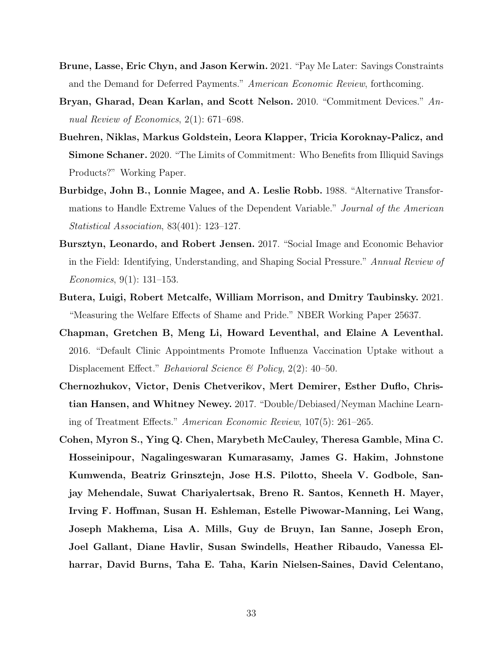- <span id="page-33-7"></span>Brune, Lasse, Eric Chyn, and Jason Kerwin. 2021. "Pay Me Later: Savings Constraints and the Demand for Deferred Payments." American Economic Review, forthcoming.
- <span id="page-33-0"></span>Bryan, Gharad, Dean Karlan, and Scott Nelson. 2010. "Commitment Devices." Annual Review of Economics, 2(1): 671–698.
- <span id="page-33-1"></span>Buehren, Niklas, Markus Goldstein, Leora Klapper, Tricia Koroknay-Palicz, and Simone Schaner. 2020. "The Limits of Commitment: Who Benefits from Illiquid Savings Products?" Working Paper.
- <span id="page-33-6"></span>Burbidge, John B., Lonnie Magee, and A. Leslie Robb. 1988. "Alternative Transformations to Handle Extreme Values of the Dependent Variable." Journal of the American Statistical Association, 83(401): 123–127.
- <span id="page-33-8"></span>Bursztyn, Leonardo, and Robert Jensen. 2017. "Social Image and Economic Behavior in the Field: Identifying, Understanding, and Shaping Social Pressure." Annual Review of Economics, 9(1): 131–153.
- <span id="page-33-4"></span>Butera, Luigi, Robert Metcalfe, William Morrison, and Dmitry Taubinsky. 2021. "Measuring the Welfare Effects of Shame and Pride." NBER Working Paper 25637.
- <span id="page-33-3"></span>Chapman, Gretchen B, Meng Li, Howard Leventhal, and Elaine A Leventhal. 2016. "Default Clinic Appointments Promote Influenza Vaccination Uptake without a Displacement Effect." *Behavioral Science & Policy*, 2(2): 40–50.
- <span id="page-33-5"></span>Chernozhukov, Victor, Denis Chetverikov, Mert Demirer, Esther Duflo, Christian Hansen, and Whitney Newey. 2017. "Double/Debiased/Neyman Machine Learning of Treatment Effects." American Economic Review, 107(5): 261–265.
- <span id="page-33-2"></span>Cohen, Myron S., Ying Q. Chen, Marybeth McCauley, Theresa Gamble, Mina C. Hosseinipour, Nagalingeswaran Kumarasamy, James G. Hakim, Johnstone Kumwenda, Beatriz Grinsztejn, Jose H.S. Pilotto, Sheela V. Godbole, Sanjay Mehendale, Suwat Chariyalertsak, Breno R. Santos, Kenneth H. Mayer, Irving F. Hoffman, Susan H. Eshleman, Estelle Piwowar-Manning, Lei Wang, Joseph Makhema, Lisa A. Mills, Guy de Bruyn, Ian Sanne, Joseph Eron, Joel Gallant, Diane Havlir, Susan Swindells, Heather Ribaudo, Vanessa Elharrar, David Burns, Taha E. Taha, Karin Nielsen-Saines, David Celentano,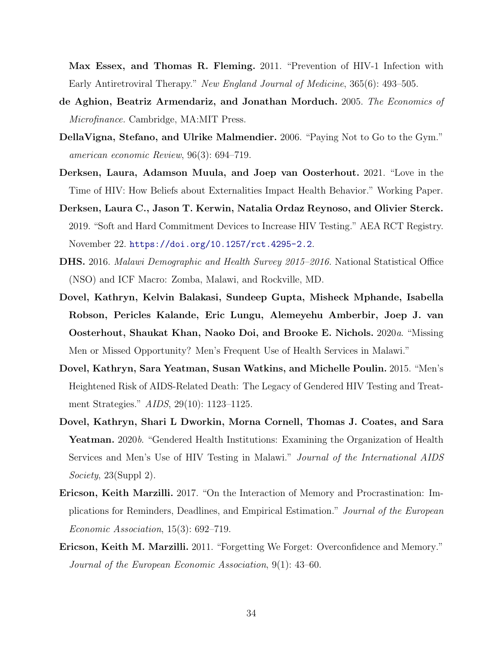Max Essex, and Thomas R. Fleming. 2011. "Prevention of HIV-1 Infection with Early Antiretroviral Therapy." New England Journal of Medicine, 365(6): 493–505.

- <span id="page-34-3"></span>de Aghion, Beatriz Armendariz, and Jonathan Morduch. 2005. The Economics of Microfinance. Cambridge, MA:MIT Press.
- <span id="page-34-0"></span>DellaVigna, Stefano, and Ulrike Malmendier. 2006. "Paying Not to Go to the Gym." american economic Review, 96(3): 694–719.
- <span id="page-34-2"></span>Derksen, Laura, Adamson Muula, and Joep van Oosterhout. 2021. "Love in the Time of HIV: How Beliefs about Externalities Impact Health Behavior." Working Paper.
- <span id="page-34-8"></span>Derksen, Laura C., Jason T. Kerwin, Natalia Ordaz Reynoso, and Olivier Sterck. 2019. "Soft and Hard Commitment Devices to Increase HIV Testing." AEA RCT Registry. November 22. <https://doi.org/10.1257/rct.4295-2.2>.
- <span id="page-34-6"></span>DHS. 2016. Malawi Demographic and Health Survey 2015–2016. National Statistical Office (NSO) and ICF Macro: Zomba, Malawi, and Rockville, MD.
- <span id="page-34-7"></span>Dovel, Kathryn, Kelvin Balakasi, Sundeep Gupta, Misheck Mphande, Isabella Robson, Pericles Kalande, Eric Lungu, Alemeyehu Amberbir, Joep J. van Oosterhout, Shaukat Khan, Naoko Doi, and Brooke E. Nichols. 2020a. "Missing Men or Missed Opportunity? Men's Frequent Use of Health Services in Malawi."
- <span id="page-34-1"></span>Dovel, Kathryn, Sara Yeatman, Susan Watkins, and Michelle Poulin. 2015. "Men's Heightened Risk of AIDS-Related Death: The Legacy of Gendered HIV Testing and Treatment Strategies." AIDS, 29(10): 1123–1125.
- <span id="page-34-9"></span>Dovel, Kathryn, Shari L Dworkin, Morna Cornell, Thomas J. Coates, and Sara Yeatman. 2020b. "Gendered Health Institutions: Examining the Organization of Health Services and Men's Use of HIV Testing in Malawi." Journal of the International AIDS Society, 23(Suppl 2).
- <span id="page-34-5"></span>Ericson, Keith Marzilli. 2017. "On the Interaction of Memory and Procrastination: Implications for Reminders, Deadlines, and Empirical Estimation." Journal of the European Economic Association, 15(3): 692–719.
- <span id="page-34-4"></span>Ericson, Keith M. Marzilli. 2011. "Forgetting We Forget: Overconfidence and Memory." Journal of the European Economic Association, 9(1): 43–60.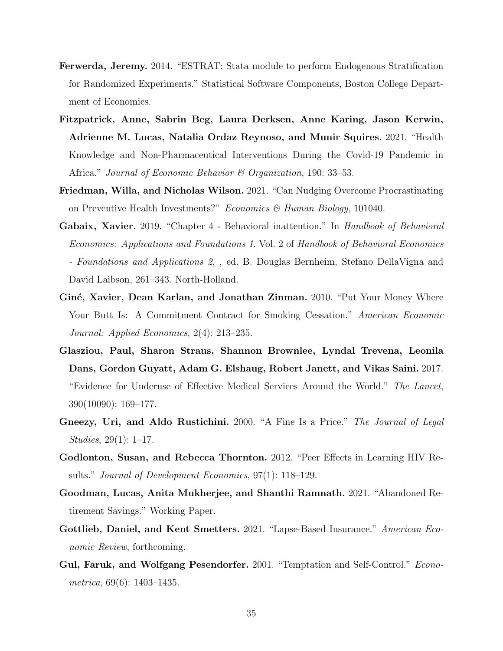- <span id="page-35-9"></span>Ferwerda, Jeremy. 2014. "ESTRAT: Stata module to perform Endogenous Stratification for Randomized Experiments." Statistical Software Components, Boston College Department of Economics.
- <span id="page-35-8"></span>Fitzpatrick, Anne, Sabrin Beg, Laura Derksen, Anne Karing, Jason Kerwin, Adrienne M. Lucas, Natalia Ordaz Reynoso, and Munir Squires. 2021. "Health Knowledge and Non-Pharmaceutical Interventions During the Covid-19 Pandemic in Africa." Journal of Economic Behavior & Organization, 190: 33–53.
- <span id="page-35-6"></span>Friedman, Willa, and Nicholas Wilson. 2021. "Can Nudging Overcome Procrastinating on Preventive Health Investments?" Economics & Human Biology, 101040.
- <span id="page-35-5"></span>Gabaix, Xavier. 2019. "Chapter 4 - Behavioral inattention." In Handbook of Behavioral Economics: Applications and Foundations 1. Vol. 2 of Handbook of Behavioral Economics - Foundations and Applications 2, , ed. B. Douglas Bernheim, Stefano DellaVigna and David Laibson, 261–343. North-Holland.
- <span id="page-35-1"></span>Giné, Xavier, Dean Karlan, and Jonathan Zinman. 2010. "Put Your Money Where Your Butt Is: A Commitment Contract for Smoking Cessation." American Economic Journal: Applied Economics, 2(4): 213–235.
- <span id="page-35-7"></span>Glasziou, Paul, Sharon Straus, Shannon Brownlee, Lyndal Trevena, Leonila Dans, Gordon Guyatt, Adam G. Elshaug, Robert Janett, and Vikas Saini. 2017. "Evidence for Underuse of Effective Medical Services Around the World." The Lancet, 390(10090): 169–177.
- <span id="page-35-2"></span>Gneezy, Uri, and Aldo Rustichini. 2000. "A Fine Is a Price." The Journal of Legal Studies, 29(1): 1–17.
- <span id="page-35-10"></span>Godlonton, Susan, and Rebecca Thornton. 2012. "Peer Effects in Learning HIV Results." Journal of Development Economics, 97(1): 118–129.
- <span id="page-35-4"></span>Goodman, Lucas, Anita Mukherjee, and Shanthi Ramnath. 2021. "Abandoned Retirement Savings." Working Paper.
- <span id="page-35-3"></span>Gottlieb, Daniel, and Kent Smetters. 2021. "Lapse-Based Insurance." American Economic Review, forthcoming.
- <span id="page-35-0"></span>Gul, Faruk, and Wolfgang Pesendorfer. 2001. "Temptation and Self-Control." Econometrica, 69(6): 1403–1435.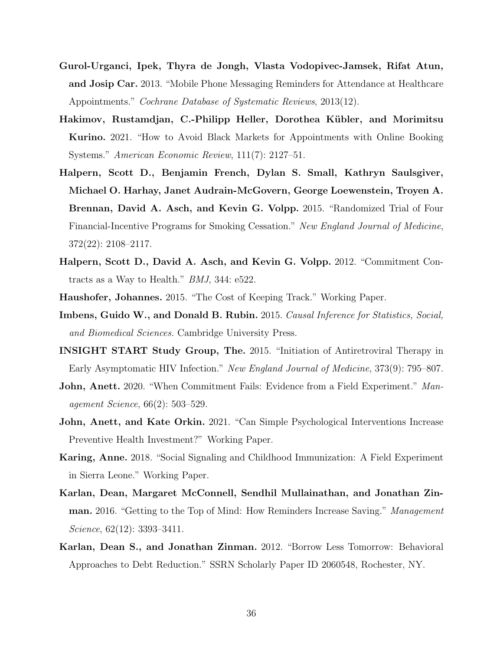- Gurol-Urganci, Ipek, Thyra de Jongh, Vlasta Vodopivec-Jamsek, Rifat Atun, and Josip Car. 2013. "Mobile Phone Messaging Reminders for Attendance at Healthcare Appointments." Cochrane Database of Systematic Reviews, 2013(12).
- Hakimov, Rustamdjan, C.-Philipp Heller, Dorothea Kübler, and Morimitsu Kurino. 2021. "How to Avoid Black Markets for Appointments with Online Booking Systems." American Economic Review, 111(7): 2127–51.
- Halpern, Scott D., Benjamin French, Dylan S. Small, Kathryn Saulsgiver, Michael O. Harhay, Janet Audrain-McGovern, George Loewenstein, Troyen A. Brennan, David A. Asch, and Kevin G. Volpp. 2015. "Randomized Trial of Four Financial-Incentive Programs for Smoking Cessation." New England Journal of Medicine, 372(22): 2108–2117.
- Halpern, Scott D., David A. Asch, and Kevin G. Volpp. 2012. "Commitment Contracts as a Way to Health." BMJ, 344: e522.
- Haushofer, Johannes. 2015. "The Cost of Keeping Track." Working Paper.
- Imbens, Guido W., and Donald B. Rubin. 2015. Causal Inference for Statistics, Social, and Biomedical Sciences. Cambridge University Press.
- INSIGHT START Study Group, The. 2015. "Initiation of Antiretroviral Therapy in Early Asymptomatic HIV Infection." New England Journal of Medicine, 373(9): 795–807.
- **John, Anett.** 2020. "When Commitment Fails: Evidence from a Field Experiment." Management Science, 66(2): 503–529.
- John, Anett, and Kate Orkin. 2021. "Can Simple Psychological Interventions Increase Preventive Health Investment?" Working Paper.
- Karing, Anne. 2018. "Social Signaling and Childhood Immunization: A Field Experiment in Sierra Leone." Working Paper.
- Karlan, Dean, Margaret McConnell, Sendhil Mullainathan, and Jonathan Zinman. 2016. "Getting to the Top of Mind: How Reminders Increase Saving." Management Science, 62(12): 3393–3411.
- Karlan, Dean S., and Jonathan Zinman. 2012. "Borrow Less Tomorrow: Behavioral Approaches to Debt Reduction." SSRN Scholarly Paper ID 2060548, Rochester, NY.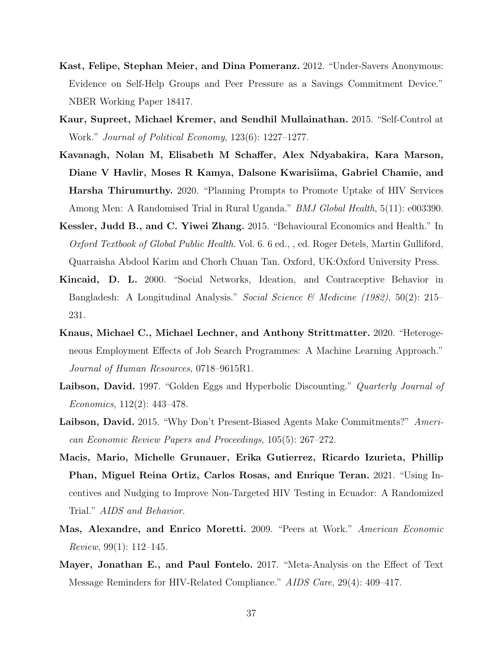- Kast, Felipe, Stephan Meier, and Dina Pomeranz. 2012. "Under-Savers Anonymous: Evidence on Self-Help Groups and Peer Pressure as a Savings Commitment Device." NBER Working Paper 18417.
- Kaur, Supreet, Michael Kremer, and Sendhil Mullainathan. 2015. "Self-Control at Work." Journal of Political Economy, 123(6): 1227–1277.
- Kavanagh, Nolan M, Elisabeth M Schaffer, Alex Ndyabakira, Kara Marson, Diane V Havlir, Moses R Kamya, Dalsone Kwarisiima, Gabriel Chamie, and Harsha Thirumurthy. 2020. "Planning Prompts to Promote Uptake of HIV Services Among Men: A Randomised Trial in Rural Uganda." *BMJ Global Health*, 5(11): e003390.
- Kessler, Judd B., and C. Yiwei Zhang. 2015. "Behavioural Economics and Health." In Oxford Textbook of Global Public Health. Vol. 6. 6 ed., , ed. Roger Detels, Martin Gulliford, Quarraisha Abdool Karim and Chorh Chuan Tan. Oxford, UK:Oxford University Press.
- Kincaid, D. L. 2000. "Social Networks, Ideation, and Contraceptive Behavior in Bangladesh: A Longitudinal Analysis." Social Science & Medicine (1982), 50(2): 215– 231.
- Knaus, Michael C., Michael Lechner, and Anthony Strittmatter. 2020. "Heterogeneous Employment Effects of Job Search Programmes: A Machine Learning Approach." Journal of Human Resources, 0718–9615R1.
- Laibson, David. 1997. "Golden Eggs and Hyperbolic Discounting." Quarterly Journal of Economics, 112(2): 443–478.
- Laibson, David. 2015. "Why Don't Present-Biased Agents Make Commitments?" American Economic Review Papers and Proceedings, 105(5): 267–272.
- Macis, Mario, Michelle Grunauer, Erika Gutierrez, Ricardo Izurieta, Phillip Phan, Miguel Reina Ortiz, Carlos Rosas, and Enrique Teran. 2021. "Using Incentives and Nudging to Improve Non-Targeted HIV Testing in Ecuador: A Randomized Trial." AIDS and Behavior.
- Mas, Alexandre, and Enrico Moretti. 2009. "Peers at Work." American Economic Review, 99(1): 112–145.
- Mayer, Jonathan E., and Paul Fontelo. 2017. "Meta-Analysis on the Effect of Text Message Reminders for HIV-Related Compliance." AIDS Care, 29(4): 409–417.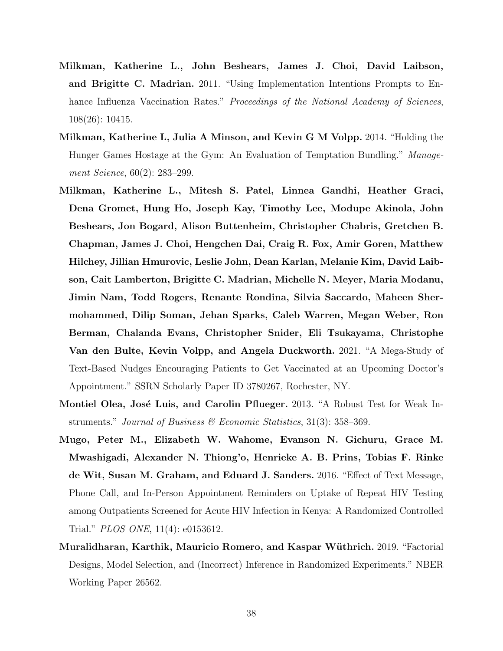- <span id="page-38-0"></span>Milkman, Katherine L., John Beshears, James J. Choi, David Laibson, and Brigitte C. Madrian. 2011. "Using Implementation Intentions Prompts to Enhance Influenza Vaccination Rates." Proceedings of the National Academy of Sciences, 108(26): 10415.
- Milkman, Katherine L, Julia A Minson, and Kevin G M Volpp. 2014. "Holding the Hunger Games Hostage at the Gym: An Evaluation of Temptation Bundling." Management Science, 60(2): 283–299.
- Milkman, Katherine L., Mitesh S. Patel, Linnea Gandhi, Heather Graci, Dena Gromet, Hung Ho, Joseph Kay, Timothy Lee, Modupe Akinola, John Beshears, Jon Bogard, Alison Buttenheim, Christopher Chabris, Gretchen B. Chapman, James J. Choi, Hengchen Dai, Craig R. Fox, Amir Goren, Matthew Hilchey, Jillian Hmurovic, Leslie John, Dean Karlan, Melanie Kim, David Laibson, Cait Lamberton, Brigitte C. Madrian, Michelle N. Meyer, Maria Modanu, Jimin Nam, Todd Rogers, Renante Rondina, Silvia Saccardo, Maheen Shermohammed, Dilip Soman, Jehan Sparks, Caleb Warren, Megan Weber, Ron Berman, Chalanda Evans, Christopher Snider, Eli Tsukayama, Christophe Van den Bulte, Kevin Volpp, and Angela Duckworth. 2021. "A Mega-Study of Text-Based Nudges Encouraging Patients to Get Vaccinated at an Upcoming Doctor's Appointment." SSRN Scholarly Paper ID 3780267, Rochester, NY.
- <span id="page-38-1"></span>Montiel Olea, José Luis, and Carolin Pflueger. 2013. "A Robust Test for Weak Instruments." Journal of Business & Economic Statistics, 31(3): 358–369.
- Mugo, Peter M., Elizabeth W. Wahome, Evanson N. Gichuru, Grace M. Mwashigadi, Alexander N. Thiong'o, Henrieke A. B. Prins, Tobias F. Rinke de Wit, Susan M. Graham, and Eduard J. Sanders. 2016. "Effect of Text Message, Phone Call, and In-Person Appointment Reminders on Uptake of Repeat HIV Testing among Outpatients Screened for Acute HIV Infection in Kenya: A Randomized Controlled Trial." PLOS ONE, 11(4): e0153612.
- Muralidharan, Karthik, Mauricio Romero, and Kaspar Wüthrich. 2019. "Factorial Designs, Model Selection, and (Incorrect) Inference in Randomized Experiments." NBER Working Paper 26562.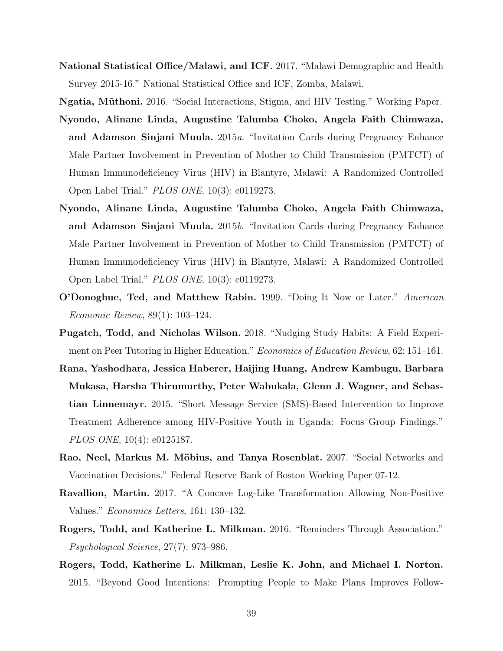National Statistical Office/Malawi, and ICF. 2017. "Malawi Demographic and Health Survey 2015-16." National Statistical Office and ICF, Zomba, Malawi.

Ngatia, Mũthoni. 2016. "Social Interactions, Stigma, and HIV Testing." Working Paper.

- Nyondo, Alinane Linda, Augustine Talumba Choko, Angela Faith Chimwaza, and Adamson Sinjani Muula. 2015a. "Invitation Cards during Pregnancy Enhance Male Partner Involvement in Prevention of Mother to Child Transmission (PMTCT) of Human Immunodeficiency Virus (HIV) in Blantyre, Malawi: A Randomized Controlled Open Label Trial." PLOS ONE, 10(3): e0119273.
- Nyondo, Alinane Linda, Augustine Talumba Choko, Angela Faith Chimwaza, and Adamson Sinjani Muula. 2015b. "Invitation Cards during Pregnancy Enhance Male Partner Involvement in Prevention of Mother to Child Transmission (PMTCT) of Human Immunodeficiency Virus (HIV) in Blantyre, Malawi: A Randomized Controlled Open Label Trial." PLOS ONE, 10(3): e0119273.
- O'Donoghue, Ted, and Matthew Rabin. 1999. "Doing It Now or Later." American Economic Review, 89(1): 103–124.
- Pugatch, Todd, and Nicholas Wilson. 2018. "Nudging Study Habits: A Field Experiment on Peer Tutoring in Higher Education." Economics of Education Review, 62: 151–161.
- Rana, Yashodhara, Jessica Haberer, Haijing Huang, Andrew Kambugu, Barbara Mukasa, Harsha Thirumurthy, Peter Wabukala, Glenn J. Wagner, and Sebastian Linnemayr. 2015. "Short Message Service (SMS)-Based Intervention to Improve Treatment Adherence among HIV-Positive Youth in Uganda: Focus Group Findings." PLOS ONE, 10(4): e0125187.
- Rao, Neel, Markus M. Möbius, and Tanya Rosenblat. 2007. "Social Networks and Vaccination Decisions." Federal Reserve Bank of Boston Working Paper 07-12.
- Ravallion, Martin. 2017. "A Concave Log-Like Transformation Allowing Non-Positive Values." Economics Letters, 161: 130–132.
- Rogers, Todd, and Katherine L. Milkman. 2016. "Reminders Through Association." Psychological Science, 27(7): 973–986.
- Rogers, Todd, Katherine L. Milkman, Leslie K. John, and Michael I. Norton. 2015. "Beyond Good Intentions: Prompting People to Make Plans Improves Follow-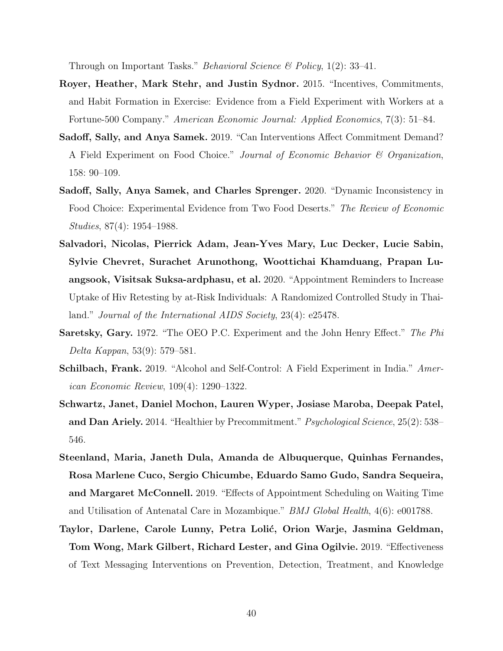<span id="page-40-2"></span><span id="page-40-1"></span><span id="page-40-0"></span>Through on Important Tasks." *Behavioral Science*  $\mathcal{B}$  *Policy*, 1(2): 33–41.

- Royer, Heather, Mark Stehr, and Justin Sydnor. 2015. "Incentives, Commitments, and Habit Formation in Exercise: Evidence from a Field Experiment with Workers at a Fortune-500 Company." American Economic Journal: Applied Economics, 7(3): 51–84.
- Sadoff, Sally, and Anya Samek. 2019. "Can Interventions Affect Commitment Demand? A Field Experiment on Food Choice." Journal of Economic Behavior & Organization, 158: 90–109.
- Sadoff, Sally, Anya Samek, and Charles Sprenger. 2020. "Dynamic Inconsistency in Food Choice: Experimental Evidence from Two Food Deserts." The Review of Economic Studies, 87(4): 1954–1988.
- Salvadori, Nicolas, Pierrick Adam, Jean-Yves Mary, Luc Decker, Lucie Sabin, Sylvie Chevret, Surachet Arunothong, Woottichai Khamduang, Prapan Luangsook, Visitsak Suksa-ardphasu, et al. 2020. "Appointment Reminders to Increase Uptake of Hiv Retesting by at-Risk Individuals: A Randomized Controlled Study in Thailand." Journal of the International AIDS Society, 23(4): e25478.
- Saretsky, Gary. 1972. "The OEO P.C. Experiment and the John Henry Effect." The Phi Delta Kappan, 53(9): 579–581.
- Schilbach, Frank. 2019. "Alcohol and Self-Control: A Field Experiment in India." American Economic Review, 109(4): 1290–1322.
- Schwartz, Janet, Daniel Mochon, Lauren Wyper, Josiase Maroba, Deepak Patel, and Dan Ariely. 2014. "Healthier by Precommitment." Psychological Science, 25(2): 538– 546.
- Steenland, Maria, Janeth Dula, Amanda de Albuquerque, Quinhas Fernandes, Rosa Marlene Cuco, Sergio Chicumbe, Eduardo Samo Gudo, Sandra Sequeira, and Margaret McConnell. 2019. "Effects of Appointment Scheduling on Waiting Time and Utilisation of Antenatal Care in Mozambique." BMJ Global Health, 4(6): e001788.
- Taylor, Darlene, Carole Lunny, Petra Lolić, Orion Warje, Jasmina Geldman, Tom Wong, Mark Gilbert, Richard Lester, and Gina Ogilvie. 2019. "Effectiveness of Text Messaging Interventions on Prevention, Detection, Treatment, and Knowledge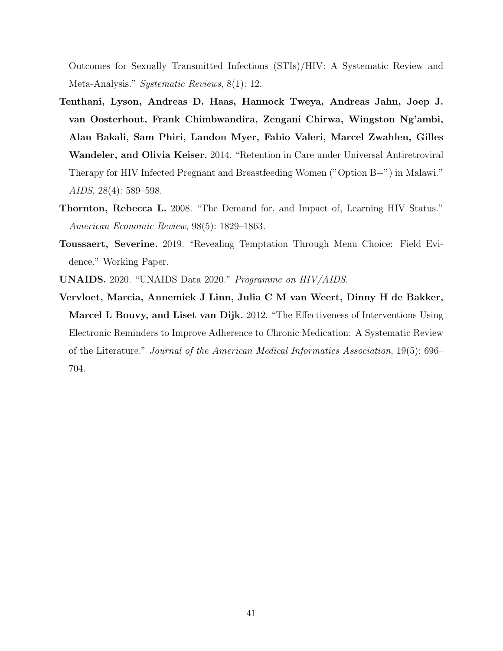Outcomes for Sexually Transmitted Infections (STIs)/HIV: A Systematic Review and Meta-Analysis." Systematic Reviews, 8(1): 12.

- Tenthani, Lyson, Andreas D. Haas, Hannock Tweya, Andreas Jahn, Joep J. van Oosterhout, Frank Chimbwandira, Zengani Chirwa, Wingston Ng'ambi, Alan Bakali, Sam Phiri, Landon Myer, Fabio Valeri, Marcel Zwahlen, Gilles Wandeler, and Olivia Keiser. 2014. "Retention in Care under Universal Antiretroviral Therapy for HIV Infected Pregnant and Breastfeeding Women ("Option B+") in Malawi." AIDS, 28(4): 589–598.
- Thornton, Rebecca L. 2008. "The Demand for, and Impact of, Learning HIV Status." American Economic Review, 98(5): 1829–1863.
- Toussaert, Severine. 2019. "Revealing Temptation Through Menu Choice: Field Evidence." Working Paper.
- UNAIDS. 2020. "UNAIDS Data 2020." Programme on HIV/AIDS.
- Vervloet, Marcia, Annemiek J Linn, Julia C M van Weert, Dinny H de Bakker, Marcel L Bouvy, and Liset van Dijk. 2012. "The Effectiveness of Interventions Using Electronic Reminders to Improve Adherence to Chronic Medication: A Systematic Review of the Literature." Journal of the American Medical Informatics Association, 19(5): 696– 704.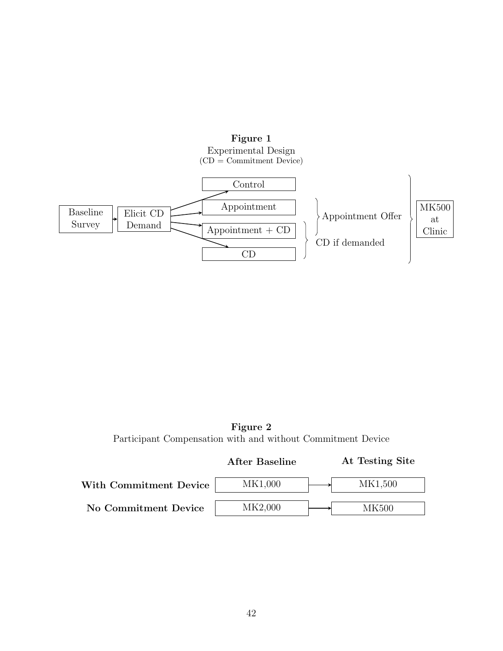

Figure 2 Participant Compensation with and without Commitment Device

|                        | <b>After Baseline</b> | At Testing Site |
|------------------------|-----------------------|-----------------|
| With Commitment Device | MK1,000               | MK1,500         |
| No Commitment Device   | MK2,000               | MK500.          |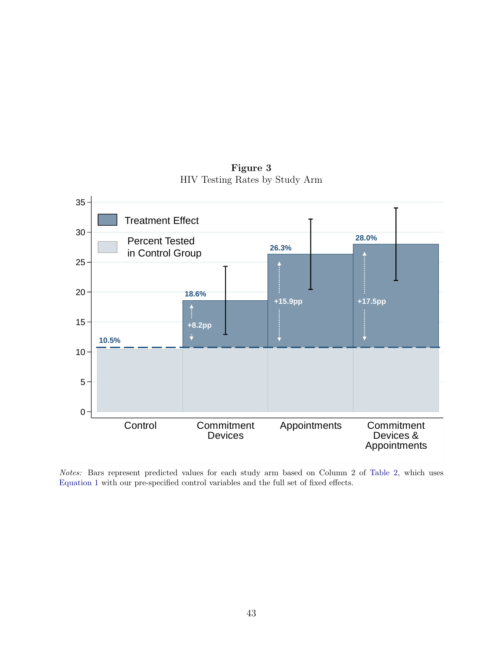0 5 10 15 20 25 30  $35 -$ Control Commitment Devices Appointments Commitment Devices & Appointments **10.5% 18.6% 26.3% 28.0% +15.9pp +17.5pp +8.2pp** Percent Tested in Control Group Treatment Effect

Figure 3 HIV Testing Rates by Study Arm

Notes: Bars represent predicted values for each study arm based on Column 2 of [Table 2,](#page-49-0) which uses [Equation 1](#page-12-0) with our pre-specified control variables and the full set of fixed effects.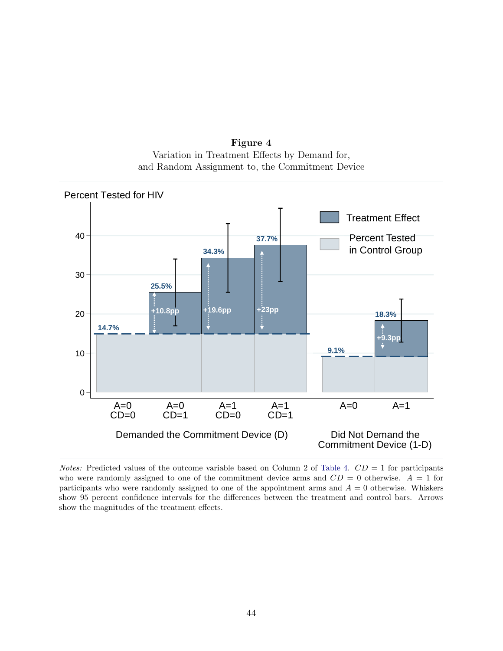Figure 4 Variation in Treatment Effects by Demand for, and Random Assignment to, the Commitment Device



*Notes:* Predicted values of the outcome variable based on Column 2 of [Table 4.](#page-51-0)  $CD = 1$  for participants who were randomly assigned to one of the commitment device arms and  $CD = 0$  otherwise.  $A = 1$  for participants who were randomly assigned to one of the appointment arms and  $A = 0$  otherwise. Whiskers show 95 percent confidence intervals for the differences between the treatment and control bars. Arrows show the magnitudes of the treatment effects.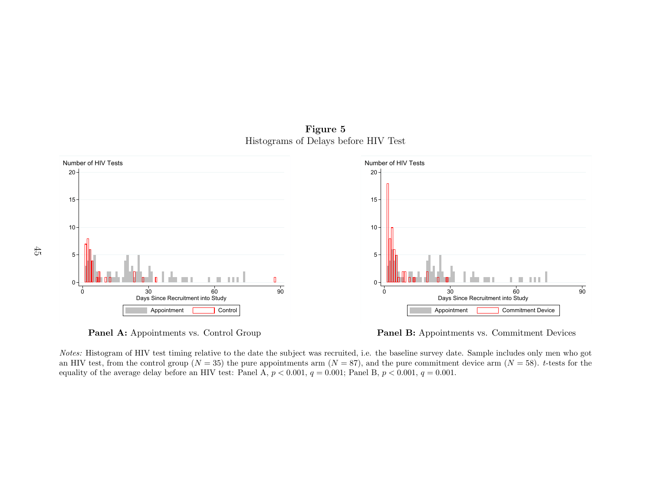

![](_page_45_Figure_1.jpeg)

![](_page_45_Figure_2.jpeg)

![](_page_45_Figure_3.jpeg)

s vs. Control<br>s vs. Control<br>ing relative to t<br>p  $(N = 35)$  the<br>e an HIV test: ts vs. Commitment Device<br>ts vs. Commitment Device<br>Sample includes only me<br>levice arm  $(N = 58)$ . t-te Notes: Histogram of HIV test timing relative to the date the subject was recruited, i.e. the baseline survey date. Sample includes only men who gotan HIV test, from the control group  $(N = 35)$  the pure appointments arm  $(N = 87)$ , and the pure commitment device arm  $(N = 58)$ . t-tests for the equality of the average delay before an HIV test: Panel A,  $p < 0.001$ ,  $q = 0.001$ ; Panel B,  $p < 0.001$ ,  $q = 0.001$ .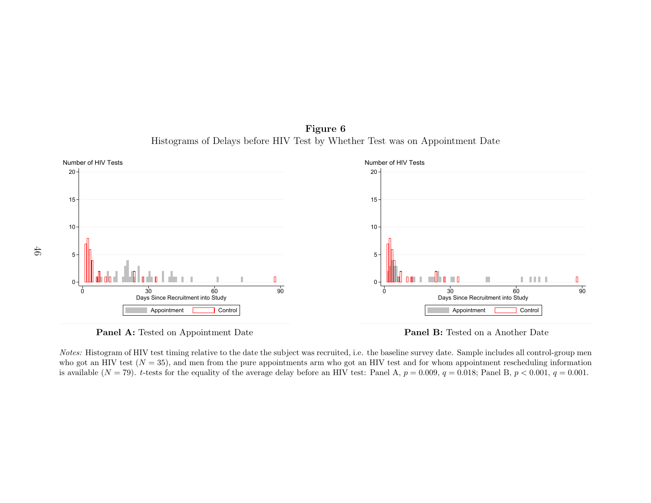Number of HIV TestsNumber of HIV Tests $20 -$ 20151510105 5<br>0  $\frac{0}{90}$ n n  $\mathbb{R}$ a kata ta <u>L III LI</u>  $\blacksquare$  $\Omega$ o<br>es:<br>b go<br>vail <sup>30</sup><br> **Panel A:** Tested on Appointment bostudy<br> **Panel A:** Tested on Appointment Date<br>
I: Histogram of HIV test timing relative to the date the sult of an HIV test  $(N = 35)$ , and men from the pure appoin lable  $(N = 79)$ . *t* o<br>e b:<br>IIV<br>ane <sup>30</sup><br> **Panel B:** Tested on a Another Date<br> **Panel B:** Tested on a Another Date<br>
vaseline survey date. Sample includes all control-group metrics and for whom appointment rescheduling information in  $y = 0.009$ ,  $q = 0.018$ ; Days Since Recruitment into StudyDays Since Recruitment into StudyAppointmentAppointment

![](_page_46_Figure_1.jpeg)

![](_page_46_Figure_2.jpeg)

![](_page_46_Figure_3.jpeg)

t<br>Appointment 1<br>ag relative to the d men from the<br>he equality of the  $\frac{c}{2}$  a Another D<sub>i</sub> includes all control<br>includes all control excheduli<br>Panel B,  $p < 0.0$ Notes: Histogram of HIV test timing relative to the date the subject was recruited, i.e. the baseline survey date. Sample includes all control-group menwho got an HIV test  $(N = 35)$ , and men from the pure appointments arm who got an HIV test and for whom appointment rescheduling information<br>is smiled by  $(N = 70)$ , there for the samelity of the same point who fore an HIV te is available  $(N = 79)$ . t-tests for the equality of the average delay before an HIV test: Panel A,  $p = 0.009$ ,  $q = 0.018$ ; Panel B,  $p < 0.001$ ,  $q = 0.001$ .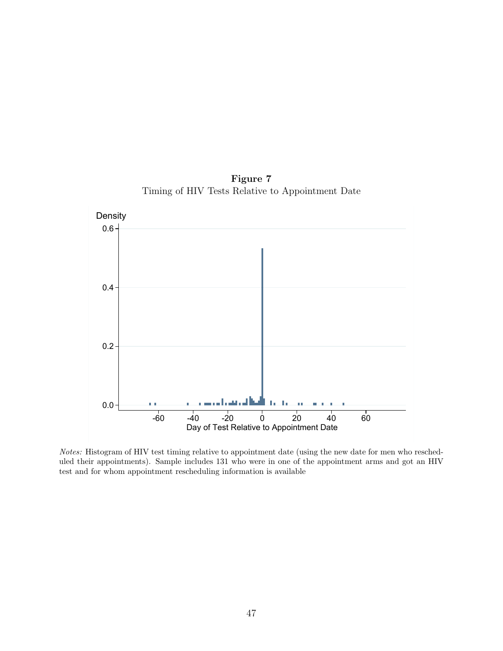![](_page_47_Figure_0.jpeg)

Figure 7 Timing of HIV Tests Relative to Appointment Date

Notes: Histogram of HIV test timing relative to appointment date (using the new date for men who rescheduled their appointments). Sample includes 131 who were in one of the appointment arms and got an HIV test and for whom appointment rescheduling information is available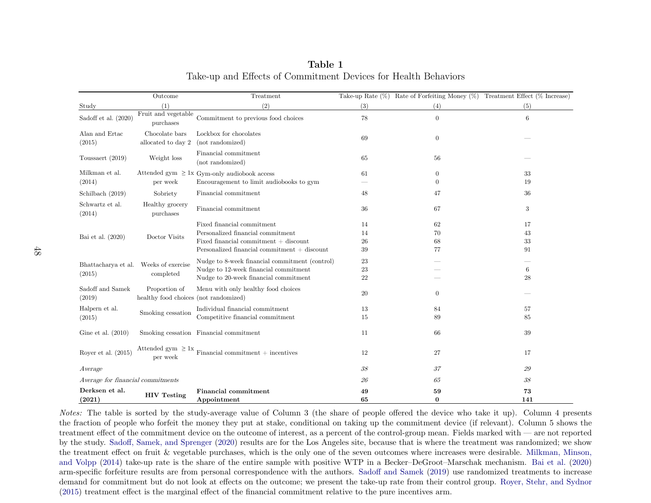|                                       | Outcome                                                | Treatment                                        |     |                | Take-up Rate $(\%)$ Rate of Forfeiting Money $(\%)$ Treatment Effect $(\%$ Increase) |
|---------------------------------------|--------------------------------------------------------|--------------------------------------------------|-----|----------------|--------------------------------------------------------------------------------------|
| Study                                 | (1)                                                    | (2)                                              | (3) | (4)            | (5)                                                                                  |
| Sadoff et al. (2020)                  | $\operatorname{Fruit}$ and vegetable<br>purchases      | Commitment to previous food choices              | 78  | $\overline{0}$ | 6                                                                                    |
| Alan and Ertac<br>(2015)              | Chocolate bars<br>allocated to day 2                   | Lockbox for chocolates<br>(not randomized)       | 69  | 0              |                                                                                      |
| Toussaert (2019)                      | Weight loss                                            | Financial commitment<br>(not randomized)         | 65  | 56             |                                                                                      |
| Milkman et al.                        |                                                        | Attended gym $\geq$ 1x Gym-only audiobook access | 61  | $\overline{0}$ | 33                                                                                   |
| (2014)                                | per week                                               | Encouragement to limit audiobooks to gym         |     | $\overline{0}$ | 19                                                                                   |
| Schilbach (2019)                      | Sobriety                                               | Financial commitment                             | 48  | 47             | 36                                                                                   |
| Schwartz et al.<br>(2014)             | Healthy grocery<br>purchases                           | Financial commitment                             | 36  | 67             | 3                                                                                    |
|                                       |                                                        | Fixed financial commitment                       | 14  | 62             | 17                                                                                   |
| Bai et al. (2020)                     | Doctor Visits                                          | Personalized financial commitment                | 14  | 70             | 43                                                                                   |
|                                       |                                                        | Fixed financial commitment $+$ discount          | 26  | 68             | 33                                                                                   |
|                                       |                                                        | Personalized financial commitment $+$ discount   | 39  | 77             | 91                                                                                   |
| Bhattacharya et al. Weeks of exercise |                                                        | Nudge to 8-week financial commitment (control)   | 23  |                |                                                                                      |
| (2015)                                | completed                                              | Nudge to 12-week financial commitment            | 23  |                | $\,6\,$                                                                              |
|                                       |                                                        | Nudge to 20-week financial commitment            | 22  |                | 28                                                                                   |
| Sadoff and Samek<br>(2019)            | Proportion of<br>healthy food choices (not randomized) | Menu with only healthy food choices              | 20  | $\overline{0}$ |                                                                                      |
| Halpern et al.                        |                                                        | Individual financial commitment                  | 13  | 84             | 57                                                                                   |
| (2015)                                | Smoking cessation                                      | Competitive financial commitment                 | 15  | 89             | 85                                                                                   |
| Gine et al. $(2010)$                  |                                                        | Smoking cessation Financial commitment           | 11  | 66             | 39                                                                                   |
| Royer et al. $(2015)$                 | Attended gym $\geq 1x$<br>per week                     | $Financial$ commitment $+$ incentives            | 12  | 27             | 17                                                                                   |
| A verage                              |                                                        |                                                  | 38  | 37             | 29                                                                                   |
| Average for financial commitments     |                                                        |                                                  | 26  | 65             | 38                                                                                   |
| Derksen et al.                        | <b>HIV</b> Testing                                     | <b>Financial commitment</b>                      | 49  | 59             | 73                                                                                   |
| (2021)                                |                                                        | Appointment                                      | 65  | 0              | 141                                                                                  |

Table 1Take-up and Effects of Commitment Devices for Health Behaviors

Notes: The table is sorted by the study-average value of Column <sup>3</sup> (the share of people offered the device who take it up). Column <sup>4</sup> presents the fraction of people who forfeit the money they put at stake, conditional on taking up the commitment device (if relevant). Column <sup>5</sup> shows the treatment effect of the commitment device on the outcome of interest, as <sup>a</sup> percent of the control-group mean. Fields marked with — are not reported by the study. Sadoff, Samek, and [Sprenger](#page-40-0) [\(2020\)](#page-40-0) results are for the Los Angeles site, because that is where the treatment was randomized; we show the treatment effect on fruit & vegetable purchases, which is the only one of the seven outcomes where increases were desirable. [Milkman,](#page-38-0) Minson, and [Volpp](#page-38-0) [\(2014\)](#page-38-0) take-up rate is the share of the entire sample with positive WTP in <sup>a</sup> Becker–DeGroot–Marschak mechanism. [Bai](#page-32-0) et al. [\(2020\)](#page-32-0) arm-specific forfeiture results are from personal correspondence with the authors. Sadoff and [Samek](#page-40-1) [\(2019\)](#page-40-1) use randomized treatments to increase demand for commitment but do not look at effects on the outcome; we present the take-up rate from their control group. Royer, Stehr, and [Sydnor](#page-40-2)[\(2015\)](#page-40-2) treatment effect is the marginal effect of the financial commitment relative to the pure incentives arm.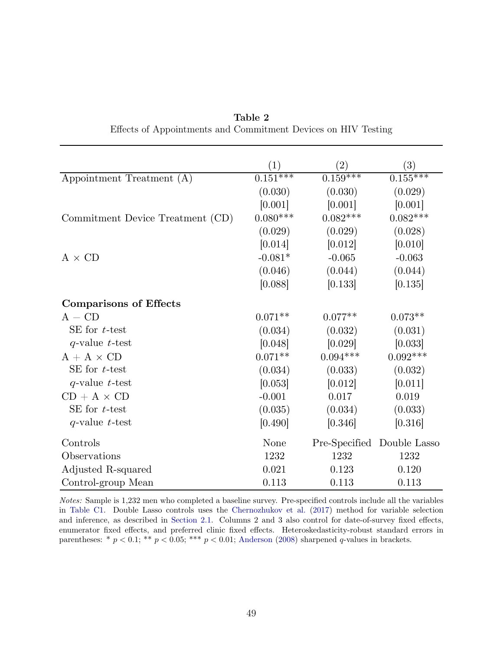<span id="page-49-0"></span>

|                                  | $\left( 1\right)$     | $\left( 2\right)$ | (3)                        |
|----------------------------------|-----------------------|-------------------|----------------------------|
| Appointment Treatment (A)        | $0.15\overline{1***}$ | $0.159***$        | $0.\overline{155***}$      |
|                                  | (0.030)               | (0.030)           | (0.029)                    |
|                                  | [0.001]               | [0.001]           | [0.001]                    |
| Commitment Device Treatment (CD) | $0.080***$            | $0.082***$        | $0.082***$                 |
|                                  | (0.029)               | (0.029)           | (0.028)                    |
|                                  | [0.014]               | [0.012]           | [0.010]                    |
| $A \times CD$                    | $-0.081*$             | $-0.065$          | $-0.063$                   |
|                                  | (0.046)               | (0.044)           | (0.044)                    |
|                                  | [0.088]               | [0.133]           | [0.135]                    |
| <b>Comparisons of Effects</b>    |                       |                   |                            |
| $A - CD$                         | $0.071**$             | $0.077**$         | $0.073**$                  |
| SE for $t$ -test                 | (0.034)               | (0.032)           | (0.031)                    |
| $q$ -value t-test                | [0.048]               | [0.029]           | [0.033]                    |
| $A + A \times CD$                | $0.071**$             | $0.094***$        | $0.092***$                 |
| SE for $t$ -test                 | (0.034)               | (0.033)           | (0.032)                    |
| $q$ -value $t$ -test             | [0.053]               | [0.012]           | [0.011]                    |
| $CD + A \times CD$               | $-0.001$              | 0.017             | 0.019                      |
| SE for $t$ -test                 | (0.035)               | (0.034)           | (0.033)                    |
| $q$ -value t-test                | [0.490]               | [0.346]           | [0.316]                    |
| Controls                         | None                  |                   | Pre-Specified Double Lasso |
| Observations                     | 1232                  | 1232              | 1232                       |
| Adjusted R-squared               | 0.021                 | 0.123             | 0.120                      |
| Control-group Mean               | 0.113                 | 0.113             | 0.113                      |

Table 2 Effects of Appointments and Commitment Devices on HIV Testing

Notes: Sample is 1,232 men who completed a baseline survey. Pre-specified controls include all the variables in [Table C1.](#page-62-0) Double Lasso controls uses the [Chernozhukov et al.](#page-33-0) [\(2017\)](#page-33-0) method for variable selection and inference, as described in [Section 2.1.](#page-12-1) Columns 2 and 3 also control for date-of-survey fixed effects, enumerator fixed effects, and preferred clinic fixed effects. Heteroskedasticity-robust standard errors in parentheses: \*  $p < 0.1$ ; \*\*  $p < 0.05$ ; \*\*\*  $p < 0.01$ ; [Anderson](#page-31-0) [\(2008\)](#page-31-0) sharpened q-values in brackets.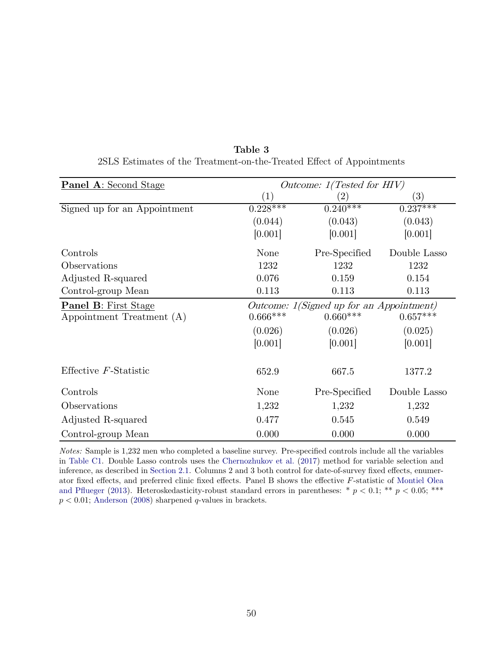| <b>Panel A:</b> Second Stage |                                          | Outcome: $1(Tested for HIV)$ |                   |
|------------------------------|------------------------------------------|------------------------------|-------------------|
|                              | $\left( 1\right)$                        |                              | $\left( 3\right)$ |
| Signed up for an Appointment | $0.228***$                               | $0.240***$                   | $0.237***$        |
|                              | (0.044)                                  | (0.043)                      | (0.043)           |
|                              | [0.001]                                  | [0.001]                      | [0.001]           |
| Controls                     | None                                     | Pre-Specified                | Double Lasso      |
| Observations                 | 1232                                     | 1232                         | 1232              |
| Adjusted R-squared           | 0.076                                    | 0.159                        | 0.154             |
| Control-group Mean           | 0.113                                    | 0.113                        | 0.113             |
| <b>Panel B: First Stage</b>  | Outcome: 1(Signed up for an Appointment) |                              |                   |
| Appointment Treatment (A)    | $0.666***$                               | $0.660***$                   | $0.657***$        |
|                              | (0.026)                                  | (0.026)                      | (0.025)           |
|                              | [0.001]                                  | [0.001]                      | [0.001]           |
| Effective $F$ -Statistic     | 652.9                                    | 667.5                        | 1377.2            |
| Controls                     | None                                     | Pre-Specified                | Double Lasso      |
| Observations                 | 1,232                                    | 1,232                        | 1,232             |
| Adjusted R-squared           | 0.477                                    | 0.545                        | 0.549             |
| Control-group Mean           | 0.000                                    | 0.000                        | 0.000             |

Table 3 2SLS Estimates of the Treatment-on-the-Treated Effect of Appointments

Notes: Sample is 1,232 men who completed a baseline survey. Pre-specified controls include all the variables in [Table C1.](#page-62-0) Double Lasso controls uses the [Chernozhukov et al.](#page-33-0) [\(2017\)](#page-33-0) method for variable selection and inference, as described in [Section 2.1.](#page-12-1) Columns 2 and 3 both control for date-of-survey fixed effects, enumerator fixed effects, and preferred clinic fixed effects. Panel B shows the effective F-statistic of [Montiel Olea](#page-38-1) [and Pflueger](#page-38-1) [\(2013\)](#page-38-1). Heteroskedasticity-robust standard errors in parentheses: \*  $p < 0.1$ ; \*\*  $p < 0.05$ ; \*\*\*  $p < 0.01$ ; [Anderson](#page-31-0) [\(2008\)](#page-31-0) sharpened q-values in brackets.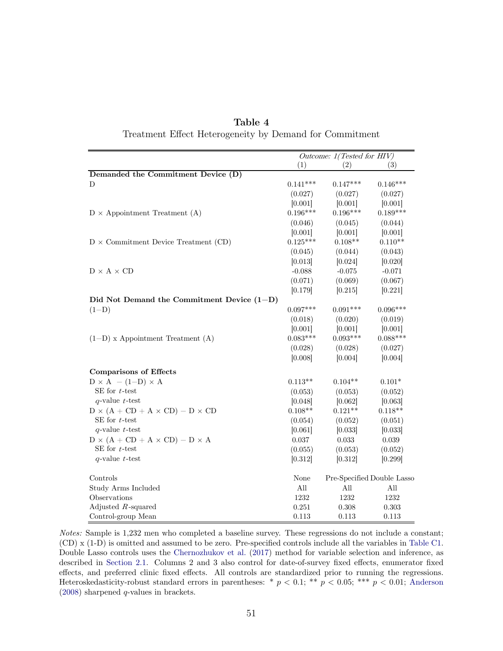<span id="page-51-0"></span>

|                                                 | Outcome: 1(Tested for HIV) |            |                            |  |
|-------------------------------------------------|----------------------------|------------|----------------------------|--|
|                                                 | (1)                        | (2)        | (3)                        |  |
| Demanded the Commitment Device (D)              |                            |            |                            |  |
| D                                               | $0.141***$                 | $0.147***$ | $0.146***$                 |  |
|                                                 | (0.027)                    | (0.027)    | (0.027)                    |  |
|                                                 | [0.001]                    | [0.001]    | [0.001]                    |  |
| $D \times$ Appointment Treatment (A)            | $0.196***$                 | $0.196***$ | $0.189***$                 |  |
|                                                 | (0.046)                    | (0.045)    | (0.044)                    |  |
|                                                 | [0.001]                    | [0.001]    | [0.001]                    |  |
| $D \times$ Commitment Device Treatment (CD)     | $0.125***$                 | $0.108**$  | $0.110**$                  |  |
|                                                 | (0.045)                    | (0.044)    | (0.043)                    |  |
|                                                 | [0.013]                    | [0.024]    | [0.020]                    |  |
| $D \times A \times CD$                          | $-0.088$                   | $-0.075$   | $-0.071$                   |  |
|                                                 | (0.071)                    | (0.069)    | (0.067)                    |  |
|                                                 | [0.179]                    | [0.215]    | [0.221]                    |  |
| Did Not Demand the Commitment Device $(1-D)$    |                            |            |                            |  |
| $(1-D)$                                         | $0.097***$                 | $0.091***$ | $0.096***$                 |  |
|                                                 | (0.018)                    | (0.020)    | (0.019)                    |  |
|                                                 | [0.001]                    | [0.001]    | [0.001]                    |  |
| $(1-D)$ x Appointment Treatment $(A)$           | $0.083***$                 | $0.093***$ | $0.088***$                 |  |
|                                                 | (0.028)                    | (0.028)    | (0.027)                    |  |
|                                                 | [0.008]                    | [0.004]    | [0.004]                    |  |
| <b>Comparisons of Effects</b>                   |                            |            |                            |  |
| $D \times A - (1-D) \times A$                   | $0.113**$                  | $0.104**$  | $0.101*$                   |  |
| SE for $t$ -test                                | (0.053)                    | (0.053)    | (0.052)                    |  |
| $q$ -value t-test                               | [0.048]                    | [0.062]    | [0.063]                    |  |
| $D \times (A + CD + A \times CD) - D \times CD$ | $0.108**$                  | $0.121**$  | $0.118**$                  |  |
| SE for $t$ -test                                | (0.054)                    | (0.052)    | (0.051)                    |  |
| $q$ -value t-test                               | [0.061]                    | [0.033]    | [0.033]                    |  |
| $D \times (A + CD + A \times CD) - D \times A$  | 0.037                      | 0.033      | 0.039                      |  |
| SE for $t$ -test                                | (0.055)                    | (0.053)    | (0.052)                    |  |
| $q$ -value t-test                               | [0.312]                    | [0.312]    | [0.299]                    |  |
| Controls                                        | None                       |            | Pre-Specified Double Lasso |  |
| Study Arms Included                             | All                        | All        | All                        |  |
| Observations                                    | 1232                       | 1232       | 1232                       |  |
| Adjusted $R$ -squared                           | 0.251                      | 0.308      | 0.303                      |  |
| Control-group Mean                              | 0.113                      | 0.113      | 0.113                      |  |

Table 4 Treatment Effect Heterogeneity by Demand for Commitment

Notes: Sample is 1,232 men who completed a baseline survey. These regressions do not include a constant; (CD) x (1-D) is omitted and assumed to be zero. Pre-specified controls include all the variables in [Table C1.](#page-62-0) Double Lasso controls uses the [Chernozhukov et al.](#page-33-0) [\(2017\)](#page-33-0) method for variable selection and inference, as described in [Section 2.1.](#page-12-1) Columns 2 and 3 also control for date-of-survey fixed effects, enumerator fixed effects, and preferred clinic fixed effects. All controls are standardized prior to running the regressions. Heteroskedasticity-robust standard errors in parentheses: \*  $p < 0.1$ ; \*\*  $p < 0.05$ ; \*\*\*  $p < 0.01$ ; [Anderson](#page-31-0) [\(2008\)](#page-31-0) sharpened q-values in brackets.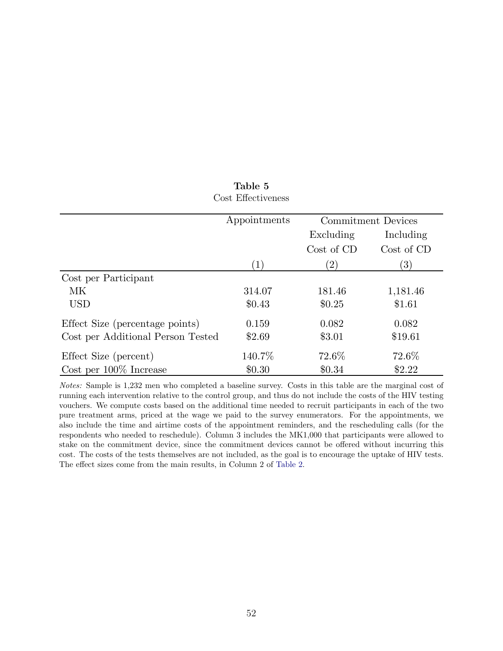|                                   | Appointments     | <b>Commitment Devices</b> |                  |  |
|-----------------------------------|------------------|---------------------------|------------------|--|
|                                   |                  | Excluding<br>Including    |                  |  |
|                                   |                  | Cost of CD                | Cost of CD       |  |
|                                   | $\left(1\right)$ | $\left( 2\right)$         | $\left(3\right)$ |  |
| Cost per Participant              |                  |                           |                  |  |
| MK.                               | 314.07           | 181.46                    | 1,181.46         |  |
| <b>USD</b>                        | \$0.43           | \$0.25                    | \$1.61           |  |
| Effect Size (percentage points)   | 0.159            | 0.082                     | 0.082            |  |
| Cost per Additional Person Tested | \$2.69           | \$3.01                    | \$19.61          |  |
| Effect Size (percent)             | 140.7%           | 72.6%                     | 72.6%            |  |
| Cost per $100\%$ Increase         | \$0.30           | \$0.34                    | \$2.22           |  |

### Table 5 Cost Effectiveness

Notes: Sample is 1,232 men who completed a baseline survey. Costs in this table are the marginal cost of running each intervention relative to the control group, and thus do not include the costs of the HIV testing vouchers. We compute costs based on the additional time needed to recruit participants in each of the two pure treatment arms, priced at the wage we paid to the survey enumerators. For the appointments, we also include the time and airtime costs of the appointment reminders, and the rescheduling calls (for the respondents who needed to reschedule). Column 3 includes the MK1,000 that participants were allowed to stake on the commitment device, since the commitment devices cannot be offered without incurring this cost. The costs of the tests themselves are not included, as the goal is to encourage the uptake of HIV tests. The effect sizes come from the main results, in Column 2 of [Table 2.](#page-49-0)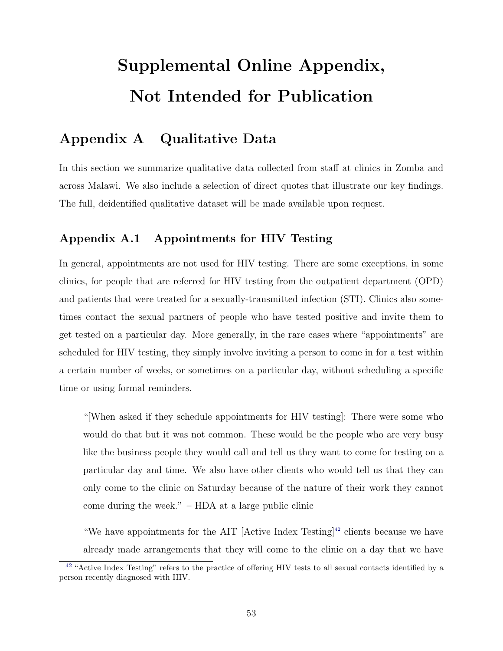# Supplemental Online Appendix, Not Intended for Publication

## Appendix A Qualitative Data

In this section we summarize qualitative data collected from staff at clinics in Zomba and across Malawi. We also include a selection of direct quotes that illustrate our key findings. The full, deidentified qualitative dataset will be made available upon request.

### Appendix A.1 Appointments for HIV Testing

In general, appointments are not used for HIV testing. There are some exceptions, in some clinics, for people that are referred for HIV testing from the outpatient department (OPD) and patients that were treated for a sexually-transmitted infection (STI). Clinics also sometimes contact the sexual partners of people who have tested positive and invite them to get tested on a particular day. More generally, in the rare cases where "appointments" are scheduled for HIV testing, they simply involve inviting a person to come in for a test within a certain number of weeks, or sometimes on a particular day, without scheduling a specific time or using formal reminders.

"[When asked if they schedule appointments for HIV testing]: There were some who would do that but it was not common. These would be the people who are very busy like the business people they would call and tell us they want to come for testing on a particular day and time. We also have other clients who would tell us that they can only come to the clinic on Saturday because of the nature of their work they cannot come during the week." – HDA at a large public clinic

<span id="page-53-1"></span>"We have appointments for the AIT [Active Index Testing]<sup>[42](#page-53-0)</sup> clients because we have already made arrangements that they will come to the clinic on a day that we have

<span id="page-53-0"></span><sup>&</sup>lt;sup>[42](#page-53-1)</sup> "Active Index Testing" refers to the practice of offering HIV tests to all sexual contacts identified by a person recently diagnosed with HIV.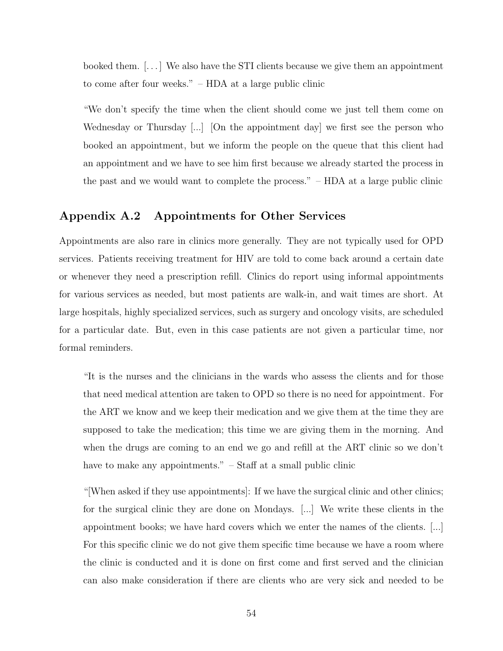booked them. [. . . ] We also have the STI clients because we give them an appointment to come after four weeks." – HDA at a large public clinic

"We don't specify the time when the client should come we just tell them come on Wednesday or Thursday [...] [On the appointment day] we first see the person who booked an appointment, but we inform the people on the queue that this client had an appointment and we have to see him first because we already started the process in the past and we would want to complete the process." – HDA at a large public clinic

### Appendix A.2 Appointments for Other Services

Appointments are also rare in clinics more generally. They are not typically used for OPD services. Patients receiving treatment for HIV are told to come back around a certain date or whenever they need a prescription refill. Clinics do report using informal appointments for various services as needed, but most patients are walk-in, and wait times are short. At large hospitals, highly specialized services, such as surgery and oncology visits, are scheduled for a particular date. But, even in this case patients are not given a particular time, nor formal reminders.

"It is the nurses and the clinicians in the wards who assess the clients and for those that need medical attention are taken to OPD so there is no need for appointment. For the ART we know and we keep their medication and we give them at the time they are supposed to take the medication; this time we are giving them in the morning. And when the drugs are coming to an end we go and refill at the ART clinic so we don't have to make any appointments."  $-$  Staff at a small public clinic

"[When asked if they use appointments]: If we have the surgical clinic and other clinics; for the surgical clinic they are done on Mondays. [...] We write these clients in the appointment books; we have hard covers which we enter the names of the clients. [...] For this specific clinic we do not give them specific time because we have a room where the clinic is conducted and it is done on first come and first served and the clinician can also make consideration if there are clients who are very sick and needed to be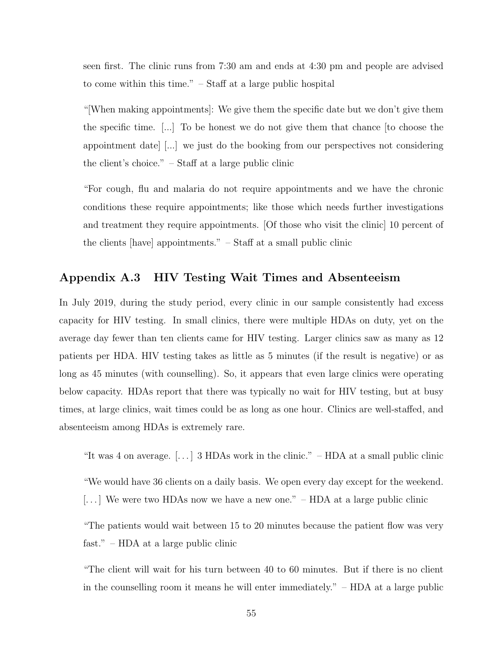seen first. The clinic runs from 7:30 am and ends at 4:30 pm and people are advised to come within this time." – Staff at a large public hospital

"[When making appointments]: We give them the specific date but we don't give them the specific time. [...] To be honest we do not give them that chance [to choose the appointment date] [...] we just do the booking from our perspectives not considering the client's choice." – Staff at a large public clinic

"For cough, flu and malaria do not require appointments and we have the chronic conditions these require appointments; like those which needs further investigations and treatment they require appointments. [Of those who visit the clinic] 10 percent of the clients [have] appointments." – Staff at a small public clinic

### Appendix A.3 HIV Testing Wait Times and Absenteeism

In July 2019, during the study period, every clinic in our sample consistently had excess capacity for HIV testing. In small clinics, there were multiple HDAs on duty, yet on the average day fewer than ten clients came for HIV testing. Larger clinics saw as many as 12 patients per HDA. HIV testing takes as little as 5 minutes (if the result is negative) or as long as 45 minutes (with counselling). So, it appears that even large clinics were operating below capacity. HDAs report that there was typically no wait for HIV testing, but at busy times, at large clinics, wait times could be as long as one hour. Clinics are well-staffed, and absenteeism among HDAs is extremely rare.

"It was 4 on average.  $[\dots]$  3 HDAs work in the clinic." – HDA at a small public clinic

"We would have 36 clients on a daily basis. We open every day except for the weekend.

[...] We were two HDAs now we have a new one."  $-$  HDA at a large public clinic

"The patients would wait between 15 to 20 minutes because the patient flow was very fast." – HDA at a large public clinic

"The client will wait for his turn between 40 to 60 minutes. But if there is no client in the counselling room it means he will enter immediately." – HDA at a large public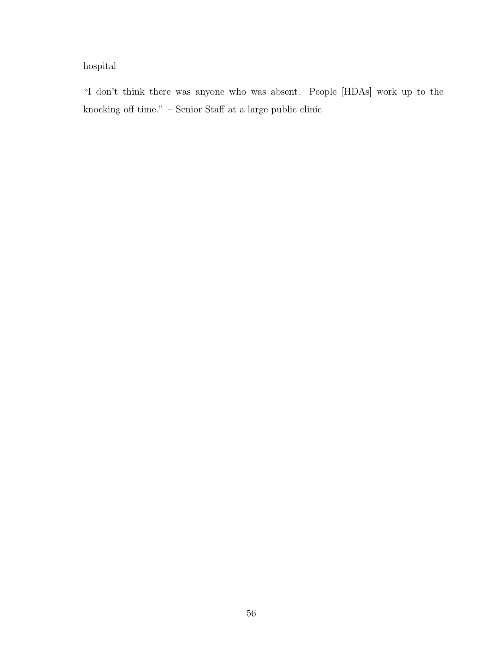### hospital

"I don't think there was anyone who was absent. People [HDAs] work up to the knocking off time."  $-$  Senior Staff at a large public clinic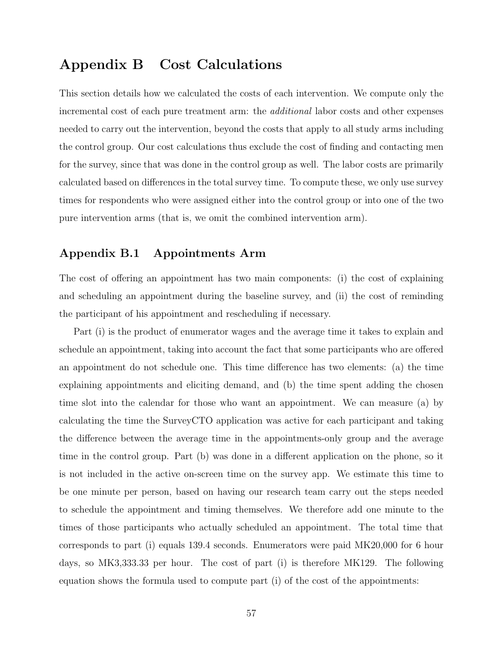### Appendix B Cost Calculations

This section details how we calculated the costs of each intervention. We compute only the incremental cost of each pure treatment arm: the additional labor costs and other expenses needed to carry out the intervention, beyond the costs that apply to all study arms including the control group. Our cost calculations thus exclude the cost of finding and contacting men for the survey, since that was done in the control group as well. The labor costs are primarily calculated based on differences in the total survey time. To compute these, we only use survey times for respondents who were assigned either into the control group or into one of the two pure intervention arms (that is, we omit the combined intervention arm).

### Appendix B.1 Appointments Arm

The cost of offering an appointment has two main components: (i) the cost of explaining and scheduling an appointment during the baseline survey, and (ii) the cost of reminding the participant of his appointment and rescheduling if necessary.

Part (i) is the product of enumerator wages and the average time it takes to explain and schedule an appointment, taking into account the fact that some participants who are offered an appointment do not schedule one. This time difference has two elements: (a) the time explaining appointments and eliciting demand, and (b) the time spent adding the chosen time slot into the calendar for those who want an appointment. We can measure (a) by calculating the time the SurveyCTO application was active for each participant and taking the difference between the average time in the appointments-only group and the average time in the control group. Part (b) was done in a different application on the phone, so it is not included in the active on-screen time on the survey app. We estimate this time to be one minute per person, based on having our research team carry out the steps needed to schedule the appointment and timing themselves. We therefore add one minute to the times of those participants who actually scheduled an appointment. The total time that corresponds to part (i) equals 139.4 seconds. Enumerators were paid MK20,000 for 6 hour days, so MK3,333.33 per hour. The cost of part (i) is therefore MK129. The following equation shows the formula used to compute part (i) of the cost of the appointments: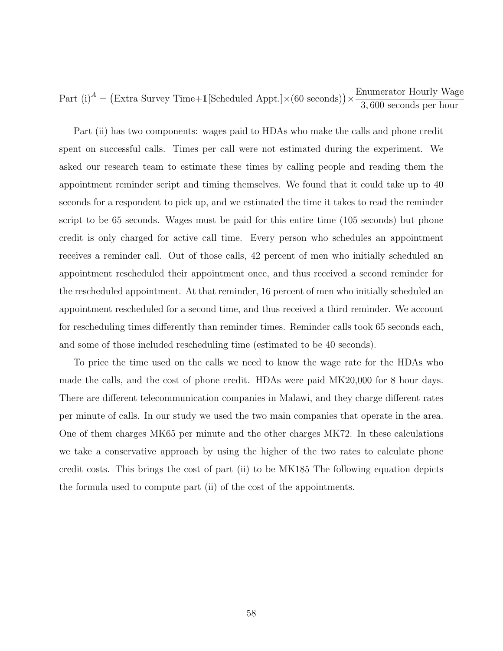Part (i)<sup>A</sup> = (Extra Survey Time+1[Scheduled Appt.] $\times$ (60 seconds)) $\times \frac{\text{Ememerator Hourly Wage}}{2.600 \text{ L}}$ 3, 600 seconds per hour

Part (ii) has two components: wages paid to HDAs who make the calls and phone credit spent on successful calls. Times per call were not estimated during the experiment. We asked our research team to estimate these times by calling people and reading them the appointment reminder script and timing themselves. We found that it could take up to 40 seconds for a respondent to pick up, and we estimated the time it takes to read the reminder script to be 65 seconds. Wages must be paid for this entire time (105 seconds) but phone credit is only charged for active call time. Every person who schedules an appointment receives a reminder call. Out of those calls, 42 percent of men who initially scheduled an appointment rescheduled their appointment once, and thus received a second reminder for the rescheduled appointment. At that reminder, 16 percent of men who initially scheduled an appointment rescheduled for a second time, and thus received a third reminder. We account for rescheduling times differently than reminder times. Reminder calls took 65 seconds each, and some of those included rescheduling time (estimated to be 40 seconds).

To price the time used on the calls we need to know the wage rate for the HDAs who made the calls, and the cost of phone credit. HDAs were paid MK20,000 for 8 hour days. There are different telecommunication companies in Malawi, and they charge different rates per minute of calls. In our study we used the two main companies that operate in the area. One of them charges MK65 per minute and the other charges MK72. In these calculations we take a conservative approach by using the higher of the two rates to calculate phone credit costs. This brings the cost of part (ii) to be MK185 The following equation depicts the formula used to compute part (ii) of the cost of the appointments.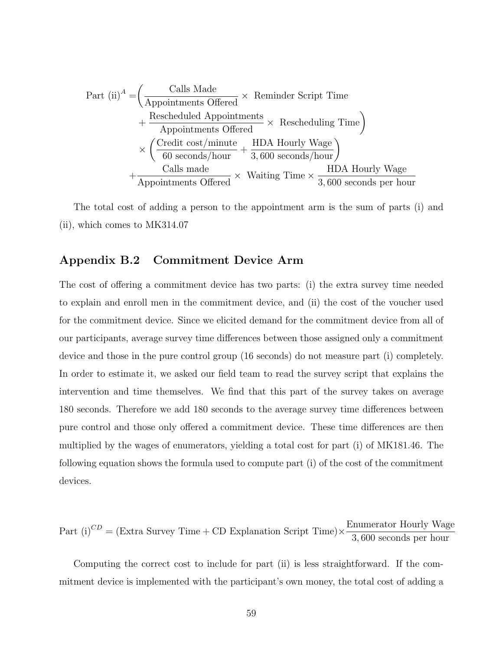Part (ii)<sup>*A*</sup> = 
$$
\left(\frac{\text{Calls Made}}{\text{Appointments offered}} \times \text{Reminder Script Time} + \frac{\text{Rescheduled Appointments}}{\text{Appointments offered}} \times \text{Rescheduling Time}\right)
$$
  
  $\times \left(\frac{\text{Credit cost/minute}}{60 \text{ seconds/hour}} + \frac{\text{HDA Hourly Wage}}{3,600 \text{ seconds/hour}}\right)$   
  $+\frac{\text{Calls made}}{\text{Appointments offered}} \times \text{Waiting Time} \times \frac{\text{HDA Hourly Wage}}{3,600 \text{ seconds per hour}}$ 

The total cost of adding a person to the appointment arm is the sum of parts (i) and (ii), which comes to MK314.07

### Appendix B.2 Commitment Device Arm

The cost of offering a commitment device has two parts: (i) the extra survey time needed to explain and enroll men in the commitment device, and (ii) the cost of the voucher used for the commitment device. Since we elicited demand for the commitment device from all of our participants, average survey time differences between those assigned only a commitment device and those in the pure control group (16 seconds) do not measure part (i) completely. In order to estimate it, we asked our field team to read the survey script that explains the intervention and time themselves. We find that this part of the survey takes on average 180 seconds. Therefore we add 180 seconds to the average survey time differences between pure control and those only offered a commitment device. These time differences are then multiplied by the wages of enumerators, yielding a total cost for part (i) of MK181.46. The following equation shows the formula used to compute part (i) of the cost of the commitment devices.

Part (i)<sup>CD</sup> = (Extra Survey Time + CD Explanation Script Time)  $\times \frac{\text{Enumerator} \; \text{Hourly} \; \text{Wage}}{2.600 \; \text{N}}$ 3, 600 seconds per hour

Computing the correct cost to include for part (ii) is less straightforward. If the commitment device is implemented with the participant's own money, the total cost of adding a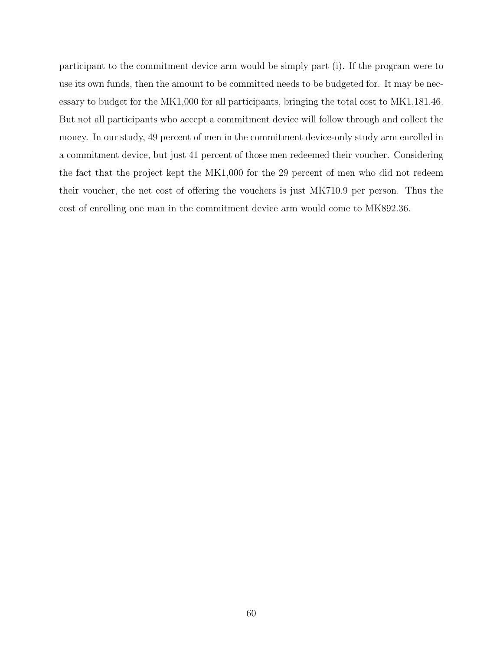participant to the commitment device arm would be simply part (i). If the program were to use its own funds, then the amount to be committed needs to be budgeted for. It may be necessary to budget for the MK1,000 for all participants, bringing the total cost to MK1,181.46. But not all participants who accept a commitment device will follow through and collect the money. In our study, 49 percent of men in the commitment device-only study arm enrolled in a commitment device, but just 41 percent of those men redeemed their voucher. Considering the fact that the project kept the MK1,000 for the 29 percent of men who did not redeem their voucher, the net cost of offering the vouchers is just MK710.9 per person. Thus the cost of enrolling one man in the commitment device arm would come to MK892.36.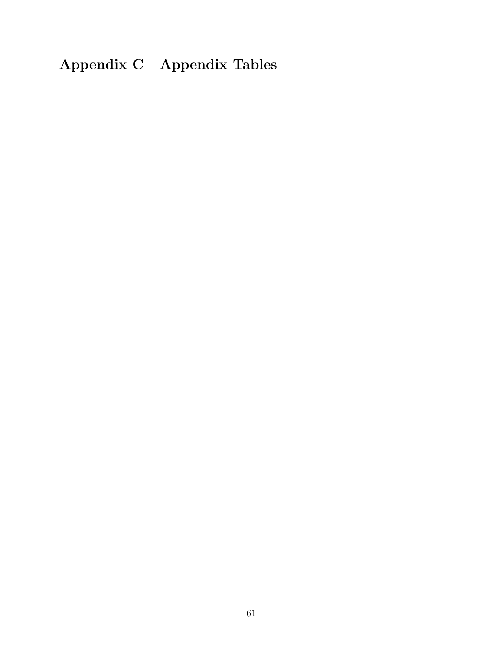## Appendix C Appendix Tables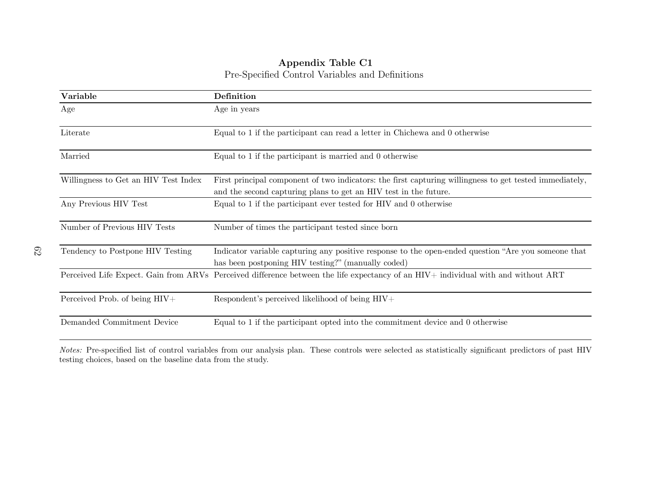### Appendix Table C1Pre-Specified Control Variables and Definitions

<span id="page-62-1"></span>

| Variable                             | Definition                                                                                                                                                                  |
|--------------------------------------|-----------------------------------------------------------------------------------------------------------------------------------------------------------------------------|
| Age                                  | Age in years                                                                                                                                                                |
| Literate                             | Equal to 1 if the participant can read a letter in Chichewa and 0 otherwise                                                                                                 |
| Married                              | Equal to 1 if the participant is married and 0 otherwise                                                                                                                    |
| Willingness to Get an HIV Test Index | First principal component of two indicators: the first capturing willingness to get tested immediately,<br>and the second capturing plans to get an HIV test in the future. |
| Any Previous HIV Test                | Equal to 1 if the participant ever tested for HIV and 0 otherwise                                                                                                           |
| Number of Previous HIV Tests         | Number of times the participant tested since born                                                                                                                           |
| Tendency to Postpone HIV Testing     | Indicator variable capturing any positive response to the open-ended question "Are you someone that<br>has been postponing HIV testing?" (manually coded)                   |
|                                      | Perceived Life Expect. Gain from ARVs Perceived difference between the life expectancy of an HIV+ individual with and without ART                                           |
| Perceived Prob. of being HIV+        | Respondent's perceived likelihood of being HIV+                                                                                                                             |
| Demanded Commitment Device           | Equal to 1 if the participant opted into the commitment device and 0 otherwise                                                                                              |

<span id="page-62-0"></span>Notes: Pre-specified list of control variables from our analysis <sup>p</sup>lan. These controls were selected as statistically significant predictors of past HIVtesting choices, based on the baseline data from the study.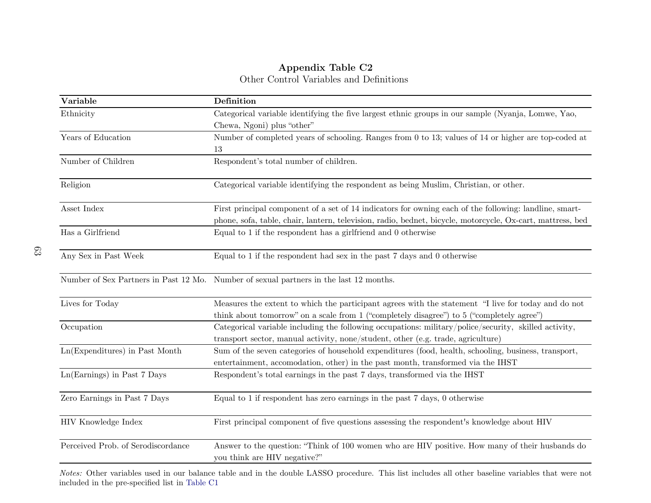### Appendix Table C2Other Control Variables and Definitions

| Variable                           | Definition                                                                                                                                                                                       |
|------------------------------------|--------------------------------------------------------------------------------------------------------------------------------------------------------------------------------------------------|
| Ethnicity                          | Categorical variable identifying the five largest ethnic groups in our sample (Nyanja, Lomwe, Yao,                                                                                               |
|                                    | Chewa, Ngoni) plus "other"                                                                                                                                                                       |
| Years of Education                 | Number of completed years of schooling. Ranges from 0 to 13; values of 14 or higher are top-coded at                                                                                             |
|                                    | 13                                                                                                                                                                                               |
| Number of Children                 | Respondent's total number of children.                                                                                                                                                           |
| Religion                           | Categorical variable identifying the respondent as being Muslim, Christian, or other.                                                                                                            |
| Asset Index                        | First principal component of a set of 14 indicators for owning each of the following: landline, smart-                                                                                           |
|                                    | phone, sofa, table, chair, lantern, television, radio, bednet, bicycle, motorcycle, Ox-cart, mattress, bed                                                                                       |
| Has a Girlfriend                   | Equal to 1 if the respondent has a girlfriend and 0 otherwise                                                                                                                                    |
| Any Sex in Past Week               | Equal to 1 if the respondent had sex in the past 7 days and 0 otherwise                                                                                                                          |
|                                    | Number of Sex Partners in Past 12 Mo. Number of sexual partners in the last 12 months.                                                                                                           |
| Lives for Today                    | Measures the extent to which the participant agrees with the statement "I live for today and do not<br>think about tomorrow" on a scale from 1 ("completely disagree") to 5 ("completely agree") |
| Occupation                         | Categorical variable including the following occupations: military/police/security, skilled activity,<br>transport sector, manual activity, none/student, other (e.g. trade, agriculture)        |
| Ln(Expenditures) in Past Month     | Sum of the seven categories of household expenditures (food, health, schooling, business, transport,<br>entertainment, accomodation, other) in the past month, transformed via the IHST          |
| Ln(Earnings) in Past 7 Days        | Respondent's total earnings in the past 7 days, transformed via the IHST                                                                                                                         |
| Zero Earnings in Past 7 Days       | Equal to 1 if respondent has zero earnings in the past 7 days, 0 otherwise                                                                                                                       |
| HIV Knowledge Index                | First principal component of five questions assessing the respondent's knowledge about HIV                                                                                                       |
| Perceived Prob. of Serodiscordance | Answer to the question: "Think of 100 women who are HIV positive. How many of their husbands do<br>you think are HIV negative?"                                                                  |

Notes: Other variables used in our balance table and in the double LASSO procedure. This list includes all other baseline variables that were not included in the pre-specified list in [Table](#page-62-1) C1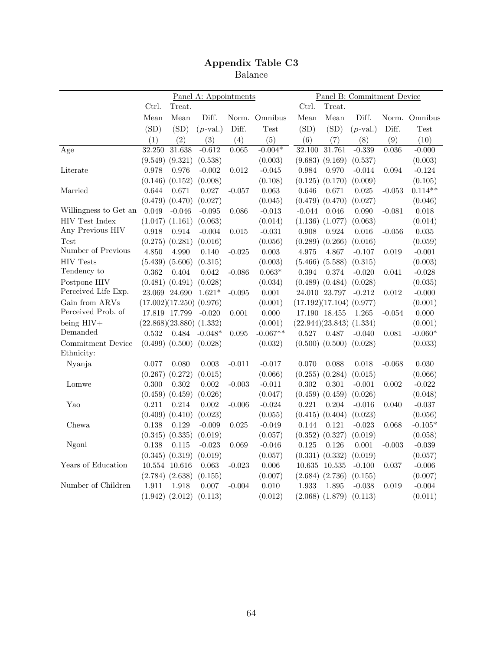Balance

|                       | Panel A: Appointments   |                              |             | Panel B: Commitment Device |               |                              |                     |             |          |               |  |
|-----------------------|-------------------------|------------------------------|-------------|----------------------------|---------------|------------------------------|---------------------|-------------|----------|---------------|--|
|                       | Ctrl.                   | Treat.                       |             |                            |               | Ctrl.                        | Treat.              |             |          |               |  |
|                       | Mean                    | Mean                         | Diff.       |                            | Norm. Omnibus | Mean                         | Mean                | Diff.       |          | Norm. Omnibus |  |
|                       | (SD)                    | (SD)                         | $(p$ -val.) | Diff.                      | <b>Test</b>   | (SD)                         | (SD)                | $(p$ -val.) | Diff.    | Test          |  |
|                       | (1)                     | (2)                          | (3)         | (4)                        | (5)           | (6)                          | (7)                 | (8)         | (9)      | (10)          |  |
| Age                   | 32.250                  | 31.638                       | $-0.612$    | 0.065                      | $-0.004*$     | 32.100                       | 31.761              | $-0.339$    | 0.036    | $-0.000$      |  |
|                       |                         | $(9.549)$ $(9.321)$          | (0.538)     |                            | (0.003)       |                              | (9.683) (9.169)     | (0.537)     |          | (0.003)       |  |
| Literate              | 0.978                   | 0.976                        | $-0.002$    | 0.012                      | $-0.045$      | 0.984                        | 0.970               | $-0.014$    | 0.094    | $-0.124$      |  |
|                       | (0.146)                 | (0.152)                      | (0.008)     |                            | (0.108)       | (0.125)                      | (0.170)             | (0.009)     |          | (0.105)       |  |
| Married               | 0.644                   | 0.671                        | 0.027       | $-0.057$                   | 0.063         | 0.646                        | 0.671               | 0.025       | $-0.053$ | $0.114**$     |  |
|                       |                         | $(0.479)$ $(0.470)$          | (0.027)     |                            | (0.045)       |                              | $(0.479)$ $(0.470)$ | (0.027)     |          | (0.046)       |  |
| Willingness to Get an | 0.049                   | $-0.046$                     | $-0.095$    | 0.086                      | $-0.013$      | $-0.044$                     | 0.046               | 0.090       | $-0.081$ | 0.018         |  |
| <b>HIV Test Index</b> |                         | $(1.047)$ $(1.161)$          | (0.063)     |                            | (0.014)       |                              | $(1.136)$ $(1.077)$ | (0.063)     |          | (0.014)       |  |
| Any Previous HIV      | 0.918                   | 0.914                        | $-0.004$    | 0.015                      | $-0.031$      | 0.908                        | 0.924               | 0.016       | $-0.056$ | $\,0.035\,$   |  |
| Test                  | (0.275)                 | (0.281)                      | (0.016)     |                            | (0.056)       |                              | $(0.289)$ $(0.266)$ | (0.016)     |          | (0.059)       |  |
| Number of Previous    | 4.850                   | 4.990                        | 0.140       | $-0.025$                   | 0.003         | 4.975                        | 4.867               | $-0.107$    | 0.019    | $-0.001$      |  |
| <b>HIV Tests</b>      |                         | $(5.439)$ $(5.606)$          | (0.315)     |                            | (0.003)       |                              | $(5.466)$ $(5.588)$ | (0.315)     |          | (0.003)       |  |
| Tendency to           | 0.362                   | 0.404                        | 0.042       | $-0.086$                   | $0.063*$      | 0.394                        | 0.374               | $-0.020$    | 0.041    | $-0.028$      |  |
| Postpone HIV          |                         | $(0.481)$ $(0.491)$          | (0.028)     |                            | (0.034)       |                              | $(0.489)$ $(0.484)$ | (0.028)     |          | (0.035)       |  |
| Perceived Life Exp.   |                         | 23.069 24.690                | $1.621*$    | $-0.095$                   | $0.001\,$     |                              | 24.010 23.797       | $-0.212$    | 0.012    | $-0.000$      |  |
| Gain from ARVs        | (17.002)(17.250)(0.976) |                              |             |                            | (0.001)       | $(17.192)(17.104)$ $(0.977)$ |                     |             |          | (0.001)       |  |
| Perceived Prob. of    |                         | 17.819 17.799                | $-0.020$    | 0.001                      | 0.000         |                              | 17.190 18.455       | 1.265       | $-0.054$ | 0.000         |  |
| being $HIV+$          |                         | $(22.868)(23.880)$ $(1.332)$ |             |                            | (0.001)       | $(22.944)(23.843)$ $(1.334)$ |                     |             |          | (0.001)       |  |
| Demanded              | 0.532                   | 0.484                        | $-0.048*$   | 0.095                      | $-0.067**$    | 0.527                        | 0.487               | $-0.040$    | 0.081    | $-0.060*$     |  |
| Commitment Device     |                         | $(0.499)$ $(0.500)$          | (0.028)     |                            | (0.032)       |                              | $(0.500)$ $(0.500)$ | (0.028)     |          | (0.033)       |  |
| Ethnicity:            |                         |                              |             |                            |               |                              |                     |             |          |               |  |
| Nyanja                | 0.077                   | 0.080                        | 0.003       | $-0.011$                   | $-0.017$      | 0.070                        | 0.088               | 0.018       | $-0.068$ | 0.030         |  |
|                       | (0.267)                 | (0.272)                      | (0.015)     |                            | (0.066)       | (0.255)                      | (0.284)             | (0.015)     |          | (0.066)       |  |
| Lomwe                 | 0.300                   | 0.302                        | $0.002\,$   | $-0.003$                   | $-0.011$      | $0.302\,$                    | 0.301               | $-0.001$    | 0.002    | $-0.022$      |  |
|                       |                         | $(0.459)$ $(0.459)$          | (0.026)     |                            | (0.047)       | (0.459)                      | (0.459)             | (0.026)     |          | (0.048)       |  |
| Yao                   | 0.211                   | 0.214                        | 0.002       | $-0.006$                   | $-0.024$      | 0.221                        | 0.204               | $-0.016$    | 0.040    | $-0.037$      |  |
|                       |                         | $(0.409)$ $(0.410)$          | (0.023)     |                            | (0.055)       |                              | $(0.415)$ $(0.404)$ | (0.023)     |          | (0.056)       |  |
| Chewa                 | 0.138                   | 0.129                        | $-0.009$    | 0.025                      | $-0.049$      | 0.144                        | 0.121               | $-0.023$    | 0.068    | $-0.105*$     |  |
|                       |                         | $(0.345)$ $(0.335)$          | (0.019)     |                            | (0.057)       |                              | $(0.352)$ $(0.327)$ | (0.019)     |          | (0.058)       |  |
| Ngoni                 | 0.138                   | 0.115                        | $-0.023$    | 0.069                      | $-0.046$      | 0.125                        | 0.126               | 0.001       | $-0.003$ | $-0.039$      |  |
|                       |                         | $(0.345)$ $(0.319)$          | (0.019)     |                            | (0.057)       |                              | $(0.331)$ $(0.332)$ | (0.019)     |          | (0.057)       |  |
| Years of Education    |                         | 10.554 10.616                | 0.063       | $-0.023$                   | 0.006         |                              | 10.635 10.535       | $-0.100$    | 0.037    | $-0.006$      |  |
|                       |                         | $(2.784)$ $(2.638)$          | (0.155)     |                            | (0.007)       |                              | $(2.684)$ $(2.736)$ | (0.155)     |          | (0.007)       |  |
| Number of Children    | 1.911                   | 1.918                        | 0.007       | $-0.004$                   | 0.010         | 1.933                        | 1.895               | $-0.038$    | 0.019    | $-0.004$      |  |
|                       |                         | $(1.942)$ $(2.012)$          | (0.113)     |                            | (0.012)       |                              | $(2.068)$ $(1.879)$ | (0.113)     |          | (0.011)       |  |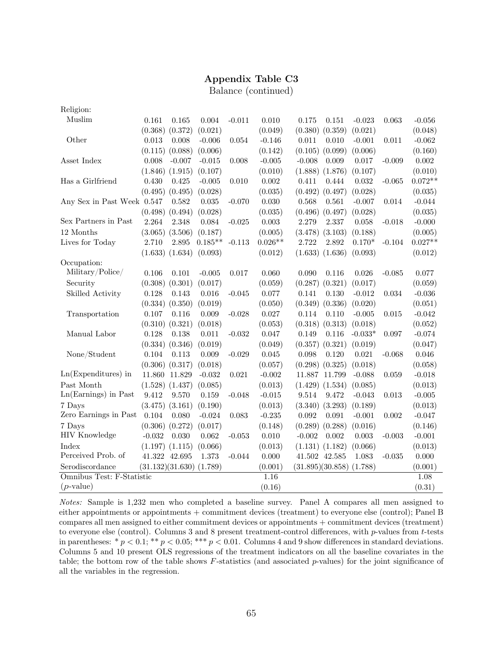Balance (continued)

| Religion:                  |                     |                     |           |          |           |                     |           |             |           |
|----------------------------|---------------------|---------------------|-----------|----------|-----------|---------------------|-----------|-------------|-----------|
| Muslim                     | 0.161               | 0.165               | 0.004     | $-0.011$ | 0.010     | 0.175<br>0.151      | $-0.023$  | 0.063       | $-0.056$  |
|                            |                     | $(0.368)$ $(0.372)$ | (0.021)   |          | (0.049)   | (0.380)<br>(0.359)  | (0.021)   |             | (0.048)   |
| Other                      | 0.013               | 0.008               | $-0.006$  | 0.054    | $-0.146$  | 0.011<br>0.010      | $-0.001$  | 0.011       | $-0.062$  |
|                            |                     | $(0.115)$ $(0.088)$ | (0.006)   |          | (0.142)   | $(0.105)$ $(0.099)$ | (0.006)   |             | (0.160)   |
| Asset Index                | 0.008               | $-0.007$            | $-0.015$  | 0.008    | $-0.005$  | $-0.008$<br>0.009   | 0.017     | $-0.009$    | 0.002     |
|                            | $(1.846)$ $(1.915)$ |                     | (0.107)   |          | (0.010)   | $(1.888)$ $(1.876)$ | (0.107)   |             | (0.010)   |
| Has a Girlfriend           | 0.430               | 0.425               | $-0.005$  | 0.010    | 0.002     | 0.411<br>0.444      | 0.032     | $-0.065$    | $0.072**$ |
|                            |                     | $(0.495)$ $(0.495)$ | (0.028)   |          | (0.035)   | $(0.492)$ $(0.497)$ | (0.028)   |             | (0.035)   |
| Any Sex in Past Week 0.547 |                     | 0.582               | 0.035     | $-0.070$ | 0.030     | 0.568<br>0.561      | $-0.007$  | 0.014       | $-0.044$  |
|                            | $(0.498)$ $(0.494)$ |                     | (0.028)   |          | (0.035)   | $(0.496)$ $(0.497)$ | (0.028)   |             | (0.035)   |
| Sex Partners in Past       | 2.264               | 2.348               | 0.084     | $-0.025$ | 0.003     | 2.279<br>2.337      | 0.058     | $-0.018$    | $-0.000$  |
| 12 Months                  | $(3.065)$ $(3.506)$ |                     | (0.187)   |          | (0.005)   | $(3.478)$ $(3.103)$ | (0.188)   |             | (0.005)   |
| Lives for Today            | 2.710               | 2.895               | $0.185**$ | $-0.113$ | $0.026**$ | 2.722<br>2.892      | $0.170*$  | $-0.104$    | $0.027**$ |
|                            | $(1.633)$ $(1.634)$ |                     | (0.093)   |          | (0.012)   | $(1.633)$ $(1.636)$ | (0.093)   |             | (0.012)   |
| Occupation:                |                     |                     |           |          |           |                     |           |             |           |
| Military/Police/           | 0.106               | 0.101               | $-0.005$  | 0.017    | 0.060     | 0.090<br>0.116      | 0.026     | $-0.085$    | 0.077     |
| Security                   | (0.308)             | (0.301)             | (0.017)   |          | (0.059)   | (0.287)<br>(0.321)  | (0.017)   |             | (0.059)   |
| Skilled Activity           | 0.128               | 0.143               | 0.016     | $-0.045$ | 0.077     | 0.130<br>0.141      | $-0.012$  | $\,0.034\,$ | $-0.036$  |
|                            | $(0.334)$ $(0.350)$ |                     | (0.019)   |          | (0.050)   | $(0.349)$ $(0.336)$ | (0.020)   |             | (0.051)   |
| Transportation             | 0.107               | 0.116               | 0.009     | $-0.028$ | 0.027     | 0.110<br>0.114      | $-0.005$  | 0.015       | $-0.042$  |
|                            | $(0.310)$ $(0.321)$ |                     | (0.018)   |          | (0.053)   | (0.318)<br>(0.313)  | (0.018)   |             | (0.052)   |
| Manual Labor               | 0.128               | 0.138               | 0.011     | $-0.032$ | 0.047     | 0.116<br>0.149      | $-0.033*$ | 0.097       | $-0.074$  |
|                            | $(0.334)$ $(0.346)$ |                     | (0.019)   |          | (0.049)   | (0.357)<br>(0.321)  | (0.019)   |             | (0.047)   |
| None/Student               | 0.104               | 0.113               | 0.009     | $-0.029$ | 0.045     | 0.120<br>0.098      | 0.021     | $-0.068$    | 0.046     |
|                            | $(0.306)$ $(0.317)$ |                     | (0.018)   |          | (0.057)   | $(0.298)$ $(0.325)$ | (0.018)   |             | (0.058)   |
| $Ln(Expenditures)$ in      | 11.860              | 11.829              | $-0.032$  | 0.021    | $-0.002$  | 11.887<br>11.799    | $-0.088$  | 0.059       | $-0.018$  |
| Past Month                 | $(1.528)$ $(1.437)$ |                     | (0.085)   |          | (0.013)   | (1.429)<br>(1.534)  | (0.085)   |             | (0.013)   |
| Ln(Earnings) in Past       | 9.412               | 9.570               | 0.159     | $-0.048$ | $-0.015$  | 9.514<br>9.472      | $-0.043$  | 0.013       | $-0.005$  |
| 7 Days                     | $(3.475)$ $(3.161)$ |                     | (0.190)   |          | (0.013)   | (3.293)<br>(3.340)  | (0.189)   |             | (0.013)   |
| Zero Earnings in Past      | 0.104               | 0.080               | $-0.024$  | 0.083    | $-0.235$  | 0.092<br>0.091      | $-0.001$  | $0.002\,$   | $-0.047$  |
| 7 Days                     | $(0.306)$ $(0.272)$ |                     | (0.017)   |          | (0.148)   | (0.289)<br>(0.288)  | (0.016)   |             | (0.146)   |
| <b>HIV Knowledge</b>       | $-0.032$            | 0.030               | 0.062     | $-0.053$ | 0.010     | $-0.002$<br>0.002   | 0.003     | $-0.003$    | $-0.001$  |
| Index                      | $(1.197)$ $(1.115)$ |                     | (0.066)   |          | (0.013)   | (1.131) (1.182)     | (0.066)   |             | (0.013)   |
| Perceived Prob. of         | 41.322 42.695       |                     | 1.373     | $-0.044$ | 0.000     | 41.502 42.585       | 1.083     | $-0.035$    | 0.000     |
| Serodiscordance            | (31.132)(31.630)    |                     | (1.789)   |          | (0.001)   | (31.895)(30.858)    | (1.788)   |             | (0.001)   |
| Omnibus Test: F-Statistic  |                     |                     |           |          | 1.16      |                     |           |             | 1.08      |
| $(p$ -value)               |                     |                     |           |          | (0.16)    |                     |           |             | (0.31)    |

Notes: Sample is 1,232 men who completed a baseline survey. Panel A compares all men assigned to either appointments or appointments + commitment devices (treatment) to everyone else (control); Panel B compares all men assigned to either commitment devices or appointments + commitment devices (treatment) to everyone else (control). Columns 3 and 8 present treatment-control differences, with  $p$ -values from  $t$ -tests in parentheses:  $* p < 0.1; ** p < 0.05; ** p < 0.01$ . Columns 4 and 9 show differences in standard deviations. Columns 5 and 10 present OLS regressions of the treatment indicators on all the baseline covariates in the table; the bottom row of the table shows F-statistics (and associated p-values) for the joint significance of all the variables in the regression.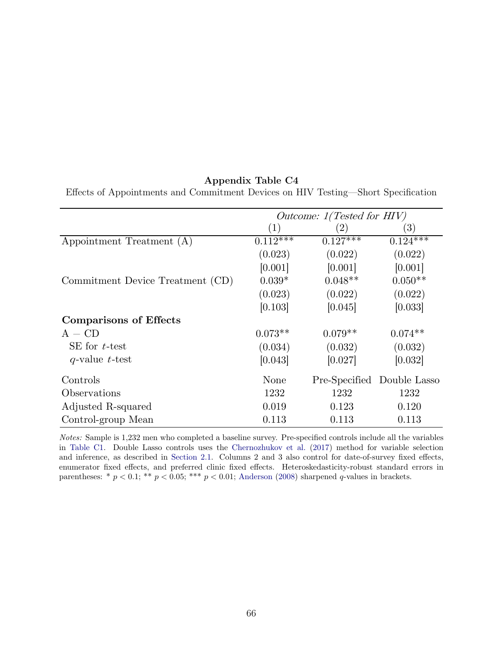Effects of Appointments and Commitment Devices on HIV Testing—Short Specification

|                                  | Outcome: 1(Tested for HIV) |               |                  |  |
|----------------------------------|----------------------------|---------------|------------------|--|
|                                  | $\left  \right $           | 2)            | $\left(3\right)$ |  |
| Appointment Treatment (A)        | $0.11\overline{2***}$      | $0.127***$    | $0.124***$       |  |
|                                  | (0.023)                    | (0.022)       | (0.022)          |  |
|                                  | [0.001]                    | [0.001]       | [0.001]          |  |
| Commitment Device Treatment (CD) | $0.039*$                   | $0.048**$     | $0.050**$        |  |
|                                  | (0.023)                    | (0.022)       | (0.022)          |  |
|                                  | [0.103]                    | [0.045]       | [0.033]          |  |
| <b>Comparisons of Effects</b>    |                            |               |                  |  |
| $A - CD$                         | $0.073**$                  | $0.079**$     | $0.074**$        |  |
| SE for $t$ -test                 | (0.034)                    | (0.032)       | (0.032)          |  |
| $q$ -value t-test                | [0.043]                    | [0.027]       | [0.032]          |  |
| Controls                         | None                       | Pre-Specified | Double Lasso     |  |
| Observations                     | 1232                       | 1232          | 1232             |  |
| Adjusted R-squared               | 0.019                      | 0.123         | 0.120            |  |
| Control-group Mean               | 0.113                      | 0.113         | 0.113            |  |

Notes: Sample is 1,232 men who completed a baseline survey. Pre-specified controls include all the variables in [Table C1.](#page-62-0) Double Lasso controls uses the [Chernozhukov et al.](#page-33-0) [\(2017\)](#page-33-0) method for variable selection and inference, as described in [Section 2.1.](#page-12-1) Columns 2 and 3 also control for date-of-survey fixed effects, enumerator fixed effects, and preferred clinic fixed effects. Heteroskedasticity-robust standard errors in parentheses: \*  $p < 0.1$ ; \*\*  $p < 0.05$ ; \*\*\*  $p < 0.01$ ; [Anderson](#page-31-0) [\(2008\)](#page-31-0) sharpened  $q$ -values in brackets.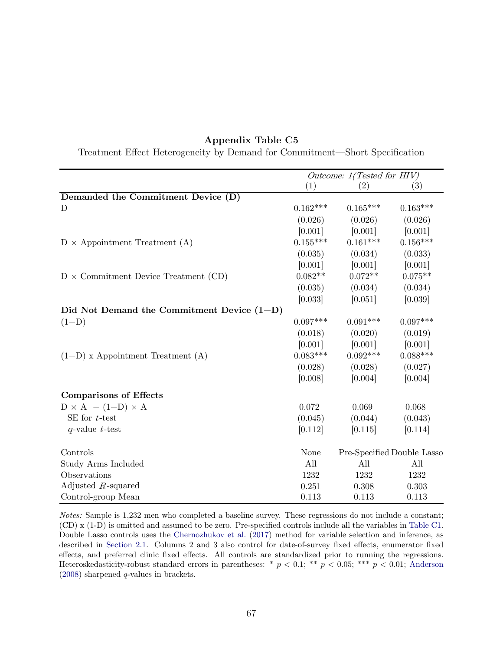|                                              |            | Outcome: 1(Tested for HIV) |                            |
|----------------------------------------------|------------|----------------------------|----------------------------|
|                                              | (1)        | (2)                        | (3)                        |
| Demanded the Commitment Device (D)           |            |                            |                            |
| D                                            | $0.162***$ | $0.165***$                 | $0.163***$                 |
|                                              | (0.026)    | (0.026)                    | (0.026)                    |
|                                              | [0.001]    | [0.001]                    | [0.001]                    |
| $D \times$ Appointment Treatment (A)         | $0.155***$ | $0.161***$                 | $0.156***$                 |
|                                              | (0.035)    | (0.034)                    | (0.033)                    |
|                                              | [0.001]    | [0.001]                    | [0.001]                    |
| $D \times$ Commitment Device Treatment (CD)  | $0.082**$  | $0.072**$                  | $0.075**$                  |
|                                              | (0.035)    | (0.034)                    | (0.034)                    |
|                                              | [0.033]    | [0.051]                    | [0.039]                    |
| Did Not Demand the Commitment Device $(1-D)$ |            |                            |                            |
| $(1-D)$                                      | $0.097***$ | $0.091***$                 | $0.097***$                 |
|                                              | (0.018)    | (0.020)                    | (0.019)                    |
|                                              | [0.001]    | [0.001]                    | [0.001]                    |
| $(1-D)$ x Appointment Treatment $(A)$        | $0.083***$ | $0.092***$                 | $0.088***$                 |
|                                              | (0.028)    | (0.028)                    | (0.027)                    |
|                                              | [0.008]    | [0.004]                    | [0.004]                    |
| <b>Comparisons of Effects</b>                |            |                            |                            |
| $D \times A - (1-D) \times A$                | 0.072      | 0.069                      | 0.068                      |
| SE for $t$ -test                             | (0.045)    | (0.044)                    | (0.043)                    |
| $q$ -value t-test                            | [0.112]    | [0.115]                    | [0.114]                    |
| Controls                                     | None       |                            | Pre-Specified Double Lasso |
| Study Arms Included                          | All        | All                        | All                        |
| Observations                                 | 1232       | 1232                       | 1232                       |
| Adjusted $R$ -squared                        | 0.251      | 0.308                      | 0.303                      |
| Control-group Mean                           | 0.113      | 0.113                      | 0.113                      |

Treatment Effect Heterogeneity by Demand for Commitment—Short Specification

Notes: Sample is 1,232 men who completed a baseline survey. These regressions do not include a constant; (CD) x (1-D) is omitted and assumed to be zero. Pre-specified controls include all the variables in [Table C1.](#page-62-0) Double Lasso controls uses the [Chernozhukov et al.](#page-33-0) [\(2017\)](#page-33-0) method for variable selection and inference, as described in [Section 2.1.](#page-12-1) Columns 2 and 3 also control for date-of-survey fixed effects, enumerator fixed effects, and preferred clinic fixed effects. All controls are standardized prior to running the regressions. Heteroskedasticity-robust standard errors in parentheses: \*  $p < 0.1$ ; \*\*  $p < 0.05$ ; \*\*\*  $p < 0.01$ ; [Anderson](#page-31-0) [\(2008\)](#page-31-0) sharpened q-values in brackets.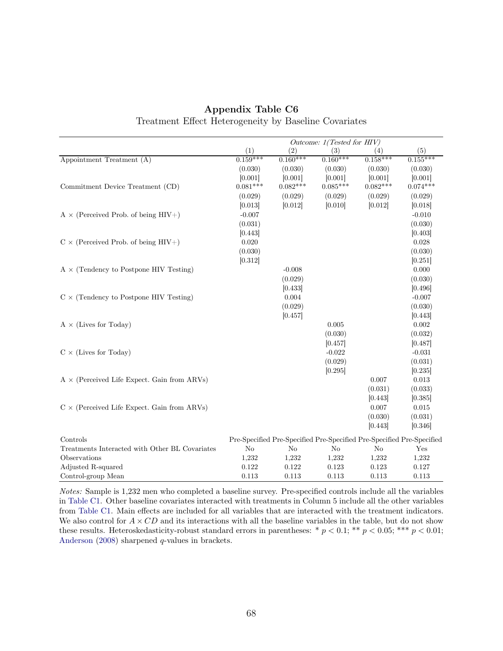|                                                    | Outcome: 1(Tested for HIV) |                |                                                                       |                |            |  |
|----------------------------------------------------|----------------------------|----------------|-----------------------------------------------------------------------|----------------|------------|--|
|                                                    | (1)                        | (2)            | (3)                                                                   | (4)            | (5)        |  |
| Appointment Treatment (A)                          | $0.159***$                 | $0.160***$     | $0.160***$                                                            | $0.158***$     | $0.155***$ |  |
|                                                    | (0.030)                    | (0.030)        | (0.030)                                                               | (0.030)        | (0.030)    |  |
|                                                    | [0.001]                    | [0.001]        | [0.001]                                                               | [0.001]        | [0.001]    |  |
| Commitment Device Treatment (CD)                   | $0.081***$                 | $0.082***$     | $0.085***$                                                            | $0.082***$     | $0.074***$ |  |
|                                                    | (0.029)                    | (0.029)        | (0.029)                                                               | (0.029)        | (0.029)    |  |
|                                                    | [0.013]                    | [0.012]        | [0.010]                                                               | [0.012]        | [0.018]    |  |
| $A \times$ (Perceived Prob. of being HIV+)         | $-0.007$                   |                |                                                                       |                | $-0.010$   |  |
|                                                    | (0.031)                    |                |                                                                       |                | (0.030)    |  |
|                                                    | [0.443]                    |                |                                                                       |                | [0.403]    |  |
| $C \times$ (Perceived Prob. of being HIV+)         | 0.020                      |                |                                                                       |                | 0.028      |  |
|                                                    | (0.030)                    |                |                                                                       |                | (0.030)    |  |
|                                                    | [0.312]                    |                |                                                                       |                | [0.251]    |  |
| $A \times$ (Tendency to Postpone HIV Testing)      |                            | $-0.008$       |                                                                       |                | 0.000      |  |
|                                                    |                            | (0.029)        |                                                                       |                | (0.030)    |  |
|                                                    |                            | [0.433]        |                                                                       |                | [0.496]    |  |
| $C \times$ (Tendency to Postpone HIV Testing)      |                            | 0.004          |                                                                       |                | $-0.007$   |  |
|                                                    |                            | (0.029)        |                                                                       |                | (0.030)    |  |
|                                                    |                            | [0.457]        |                                                                       |                | 0.443      |  |
| $A \times$ (Lives for Today)                       |                            |                | 0.005                                                                 |                | 0.002      |  |
|                                                    |                            |                | (0.030)                                                               |                | (0.032)    |  |
|                                                    |                            |                | [0.457]                                                               |                | [0.487]    |  |
| $C \times$ (Lives for Today)                       |                            |                | $-0.022$                                                              |                | $-0.031$   |  |
|                                                    |                            |                | (0.029)                                                               |                | (0.031)    |  |
|                                                    |                            |                | [0.295]                                                               |                | [0.235]    |  |
| $A \times$ (Perceived Life Expect. Gain from ARVs) |                            |                |                                                                       | 0.007          | 0.013      |  |
|                                                    |                            |                |                                                                       | (0.031)        | (0.033)    |  |
|                                                    |                            |                |                                                                       | [0.443]        | [0.385]    |  |
| $C \times$ (Perceived Life Expect. Gain from ARVs) |                            |                |                                                                       | 0.007          | 0.015      |  |
|                                                    |                            |                |                                                                       | (0.030)        | (0.031)    |  |
|                                                    |                            |                |                                                                       | [0.443]        | [0.346]    |  |
| Controls                                           |                            |                | Pre-Specified Pre-Specified Pre-Specified Pre-Specified Pre-Specified |                |            |  |
| Treatments Interacted with Other BL Covariates     | N <sub>o</sub>             | N <sub>o</sub> | No                                                                    | N <sub>o</sub> | Yes        |  |
| Observations                                       | 1,232                      | 1,232          | 1,232                                                                 | 1,232          | 1,232      |  |
| Adjusted R-squared                                 | 0.122                      | 0.122          | 0.123                                                                 | 0.123          | 0.127      |  |
| Control-group Mean                                 | 0.113                      | 0.113          | 0.113                                                                 | 0.113          | 0.113      |  |

### Appendix Table C6 Treatment Effect Heterogeneity by Baseline Covariates

Notes: Sample is 1,232 men who completed a baseline survey. Pre-specified controls include all the variables in [Table C1.](#page-62-0) Other baseline covariates interacted with treatments in Column 5 include all the other variables from [Table C1.](#page-62-0) Main effects are included for all variables that are interacted with the treatment indicators. We also control for  $A \times CD$  and its interactions with all the baseline variables in the table, but do not show these results. Heteroskedasticity-robust standard errors in parentheses: \*  $p < 0.1$ ; \*\*  $p < 0.05$ ; \*\*\*  $p < 0.01$ ; [Anderson](#page-31-0) [\(2008\)](#page-31-0) sharpened q-values in brackets.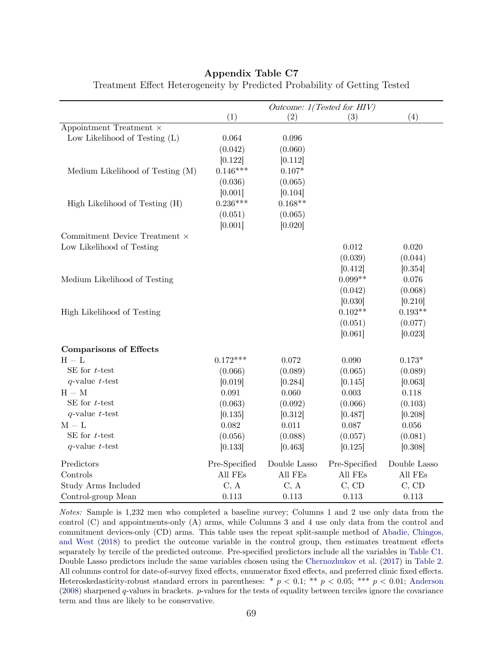|                                  | Outcome: 1(Tested for HIV) |              |               |              |  |
|----------------------------------|----------------------------|--------------|---------------|--------------|--|
|                                  | (1)                        | (2)          | (3)           | (4)          |  |
| Appointment Treatment $\times$   |                            |              |               |              |  |
| Low Likelihood of Testing (L)    | 0.064                      | 0.096        |               |              |  |
|                                  | (0.042)                    | (0.060)      |               |              |  |
|                                  | [0.122]                    | [0.112]      |               |              |  |
| Medium Likelihood of Testing (M) | $0.146***$                 | $0.107*$     |               |              |  |
|                                  | (0.036)                    | (0.065)      |               |              |  |
|                                  | [0.001]                    | [0.104]      |               |              |  |
| High Likelihood of Testing (H)   | $0.236***$                 | $0.168**$    |               |              |  |
|                                  | (0.051)                    | (0.065)      |               |              |  |
|                                  | [0.001]                    | [0.020]      |               |              |  |
| Commitment Device Treatment ×    |                            |              |               |              |  |
| Low Likelihood of Testing        |                            |              | 0.012         | 0.020        |  |
|                                  |                            |              | (0.039)       | (0.044)      |  |
|                                  |                            |              | [0.412]       | [0.354]      |  |
| Medium Likelihood of Testing     |                            |              | $0.099**$     | 0.076        |  |
|                                  |                            |              | (0.042)       | (0.068)      |  |
|                                  |                            |              | [0.030]       | [0.210]      |  |
| High Likelihood of Testing       |                            |              | $0.102**$     | $0.193**$    |  |
|                                  |                            |              | (0.051)       | (0.077)      |  |
|                                  |                            |              | [0.061]       | [0.023]      |  |
| <b>Comparisons of Effects</b>    |                            |              |               |              |  |
| $H-L$                            | $0.172***$                 | 0.072        | 0.090         | $0.173*$     |  |
| SE for $t$ -test                 | (0.066)                    | (0.089)      | (0.065)       | (0.089)      |  |
| $q$ -value $t$ -test             | [0.019]                    | [0.284]      | [0.145]       | [0.063]      |  |
| $H - M$                          | 0.091                      | 0.060        | 0.003         | 0.118        |  |
| SE for $t$ -test                 | (0.063)                    | (0.092)      | (0.066)       | (0.103)      |  |
| $q$ -value $t$ -test             | [0.135]                    | [0.312]      | [0.487]       | [0.208]      |  |
| $M-L$                            | 0.082                      | 0.011        | 0.087         | 0.056        |  |
| SE for $t$ -test                 | (0.056)                    | (0.088)      | (0.057)       | (0.081)      |  |
| $q$ -value $t$ -test             | [0.133]                    | [0.463]      | [0.125]       | [0.308]      |  |
| Predictors                       | Pre-Specified              | Double Lasso | Pre-Specified | Double Lasso |  |
| Controls                         | All FEs                    | All FEs      | All FEs       | All FEs      |  |
| Study Arms Included              | C, A                       | C, A         | C, CD         | C, CD        |  |
| Control-group Mean               | 0.113                      | 0.113        | 0.113         | 0.113        |  |

Treatment Effect Heterogeneity by Predicted Probability of Getting Tested

Notes: Sample is 1,232 men who completed a baseline survey; Columns 1 and 2 use only data from the control (C) and appointments-only (A) arms, while Columns 3 and 4 use only data from the control and commitment devices-only (CD) arms. This table uses the repeat split-sample method of [Abadie, Chingos,](#page-31-1) [and West](#page-31-1) [\(2018\)](#page-31-1) to predict the outcome variable in the control group, then estimates treatment effects separately by tercile of the predicted outcome. Pre-specified predictors include all the variables in [Table C1.](#page-62-0) Double Lasso predictors include the same variables chosen using the [Chernozhukov et al.](#page-33-0) [\(2017\)](#page-33-0) in [Table 2.](#page-49-0) All columns control for date-of-survey fixed effects, enumerator fixed effects, and preferred clinic fixed effects. Heteroskedasticity-robust standard errors in parentheses: \*  $p < 0.1$ ; \*\*  $p < 0.05$ ; \*\*\*  $p < 0.01$ ; [Anderson](#page-31-0)  $(2008)$  sharpened q-values in brackets. p-values for the tests of equality between terciles ignore the covariance term and thus are likely to be conservative.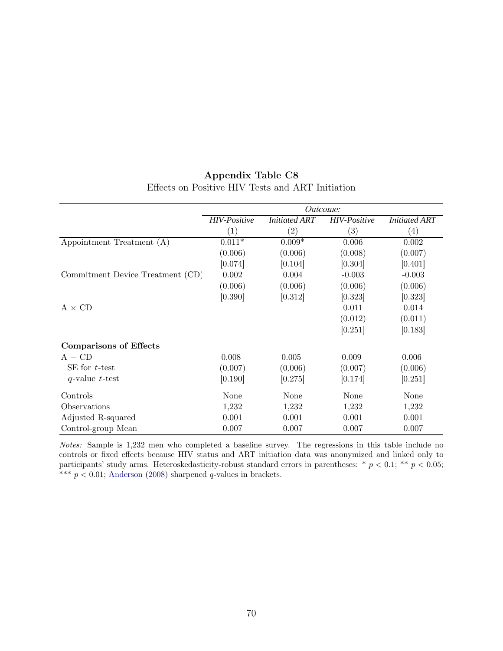| Appendix Table C8                                |  |  |  |  |  |  |
|--------------------------------------------------|--|--|--|--|--|--|
| Effects on Positive HIV Tests and ART Initiation |  |  |  |  |  |  |

|                                  | <i>Outcome:</i>     |                      |                     |                      |  |
|----------------------------------|---------------------|----------------------|---------------------|----------------------|--|
|                                  | <b>HIV-Positive</b> | <b>Initiated ART</b> | <b>HIV-Positive</b> | <b>Initiated ART</b> |  |
|                                  | (1)                 | $\left( 2\right)$    | $\left( 3\right)$   | $\left( 4\right)$    |  |
| Appointment Treatment (A)        | $0.011*$            | $0.009*$             | 0.006               | 0.002                |  |
|                                  | (0.006)             | (0.006)              | (0.008)             | (0.007)              |  |
|                                  | [0.074]             | [0.104]              | [0.304]             | [0.401]              |  |
| Commitment Device Treatment (CD) | 0.002               | 0.004                | $-0.003$            | $-0.003$             |  |
|                                  | (0.006)             | (0.006)              | (0.006)             | (0.006)              |  |
|                                  | [0.390]             | [0.312]              | [0.323]             | [0.323]              |  |
| $A \times CD$                    |                     |                      | 0.011               | 0.014                |  |
|                                  |                     |                      | (0.012)             | (0.011)              |  |
|                                  |                     |                      | [0.251]             | [0.183]              |  |
| <b>Comparisons of Effects</b>    |                     |                      |                     |                      |  |
| $A - CD$                         | 0.008               | 0.005                | 0.009               | 0.006                |  |
| SE for $t$ -test                 | (0.007)             | (0.006)              | (0.007)             | (0.006)              |  |
| $q$ -value t-test                | [0.190]             | [0.275]              | [0.174]             | [0.251]              |  |
| Controls                         | None                | None                 | None                | None                 |  |
| Observations                     | 1,232               | 1,232                | 1,232               | 1,232                |  |
| Adjusted R-squared               | 0.001               | 0.001                | 0.001               | 0.001                |  |
| Control-group Mean               | 0.007               | 0.007                | 0.007               | 0.007                |  |

Notes: Sample is 1,232 men who completed a baseline survey. The regressions in this table include no controls or fixed effects because HIV status and ART initiation data was anonymized and linked only to participants' study arms. Heteroskedasticity-robust standard errors in parentheses: \*  $p < 0.1$ ; \*\*  $p < 0.05$ ; \*\*\*  $p < 0.01$ ; [Anderson](#page-31-0) [\(2008\)](#page-31-0) sharpened q-values in brackets.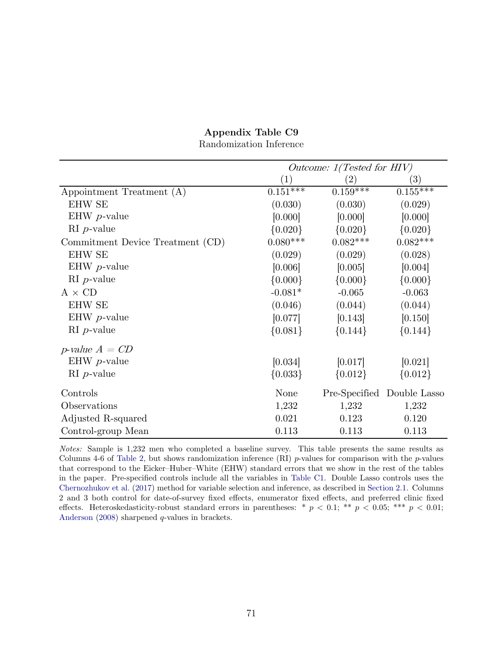|                                  | Outcome: $1(Tested for HIV)$ |             |                            |
|----------------------------------|------------------------------|-------------|----------------------------|
|                                  | $\left( 1\right)$            | $^{'}2)$    | (3)                        |
| Appointment Treatment (A)        | $0.151***$                   | $0.159***$  | $0.155***$                 |
| <b>EHW SE</b>                    | (0.030)                      | (0.030)     | (0.029)                    |
| EHW $p$ -value                   | [0.000]                      | [0.000]     | [0.000]                    |
| $\mathrm{RI}$ <i>p</i> -value    | ${0.020}$                    | ${0.020}$   | ${0.020}$                  |
| Commitment Device Treatment (CD) | $0.080***$                   | $0.082***$  | $0.082***$                 |
| <b>EHW SE</b>                    | (0.029)                      | (0.029)     | (0.028)                    |
| EHW $p$ -value                   | [0.006]                      | [0.005]     | [0.004]                    |
| $\mathrm{RI}$ <i>p</i> -value    | ${0.000}$                    | $\{0.000\}$ | ${0.000}$                  |
| $A \times CD$                    | $-0.081*$                    | $-0.065$    | $-0.063$                   |
| <b>EHW SE</b>                    | (0.046)                      | (0.044)     | (0.044)                    |
| EHW $p$ -value                   | [0.077]                      | [0.143]     | [0.150]                    |
| $\mathrm{RI}$ <i>p</i> -value    | ${0.081}$                    | ${0.144}$   | ${0.144}$                  |
| p-value $A = CD$                 |                              |             |                            |
| EHW $p$ -value                   | [0.034]                      | [0.017]     | [0.021]                    |
| $\mathrm{RI}$ <i>p</i> -value    | ${0.033}$                    | ${0.012}$   | ${0.012}$                  |
| Controls                         | None                         |             | Pre-Specified Double Lasso |
| Observations                     | 1,232                        | 1,232       | 1,232                      |
| Adjusted R-squared               | 0.021                        | 0.123       | 0.120                      |
| Control-group Mean               | 0.113                        | 0.113       | 0.113                      |

Randomization Inference

Notes: Sample is 1,232 men who completed a baseline survey. This table presents the same results as Columns 4-6 of [Table 2,](#page-49-0) but shows randomization inference (RI)  $p$ -values for comparison with the  $p$ -values that correspond to the Eicker–Huber–White (EHW) standard errors that we show in the rest of the tables in the paper. Pre-specified controls include all the variables in [Table C1.](#page-62-0) Double Lasso controls uses the [Chernozhukov et al.](#page-33-0) [\(2017\)](#page-33-0) method for variable selection and inference, as described in [Section 2.1.](#page-12-1) Columns 2 and 3 both control for date-of-survey fixed effects, enumerator fixed effects, and preferred clinic fixed effects. Heteroskedasticity-robust standard errors in parentheses: \*  $p < 0.1$ ; \*\*  $p < 0.05$ ; \*\*\*  $p < 0.01$ ; [Anderson](#page-31-0) [\(2008\)](#page-31-0) sharpened q-values in brackets.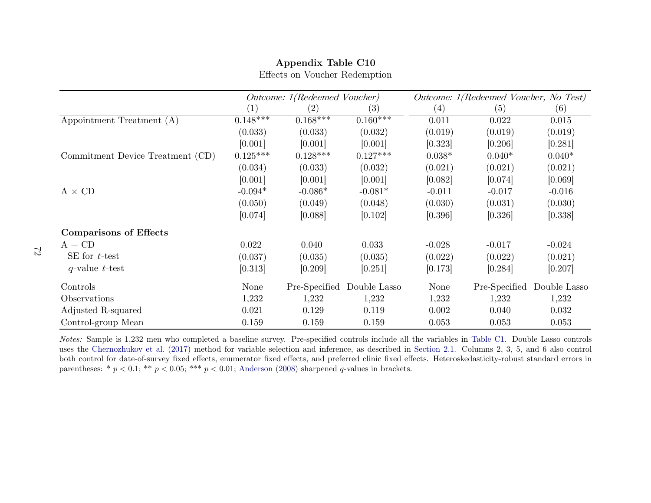|                                  | Outcome: 1(Redeemed Voucher) |                   |              | Outcome: 1(Redeemed Voucher, No Test) |               |              |
|----------------------------------|------------------------------|-------------------|--------------|---------------------------------------|---------------|--------------|
|                                  | $\left( 1\right)$            | $\left( 2\right)$ | (3)          | (4)                                   | (5)           | (6)          |
| Appointment Treatment (A)        | $0.148***$                   | $0.168***$        | $0.160***$   | 0.011                                 | 0.022         | 0.015        |
|                                  | (0.033)                      | (0.033)           | (0.032)      | (0.019)                               | (0.019)       | (0.019)      |
|                                  | [0.001]                      | [0.001]           | [0.001]      | [0.323]                               | [0.206]       | [0.281]      |
| Commitment Device Treatment (CD) | $0.125***$                   | $0.128***$        | $0.127***$   | $0.038*$                              | $0.040*$      | $0.040*$     |
|                                  | (0.034)                      | (0.033)           | (0.032)      | (0.021)                               | (0.021)       | (0.021)      |
|                                  | [0.001]                      | [0.001]           | [0.001]      | [0.082]                               | [0.074]       | [0.069]      |
| $A \times CD$                    | $-0.094*$                    | $-0.086*$         | $-0.081*$    | $-0.011$                              | $-0.017$      | $-0.016$     |
|                                  | (0.050)                      | (0.049)           | (0.048)      | (0.030)                               | (0.031)       | (0.030)      |
|                                  | [0.074]                      | [0.088]           | [0.102]      | [0.396]                               | [0.326]       | [0.338]      |
| <b>Comparisons of Effects</b>    |                              |                   |              |                                       |               |              |
| $A - CD$                         | 0.022                        | 0.040             | 0.033        | $-0.028$                              | $-0.017$      | $-0.024$     |
| SE for $t$ -test                 | (0.037)                      | (0.035)           | (0.035)      | (0.022)                               | (0.022)       | (0.021)      |
| $q$ -value t-test                | [0.313]                      | [0.209]           | [0.251]      | [0.173]                               | [0.284]       | [0.207]      |
| Controls                         | <b>None</b>                  | Pre-Specified     | Double Lasso | None                                  | Pre-Specified | Double Lasso |
| Observations                     | 1,232                        | 1,232             | 1,232        | 1,232                                 | 1,232         | 1,232        |
| Adjusted R-squared               | 0.021                        | 0.129             | 0.119        | 0.002                                 | 0.040         | 0.032        |
| Control-group Mean               | 0.159                        | 0.159             | 0.159        | 0.053                                 | 0.053         | 0.053        |

Effects on Voucher Redemption

Notes: Sample is 1,232 men who completed <sup>a</sup> baseline survey. Pre-specified controls include all the variables in [Table](#page-62-0) C1. Double Lasso controls uses the [Chernozhukov](#page-33-0) et al. [\(2017\)](#page-33-0) method for variable selection and inference, as described inboth control for date-of-survey fixed effects, enumerator fixed effects, and preferred clinic fixed effects. Heteroskedasticity-robust standard errors in parentheses: \*  $p < 0.1$ ; \*\*  $p < 0.05$ ; \*\*\*  $p < 0.01$ ; [Anderson](#page-31-0) [\(2008\)](#page-31-0) sharpened q-values in brackets.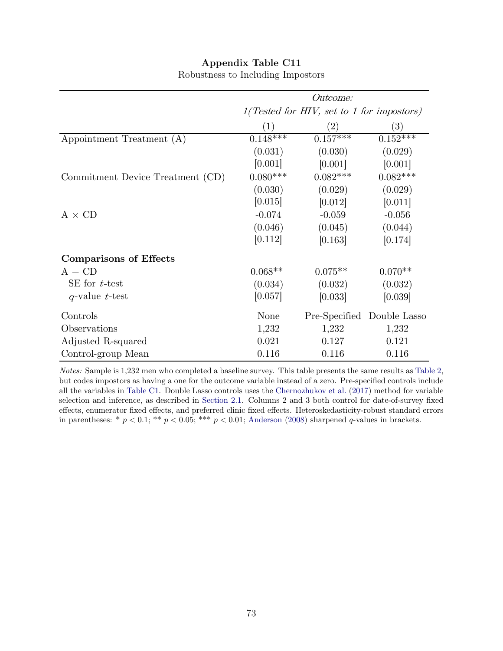|                                  | <i>Outcome:</i> |                                           |                            |  |  |  |
|----------------------------------|-----------------|-------------------------------------------|----------------------------|--|--|--|
|                                  |                 | 1(Tested for HIV, set to 1 for impostors) |                            |  |  |  |
|                                  | (1)             | (2)                                       | $\left(3\right)$           |  |  |  |
| Appointment Treatment (A)        | $0.148***$      | $0.157***$                                | $0.152***$                 |  |  |  |
|                                  | (0.031)         | (0.030)                                   | (0.029)                    |  |  |  |
|                                  | [0.001]         | [0.001]                                   | [0.001]                    |  |  |  |
| Commitment Device Treatment (CD) | $0.080***$      | $0.082***$                                | $0.082***$                 |  |  |  |
|                                  | (0.030)         | (0.029)                                   | (0.029)                    |  |  |  |
|                                  | [0.015]         | [0.012]                                   | [0.011]                    |  |  |  |
| $A \times CD$                    | $-0.074$        | $-0.059$                                  | $-0.056$                   |  |  |  |
|                                  | (0.046)         | (0.045)                                   | (0.044)                    |  |  |  |
|                                  | [0.112]         | [0.163]                                   | [0.174]                    |  |  |  |
| <b>Comparisons of Effects</b>    |                 |                                           |                            |  |  |  |
| $A - CD$                         | $0.068**$       | $0.075**$                                 | $0.070**$                  |  |  |  |
| SE for $t$ -test                 | (0.034)         | (0.032)                                   | (0.032)                    |  |  |  |
| $q$ -value t-test                | [0.057]         | [0.033]                                   | [0.039]                    |  |  |  |
| Controls                         | None            |                                           | Pre-Specified Double Lasso |  |  |  |
| Observations                     | 1,232           | 1,232                                     | 1,232                      |  |  |  |
| Adjusted R-squared               | 0.021           | 0.127                                     | 0.121                      |  |  |  |
| Control-group Mean               | 0.116           | 0.116                                     | 0.116                      |  |  |  |

#### Appendix Table C11 Robustness to Including Impostors

Notes: Sample is 1,232 men who completed a baseline survey. This table presents the same results as [Table 2,](#page-49-0) but codes impostors as having a one for the outcome variable instead of a zero. Pre-specified controls include all the variables in [Table C1.](#page-62-1) Double Lasso controls uses the [Chernozhukov et al.](#page-33-1) [\(2017\)](#page-33-1) method for variable selection and inference, as described in [Section 2.1.](#page-12-1) Columns 2 and 3 both control for date-of-survey fixed effects, enumerator fixed effects, and preferred clinic fixed effects. Heteroskedasticity-robust standard errors in parentheses: \*  $p < 0.1$ ; \*\*  $p < 0.05$ ; \*\*\*  $p < 0.01$ ; [Anderson](#page-31-1) [\(2008\)](#page-31-1) sharpened q-values in brackets.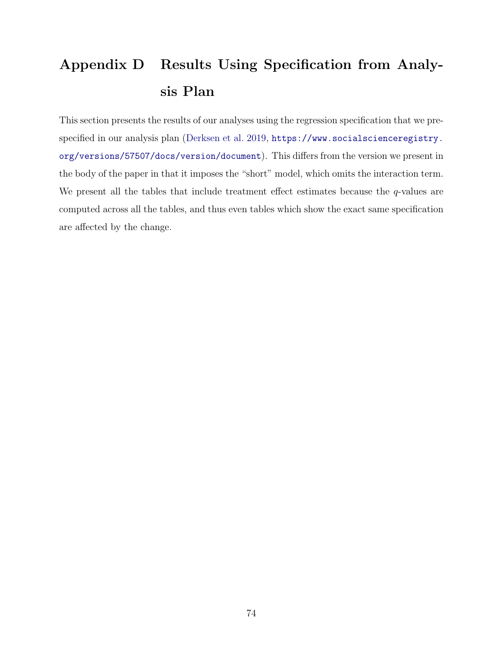# Appendix D Results Using Specification from Analysis Plan

This section presents the results of our analyses using the regression specification that we prespecified in our analysis plan [\(Derksen et al. 2019,](#page-34-0) [https://www.socialscienceregistry.](https://www.socialscienceregistry.org/versions/57507/docs/version/document) [org/versions/57507/docs/version/document](https://www.socialscienceregistry.org/versions/57507/docs/version/document)). This differs from the version we present in the body of the paper in that it imposes the "short" model, which omits the interaction term. We present all the tables that include treatment effect estimates because the q-values are computed across all the tables, and thus even tables which show the exact same specification are affected by the change.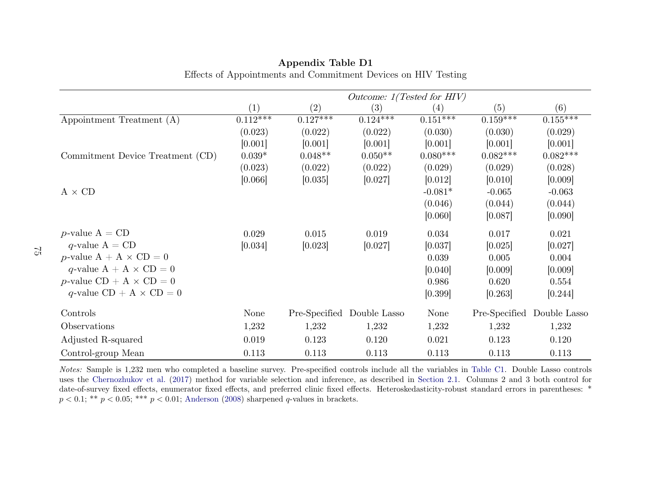|                                       | Outcome: $1(Tested for HIV)$ |            |                            |                   |               |              |
|---------------------------------------|------------------------------|------------|----------------------------|-------------------|---------------|--------------|
|                                       | (1)                          | $\rm(2)$   | (3)                        | $\left( 4\right)$ | (5)           | (6)          |
| Appointment Treatment (A)             | $0.112***$                   | $0.127***$ | $0.124***$                 | $0.151***$        | $0.159***$    | $0.155***$   |
|                                       | (0.023)                      | (0.022)    | (0.022)                    | (0.030)           | (0.030)       | (0.029)      |
|                                       | [0.001]                      | [0.001]    | [0.001]                    | [0.001]           | [0.001]       | [0.001]      |
| Commitment Device Treatment (CD)      | $0.039*$                     | $0.048**$  | $0.050**$                  | $0.080***$        | $0.082***$    | $0.082***$   |
|                                       | (0.023)                      | (0.022)    | (0.022)                    | (0.029)           | (0.029)       | (0.028)      |
|                                       | [0.066]                      | [0.035]    | [0.027]                    | [0.012]           | [0.010]       | [0.009]      |
| $A \times CD$                         |                              |            |                            | $-0.081*$         | $-0.065$      | $-0.063$     |
|                                       |                              |            |                            | (0.046)           | (0.044)       | (0.044)      |
|                                       |                              |            |                            | [0.060]           | [0.087]       | [0.090]      |
| <i>p</i> -value $A = CD$              | 0.029                        | 0.015      | 0.019                      | 0.034             | 0.017         | 0.021        |
| $q$ -value A = CD                     | [0.034]                      | [0.023]    | [0.027]                    | [0.037]           | [0.025]       | [0.027]      |
| <i>p</i> -value $A + A \times CD = 0$ |                              |            |                            | 0.039             | 0.005         | 0.004        |
| q-value $A + A \times CD = 0$         |                              |            |                            | [0.040]           | [0.009]       | [0.009]      |
| $p$ -value CD + A $\times$ CD = 0     |                              |            |                            | 0.986             | 0.620         | 0.554        |
| q-value $CD + A \times CD = 0$        |                              |            |                            | [0.399]           | [0.263]       | [0.244]      |
| Controls                              | None                         |            | Pre-Specified Double Lasso | None              | Pre-Specified | Double Lasso |
| Observations                          | 1,232                        | 1,232      | 1,232                      | 1,232             | 1,232         | 1,232        |
| Adjusted R-squared                    | 0.019                        | 0.123      | 0.120                      | 0.021             | 0.123         | 0.120        |
| Control-group Mean                    | 0.113                        | 0.113      | 0.113                      | 0.113             | 0.113         | 0.113        |

## Appendix Table D1Effects of Appointments and Commitment Devices on HIV Testing

Notes: Sample is 1,232 men who completed <sup>a</sup> baseline survey. Pre-specified controls include all the variables in [Table](#page-62-0) C1. Double Lasso controls uses the [Chernozhukov](#page-33-0) et al. [\(2017\)](#page-33-0) method for variable selection and inference, as described indate-of-survey fixed effects, enumerator fixed effects, and preferred clinic fixed effects. Heteroskedasticity-robust standard errors in parentheses: \*  $p < 0.1;$  \*\*  $p < 0.05;$  \*\*\*  $p < 0.01;$  [Anderson](#page-31-0) [\(2008\)](#page-31-0) sharpened q-values in brackets.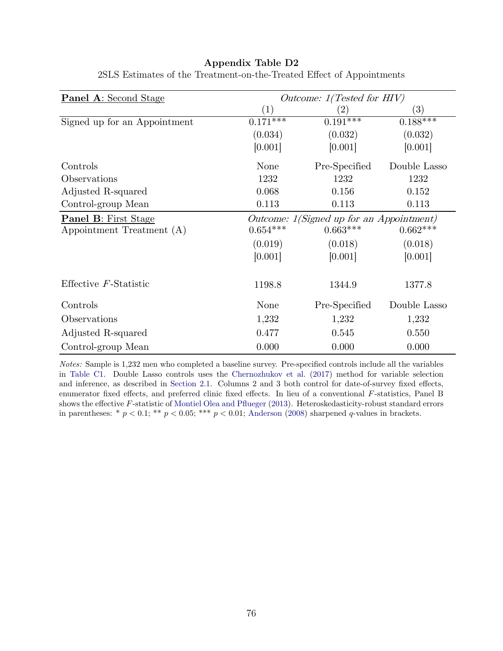| <b>Panel A:</b> Second Stage | Outcome: 1(Tested for HIV) |                                          |                   |  |  |
|------------------------------|----------------------------|------------------------------------------|-------------------|--|--|
|                              | $\left( 1\right)$          | $\left( 2\right)$                        | $\left( 3\right)$ |  |  |
| Signed up for an Appointment | $0.17\overline{1***}$      | $0.191***$                               | $0.188***$        |  |  |
|                              | (0.034)                    | (0.032)                                  | (0.032)           |  |  |
|                              | [0.001]                    | [0.001]                                  | [0.001]           |  |  |
| Controls                     | None                       | Pre-Specified                            | Double Lasso      |  |  |
| Observations                 | 1232                       | 1232                                     | 1232              |  |  |
| Adjusted R-squared           | 0.068                      | 0.156                                    | 0.152             |  |  |
| Control-group Mean           | 0.113                      | 0.113                                    | 0.113             |  |  |
| <b>Panel B:</b> First Stage  |                            | Outcome: 1(Signed up for an Appointment) |                   |  |  |
| Appointment Treatment (A)    | $0.654***$                 | $0.663***$                               | $0.662***$        |  |  |
|                              | (0.019)                    | (0.018)                                  | (0.018)           |  |  |
|                              | [0.001]                    | [0.001]                                  | [0.001]           |  |  |
| Effective $F$ -Statistic     | 1198.8                     | 1344.9                                   | 1377.8            |  |  |
| Controls                     | None                       | Pre-Specified                            | Double Lasso      |  |  |
| Observations                 | 1,232                      | 1,232                                    | 1,232             |  |  |
| Adjusted R-squared           | 0.477                      | 0.545                                    | 0.550             |  |  |
| Control-group Mean           | 0.000                      | 0.000                                    | 0.000             |  |  |

2SLS Estimates of the Treatment-on-the-Treated Effect of Appointments

Notes: Sample is 1,232 men who completed a baseline survey. Pre-specified controls include all the variables in [Table C1.](#page-62-1) Double Lasso controls uses the [Chernozhukov et al.](#page-33-1) [\(2017\)](#page-33-1) method for variable selection and inference, as described in [Section 2.1.](#page-12-1) Columns 2 and 3 both control for date-of-survey fixed effects, enumerator fixed effects, and preferred clinic fixed effects. In lieu of a conventional F-statistics, Panel B shows the effective F-statistic of [Montiel Olea and Pflueger](#page-38-0) [\(2013\)](#page-38-0). Heteroskedasticity-robust standard errors in parentheses: \*  $p < 0.1$ ; \*\*  $p < 0.05$ ; \*\*\*  $p < 0.01$ ; [Anderson](#page-31-1) [\(2008\)](#page-31-1) sharpened q-values in brackets.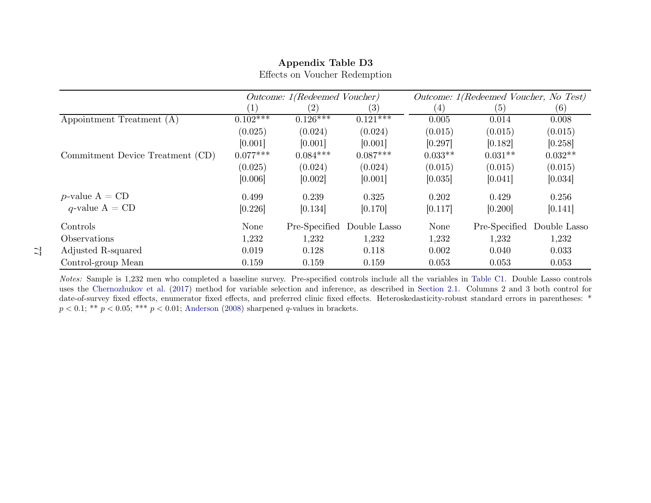|                                  |            | Outcome: 1(Redeemed Voucher) |                   |           | Outcome: 1(Redeemed Voucher, No Test) |              |  |
|----------------------------------|------------|------------------------------|-------------------|-----------|---------------------------------------|--------------|--|
|                                  | (1)        | $\left( 2\right)$            | $\left( 3\right)$ | (4)       | (5)                                   | (6)          |  |
| Appointment Treatment (A)        | $0.102***$ | $0.126***$                   | $0.121***$        | 0.005     | 0.014                                 | 0.008        |  |
|                                  | (0.025)    | (0.024)                      | (0.024)           | (0.015)   | (0.015)                               | (0.015)      |  |
|                                  | [0.001]    | [0.001]                      | [0.001]           | [0.297]   | [0.182]                               | [0.258]      |  |
| Commitment Device Treatment (CD) | $0.077***$ | $0.084***$                   | $0.087***$        | $0.033**$ | $0.031**$                             | $0.032**$    |  |
|                                  | (0.025)    | (0.024)                      | (0.024)           | (0.015)   | (0.015)                               | (0.015)      |  |
|                                  | [0.006]    | [0.002]                      | [0.001]           | [0.035]   | [0.041]                               | [0.034]      |  |
| <i>p</i> -value $A = CD$         | 0.499      | 0.239                        | 0.325             | 0.202     | 0.429                                 | 0.256        |  |
| $q$ -value A = CD                | [0.226]    | [0.134]                      | [0.170]           | [0.117]   | [0.200]                               | [0.141]      |  |
| Controls                         | None       | Pre-Specified                | Double Lasso      | None      | Pre-Specified                         | Double Lasso |  |
| <i><b>Observations</b></i>       | 1,232      | 1,232                        | 1,232             | 1,232     | 1,232                                 | 1,232        |  |
| Adjusted R-squared               | 0.019      | 0.128                        | 0.118             | 0.002     | 0.040                                 | 0.033        |  |
| Control-group Mean               | 0.159      | 0.159                        | 0.159             | 0.053     | 0.053                                 | 0.053        |  |

Effects on Voucher Redemption

Notes: Sample is 1,232 men who completed <sup>a</sup> baseline survey. Pre-specified controls include all the variables in [Table](#page-62-0) C1. Double Lasso controls uses the [Chernozhukov](#page-33-0) et al. [\(2017\)](#page-33-0) method for variable selection and inference, as described indate-of-survey fixed effects, enumerator fixed effects, and preferred clinic fixed effects. Heteroskedasticity-robust standard errors in parentheses: \*  $p < 0.1;$  \*\*  $p < 0.05;$  \*\*\*  $p < 0.01;$  [Anderson](#page-31-0) [\(2008\)](#page-31-0) sharpened q-values in brackets.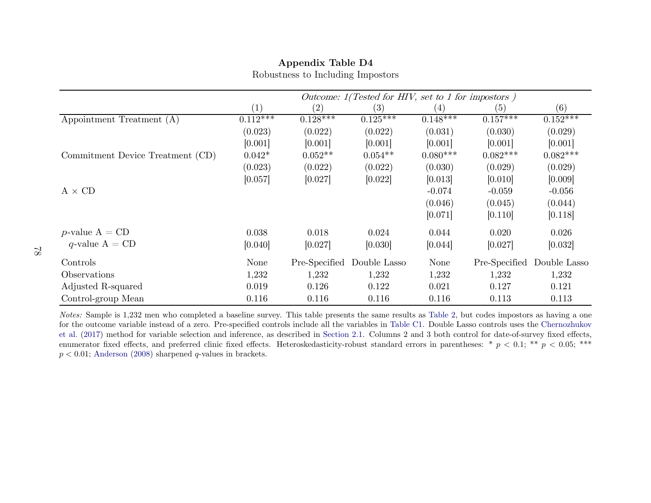|                                  | Outcome: 1(Tested for HIV, set to 1 for impostors) |                   |              |            |               |              |  |
|----------------------------------|----------------------------------------------------|-------------------|--------------|------------|---------------|--------------|--|
|                                  | (1)                                                | $\left( 2\right)$ | (3)          | (4)        | (5)           | (6)          |  |
| Appointment Treatment (A)        | $0.112***$                                         | $0.128***$        | $0.125***$   | $0.148***$ | $0.157***$    | $0.152***$   |  |
|                                  | (0.023)                                            | (0.022)           | (0.022)      | (0.031)    | (0.030)       | (0.029)      |  |
|                                  | [0.001]                                            | [0.001]           | [0.001]      | [0.001]    | [0.001]       | [0.001]      |  |
| Commitment Device Treatment (CD) | $0.042*$                                           | $0.052**$         | $0.054**$    | $0.080***$ | $0.082***$    | $0.082***$   |  |
|                                  | (0.023)                                            | (0.022)           | (0.022)      | (0.030)    | (0.029)       | (0.029)      |  |
|                                  | [0.057]                                            | [0.027]           | [0.022]      | [0.013]    | [0.010]       | [0.009]      |  |
| $A \times CD$                    |                                                    |                   |              | $-0.074$   | $-0.059$      | $-0.056$     |  |
|                                  |                                                    |                   |              | (0.046)    | (0.045)       | (0.044)      |  |
|                                  |                                                    |                   |              | [0.071]    | [0.110]       | [0.118]      |  |
| <i>p</i> -value $A = CD$         | 0.038                                              | 0.018             | 0.024        | 0.044      | 0.020         | 0.026        |  |
| q-value $A = CD$                 | [0.040]                                            | [0.027]           | [0.030]      | [0.044]    | [0.027]       | [0.032]      |  |
| Controls                         | None                                               | Pre-Specified     | Double Lasso | None       | Pre-Specified | Double Lasso |  |
| Observations                     | 1,232                                              | 1,232             | 1,232        | 1,232      | 1,232         | 1,232        |  |
| Adjusted R-squared               | 0.019                                              | 0.126             | 0.122        | 0.021      | 0.127         | 0.121        |  |
| Control-group Mean               | 0.116                                              | 0.116             | 0.116        | 0.116      | 0.113         | 0.113        |  |

Robustness to Including Impostors

Notes: Sample is 1,232 men who completed <sup>a</sup> baseline survey. This table presents the same results as [Table](#page-49-1) 2, but codes impostors as having <sup>a</sup> one for the outcome variable instead of <sup>a</sup> zero. Pre-specified controls include all the variables in [Table](#page-62-0) C1. Double Lasso controls uses the [Chernozhukov](#page-33-0) et [al.](#page-33-0) [\(2017\)](#page-33-0) method for variable selection and inference, as described in [Section](#page-12-0) 2.1. Columns <sup>2</sup> and <sup>3</sup> both control for date-of-survey fixed effects, enumerator fixed effects, and preferred clinic fixed effects. Heteroskedasticity-robust standard errors in parentheses: \*  $p < 0.1$ ; \*\*  $p < 0.05$ ; \*\*\*<br> $p < 0.01$ ; Anderson (2008) sharpened q-values in brackets.  $p < 0.01$ ; [Anderson](#page-31-0) [\(2008\)](#page-31-0) sharpened q-values in brackets.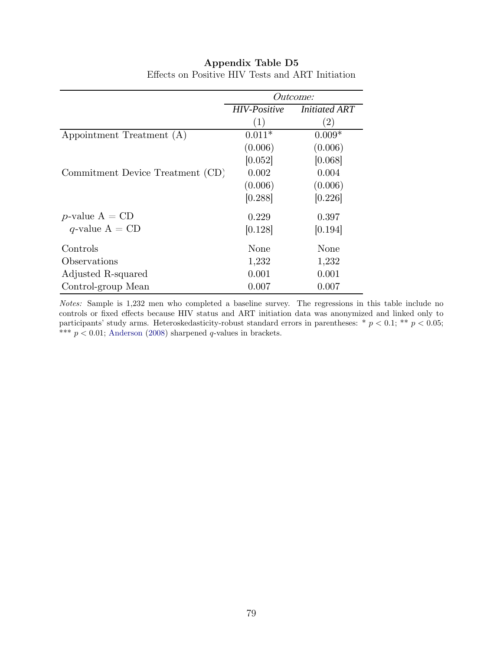|                                  | <i>Outcome:</i>     |                      |  |  |
|----------------------------------|---------------------|----------------------|--|--|
|                                  | <b>HIV-Positive</b> | <b>Initiated ART</b> |  |  |
|                                  | (1)                 | $\left( 2\right)$    |  |  |
| Appointment Treatment (A)        | $0.011*$            | $0.009*$             |  |  |
|                                  | (0.006)             | (0.006)              |  |  |
|                                  | [0.052]             | [0.068]              |  |  |
| Commitment Device Treatment (CD) | 0.002               | 0.004                |  |  |
|                                  | (0.006)             | (0.006)              |  |  |
|                                  | [0.288]             | [0.226]              |  |  |
| <i>p</i> -value $A = CD$         | 0.229               | 0.397                |  |  |
| q-value $A = CD$                 | [0.128]             | [0.194]              |  |  |
| Controls                         | None                | None                 |  |  |
| Observations                     | 1,232               | 1,232                |  |  |
| Adjusted R-squared               | 0.001               | 0.001                |  |  |
| Control-group Mean               | 0.007               | 0.007                |  |  |

Effects on Positive HIV Tests and ART Initiation

Notes: Sample is 1,232 men who completed a baseline survey. The regressions in this table include no controls or fixed effects because HIV status and ART initiation data was anonymized and linked only to participants' study arms. Heteroskedasticity-robust standard errors in parentheses: \*  $p < 0.1$ ; \*\*  $p < 0.05$ ; \*\*\*  $p < 0.01$ ; [Anderson](#page-31-1) [\(2008\)](#page-31-1) sharpened q-values in brackets.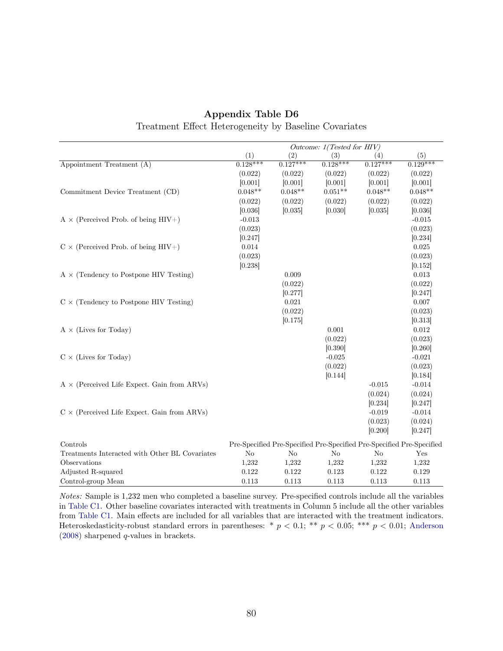|                                                    | Outcome: 1(Tested for HIV) |                |                                                                       |                    |                     |  |
|----------------------------------------------------|----------------------------|----------------|-----------------------------------------------------------------------|--------------------|---------------------|--|
|                                                    | (1)                        | (2)            | (3)                                                                   | (4)                | (5)                 |  |
| Appointment Treatment (A)                          | $0.128***$                 | $0.127***$     | $0.128***$                                                            | $0.127***$         | $0.129***$          |  |
|                                                    | (0.022)                    | (0.022)        | (0.022)                                                               | (0.022)            | (0.022)             |  |
|                                                    | [0.001]                    | [0.001]        | [0.001]                                                               | [0.001]            | [0.001]             |  |
| Commitment Device Treatment (CD)                   | $0.048**$                  | $0.048**$      | $0.051**$                                                             | $0.048**$          | $0.048**$           |  |
|                                                    | (0.022)                    | (0.022)        | (0.022)                                                               | (0.022)            | (0.022)             |  |
|                                                    | [0.036]                    | [0.035]        | [0.030]                                                               | [0.035]            | [0.036]             |  |
| $A \times$ (Perceived Prob. of being HIV+)         | $-0.013$                   |                |                                                                       |                    | $-0.015$            |  |
|                                                    | (0.023)                    |                |                                                                       |                    | (0.023)             |  |
|                                                    | [0.247]                    |                |                                                                       |                    | [0.234]             |  |
| $C \times$ (Perceived Prob. of being HIV+)         | 0.014                      |                |                                                                       |                    | 0.025               |  |
|                                                    | (0.023)                    |                |                                                                       |                    | (0.023)             |  |
|                                                    | [0.238]                    |                |                                                                       |                    | [0.152]             |  |
| $A \times$ (Tendency to Postpone HIV Testing)      |                            | 0.009          |                                                                       |                    | 0.013               |  |
|                                                    |                            | (0.022)        |                                                                       |                    | (0.022)             |  |
|                                                    |                            | [0.277]        |                                                                       |                    | [0.247]             |  |
| $C \times$ (Tendency to Postpone HIV Testing)      |                            | 0.021          |                                                                       |                    | 0.007               |  |
|                                                    |                            | (0.022)        |                                                                       |                    | (0.023)             |  |
|                                                    |                            | [0.175]        |                                                                       |                    | [0.313]             |  |
| $A \times$ (Lives for Today)                       |                            |                | 0.001                                                                 |                    | 0.012               |  |
|                                                    |                            |                | (0.022)                                                               |                    | (0.023)             |  |
|                                                    |                            |                | [0.390]                                                               |                    | [0.260]             |  |
| $C \times$ (Lives for Today)                       |                            |                | $-0.025$                                                              |                    | $-0.021$            |  |
|                                                    |                            |                | (0.022)                                                               |                    | (0.023)             |  |
|                                                    |                            |                | [0.144]                                                               |                    | [0.184]             |  |
| $A \times$ (Perceived Life Expect. Gain from ARVs) |                            |                |                                                                       | $-0.015$           | $-0.014$            |  |
|                                                    |                            |                |                                                                       | (0.024)<br>[0.234] | (0.024)             |  |
| $C \times$ (Perceived Life Expect. Gain from ARVs) |                            |                |                                                                       | $-0.019$           | [0.247]<br>$-0.014$ |  |
|                                                    |                            |                |                                                                       | (0.023)            | (0.024)             |  |
|                                                    |                            |                |                                                                       | [0.200]            | [0.247]             |  |
|                                                    |                            |                |                                                                       |                    |                     |  |
| Controls                                           |                            |                | Pre-Specified Pre-Specified Pre-Specified Pre-Specified Pre-Specified |                    |                     |  |
| Treatments Interacted with Other BL Covariates     | No                         | N <sub>o</sub> | N <sub>o</sub>                                                        | N <sub>o</sub>     | Yes                 |  |
| Observations                                       | 1,232                      | 1,232          | 1,232                                                                 | 1,232              | 1,232               |  |
| Adjusted R-squared                                 | 0.122                      | 0.122          | 0.123                                                                 | 0.122              | 0.129               |  |
| Control-group Mean                                 | 0.113                      | 0.113          | 0.113                                                                 | 0.113              | 0.113               |  |

## Appendix Table D6 Treatment Effect Heterogeneity by Baseline Covariates

Notes: Sample is 1,232 men who completed a baseline survey. Pre-specified controls include all the variables in [Table C1.](#page-62-1) Other baseline covariates interacted with treatments in Column 5 include all the other variables from [Table C1.](#page-62-1) Main effects are included for all variables that are interacted with the treatment indicators. Heteroskedasticity-robust standard errors in parentheses: \*  $p < 0.1$ ; \*\*  $p < 0.05$ ; \*\*\*  $p < 0.01$ ; [Anderson](#page-31-1) [\(2008\)](#page-31-1) sharpened q-values in brackets.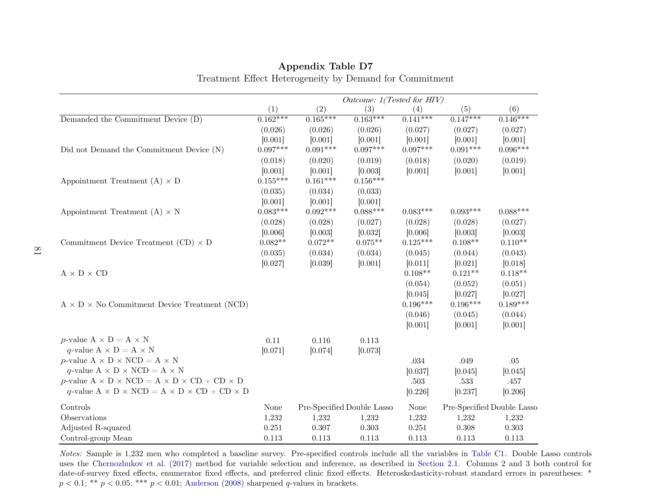|                                                                         | Outcome: 1(Tested for HIV) |                 |                            |            |            |                            |  |
|-------------------------------------------------------------------------|----------------------------|-----------------|----------------------------|------------|------------|----------------------------|--|
|                                                                         | (1)                        | (2)             | (3)                        | (4)        | (5)        | (6)                        |  |
| Demanded the Commitment Device (D)                                      | $0.162***$                 | $0.165***$      | $0.163***$                 | $0.141***$ | $0.147***$ | $0.146***$                 |  |
|                                                                         | (0.026)                    | (0.026)         | (0.026)                    | (0.027)    | (0.027)    | (0.027)                    |  |
|                                                                         | [0.001]                    | [0.001]         | [0.001]                    | [0.001]    | [0.001]    | [0.001]                    |  |
| Did not Demand the Commitment Device (N)                                | $0.097***$                 | $0.091^{***}\;$ | $0.097***$                 | $0.097***$ | $0.091***$ | $0.096***$                 |  |
|                                                                         | (0.018)                    | (0.020)         | (0.019)                    | (0.018)    | (0.020)    | (0.019)                    |  |
|                                                                         | [0.001]                    | [0.001]         | [0.003]                    | [0.001]    | [0.001]    | [0.001]                    |  |
| Appointment Treatment $(A) \times D$                                    | $0.155***$                 | $0.161***$      | $0.156***$                 |            |            |                            |  |
|                                                                         | (0.035)                    | (0.034)         | (0.033)                    |            |            |                            |  |
|                                                                         | [0.001]                    | [0.001]         | [0.001]                    |            |            |                            |  |
| Appointment Treatment (A) $\times$ N                                    | $0.083***$                 | $0.092***$      | $0.088***$                 | $0.083***$ | $0.093***$ | $0.088***$                 |  |
|                                                                         | (0.028)                    | (0.028)         | (0.027)                    | (0.028)    | (0.028)    | (0.027)                    |  |
|                                                                         | [0.006]                    | [0.003]         | [0.032]                    | [0.006]    | [0.003]    | [0.003]                    |  |
| Commitment Device Treatment $(CD) \times D$                             | $0.082**$                  | $0.072**$       | $0.075**$                  | $0.125***$ | $0.108**$  | $0.110**$                  |  |
|                                                                         | (0.035)                    | (0.034)         | (0.034)                    | (0.045)    | (0.044)    | (0.043)                    |  |
|                                                                         | [0.027]                    | [0.039]         | [0.001]                    | [0.011]    | [0.021]    | [0.018]                    |  |
| $\text{A}\times\text{D}\times\text{CD}$                                 |                            |                 |                            | $0.108**$  | $0.121**$  | $0.118**$                  |  |
|                                                                         |                            |                 |                            | (0.054)    | (0.052)    | (0.051)                    |  |
|                                                                         |                            |                 |                            | [0.045]    | [0.027]    | [0.027]                    |  |
| $A \times D \times$ No Commitment Device Treatment (NCD)                |                            |                 |                            | $0.196***$ | $0.196***$ | $0.189***$                 |  |
|                                                                         |                            |                 |                            | (0.046)    | (0.045)    | (0.044)                    |  |
|                                                                         |                            |                 |                            | [0.001]    | [0.001]    | [0.001]                    |  |
| $p$ -value $A \times D = A \times N$                                    | 0.11                       | 0.116           | 0.113                      |            |            |                            |  |
| q-value $A \times D = A \times N$                                       | [0.071]                    | [0.074]         | [0.073]                    |            |            |                            |  |
| $p$ -value $A \times D \times NCD = A \times N$                         |                            |                 |                            | .034       | .049       | .05                        |  |
| q-value A $\times$ D $\times$ NCD = A $\times$ N                        |                            |                 |                            | [0.037]    | [0.045]    | [0.045]                    |  |
| $p$ -value $A \times D \times NCD = A \times D \times CD + CD \times D$ |                            |                 |                            | .503       | .533       | .457                       |  |
| q-value $A \times D \times NCD = A \times D \times CD + CD \times D$    |                            |                 |                            | [0.226]    | [0.237]    | [0.206]                    |  |
| Controls                                                                | None                       |                 | Pre-Specified Double Lasso | None       |            | Pre-Specified Double Lasso |  |
| Observations                                                            | 1,232                      | 1,232           | 1,232                      | 1,232      | 1,232      | 1,232                      |  |
| Adjusted R-squared                                                      | 0.251                      | 0.307           | 0.303                      | 0.251      | 0.308      | 0.303                      |  |
| Control-group Mean                                                      | 0.113                      | 0.113           | 0.113                      | 0.113      | 0.113      | 0.113                      |  |

## Appendix Table D7Treatment Effect Heterogeneity by Demand for Commitment

Notes: Sample is 1,232 men who completed <sup>a</sup> baseline survey. Pre-specified controls include all the variables in [Table](#page-62-0) C1. Double Lasso controls uses the [Chernozhukov](#page-33-0) et al. [\(2017\)](#page-33-0) method for variable selection and inference, as described indate-of-survey fixed effects, enumerator fixed effects, and preferred clinic fixed effects. Heteroskedasticity-robust standard errors in parentheses: \*  $p < 0.1;$  \*\*  $p < 0.05;$  \*\*\*  $p < 0.01;$  [Anderson](#page-31-0) [\(2008\)](#page-31-0) sharpened q-values in brackets.